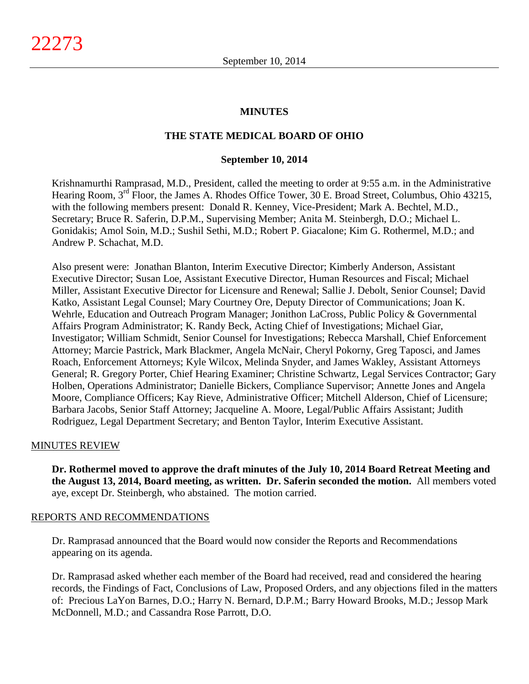#### **MINUTES**

#### **THE STATE MEDICAL BOARD OF OHIO**

#### **September 10, 2014**

Krishnamurthi Ramprasad, M.D., President, called the meeting to order at 9:55 a.m. in the Administrative Hearing Room, 3<sup>rd</sup> Floor, the James A. Rhodes Office Tower, 30 E. Broad Street, Columbus, Ohio 43215, with the following members present: Donald R. Kenney, Vice-President; Mark A. Bechtel, M.D., Secretary; Bruce R. Saferin, D.P.M., Supervising Member; Anita M. Steinbergh, D.O.; Michael L. Gonidakis; Amol Soin, M.D.; Sushil Sethi, M.D.; Robert P. Giacalone; Kim G. Rothermel, M.D.; and Andrew P. Schachat, M.D.

Also present were: Jonathan Blanton, Interim Executive Director; Kimberly Anderson, Assistant Executive Director; Susan Loe, Assistant Executive Director, Human Resources and Fiscal; Michael Miller, Assistant Executive Director for Licensure and Renewal; Sallie J. Debolt, Senior Counsel; David Katko, Assistant Legal Counsel; Mary Courtney Ore, Deputy Director of Communications; Joan K. Wehrle, Education and Outreach Program Manager; Jonithon LaCross, Public Policy & Governmental Affairs Program Administrator; K. Randy Beck, Acting Chief of Investigations; Michael Giar, Investigator; William Schmidt, Senior Counsel for Investigations; Rebecca Marshall, Chief Enforcement Attorney; Marcie Pastrick, Mark Blackmer, Angela McNair, Cheryl Pokorny, Greg Taposci, and James Roach, Enforcement Attorneys; Kyle Wilcox, Melinda Snyder, and James Wakley, Assistant Attorneys General; R. Gregory Porter, Chief Hearing Examiner; Christine Schwartz, Legal Services Contractor; Gary Holben, Operations Administrator; Danielle Bickers, Compliance Supervisor; Annette Jones and Angela Moore, Compliance Officers; Kay Rieve, Administrative Officer; Mitchell Alderson, Chief of Licensure; Barbara Jacobs, Senior Staff Attorney; Jacqueline A. Moore, Legal/Public Affairs Assistant; Judith Rodriguez, Legal Department Secretary; and Benton Taylor, Interim Executive Assistant.

#### MINUTES REVIEW

**Dr. Rothermel moved to approve the draft minutes of the July 10, 2014 Board Retreat Meeting and the August 13, 2014, Board meeting, as written. Dr. Saferin seconded the motion.** All members voted aye, except Dr. Steinbergh, who abstained. The motion carried.

#### REPORTS AND RECOMMENDATIONS

Dr. Ramprasad announced that the Board would now consider the Reports and Recommendations appearing on its agenda.

Dr. Ramprasad asked whether each member of the Board had received, read and considered the hearing records, the Findings of Fact, Conclusions of Law, Proposed Orders, and any objections filed in the matters of: Precious LaYon Barnes, D.O.; Harry N. Bernard, D.P.M.; Barry Howard Brooks, M.D.; Jessop Mark McDonnell, M.D.; and Cassandra Rose Parrott, D.O.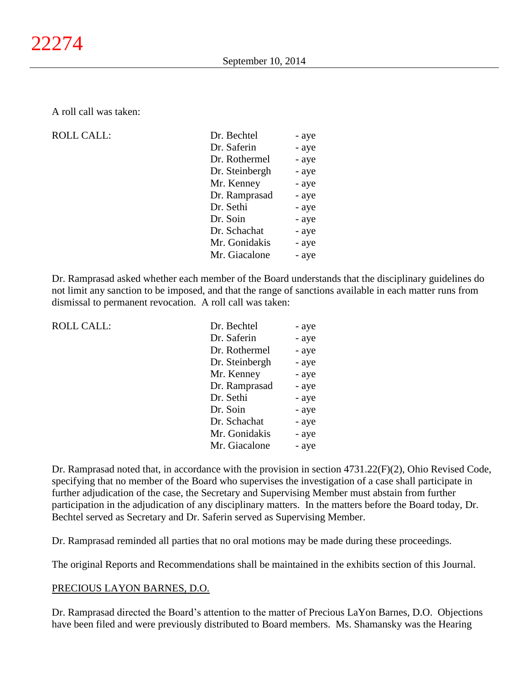A roll call was taken:

#### $ROLL CALL$ :

 $ROLL CALL$ :

| Dr. Bechtel    | - aye |
|----------------|-------|
| Dr. Saferin    | - aye |
| Dr. Rothermel  | - aye |
| Dr. Steinbergh | - aye |
| Mr. Kenney     | - aye |
| Dr. Ramprasad  | - aye |
| Dr. Sethi      | - aye |
| Dr. Soin       | - aye |
| Dr. Schachat   | - aye |
| Mr. Gonidakis  | - aye |
| Mr. Giacalone  | - aye |
|                |       |

Dr. Ramprasad asked whether each member of the Board understands that the disciplinary guidelines do not limit any sanction to be imposed, and that the range of sanctions available in each matter runs from dismissal to permanent revocation. A roll call was taken:

| Dr. Bechtel    | - aye |
|----------------|-------|
| Dr. Saferin    | - aye |
| Dr. Rothermel  | - aye |
| Dr. Steinbergh | - aye |
| Mr. Kenney     | - aye |
| Dr. Ramprasad  | - aye |
| Dr. Sethi      | - aye |
| Dr. Soin       | - aye |
| Dr. Schachat   | - aye |
| Mr. Gonidakis  | - aye |
| Mr. Giacalone  | - aye |

Dr. Ramprasad noted that, in accordance with the provision in section 4731.22(F)(2), Ohio Revised Code, specifying that no member of the Board who supervises the investigation of a case shall participate in further adjudication of the case, the Secretary and Supervising Member must abstain from further participation in the adjudication of any disciplinary matters. In the matters before the Board today, Dr. Bechtel served as Secretary and Dr. Saferin served as Supervising Member.

Dr. Ramprasad reminded all parties that no oral motions may be made during these proceedings.

The original Reports and Recommendations shall be maintained in the exhibits section of this Journal.

#### PRECIOUS LAYON BARNES, D.O.

Dr. Ramprasad directed the Board's attention to the matter of Precious LaYon Barnes, D.O. Objections have been filed and were previously distributed to Board members. Ms. Shamansky was the Hearing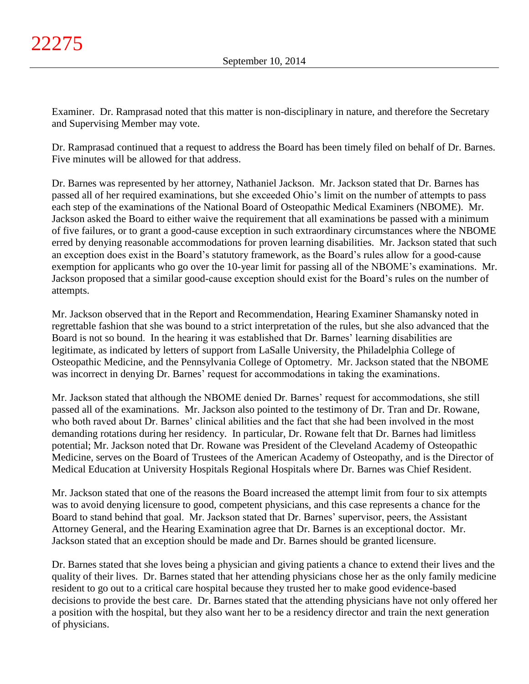Examiner. Dr. Ramprasad noted that this matter is non-disciplinary in nature, and therefore the Secretary and Supervising Member may vote.

Dr. Ramprasad continued that a request to address the Board has been timely filed on behalf of Dr. Barnes. Five minutes will be allowed for that address.

Dr. Barnes was represented by her attorney, Nathaniel Jackson. Mr. Jackson stated that Dr. Barnes has passed all of her required examinations, but she exceeded Ohio's limit on the number of attempts to pass each step of the examinations of the National Board of Osteopathic Medical Examiners (NBOME). Mr. Jackson asked the Board to either waive the requirement that all examinations be passed with a minimum of five failures, or to grant a good-cause exception in such extraordinary circumstances where the NBOME erred by denying reasonable accommodations for proven learning disabilities. Mr. Jackson stated that such an exception does exist in the Board's statutory framework, as the Board's rules allow for a good-cause exemption for applicants who go over the 10-year limit for passing all of the NBOME's examinations. Mr. Jackson proposed that a similar good-cause exception should exist for the Board's rules on the number of attempts.

Mr. Jackson observed that in the Report and Recommendation, Hearing Examiner Shamansky noted in regrettable fashion that she was bound to a strict interpretation of the rules, but she also advanced that the Board is not so bound. In the hearing it was established that Dr. Barnes' learning disabilities are legitimate, as indicated by letters of support from LaSalle University, the Philadelphia College of Osteopathic Medicine, and the Pennsylvania College of Optometry. Mr. Jackson stated that the NBOME was incorrect in denying Dr. Barnes' request for accommodations in taking the examinations.

Mr. Jackson stated that although the NBOME denied Dr. Barnes' request for accommodations, she still passed all of the examinations. Mr. Jackson also pointed to the testimony of Dr. Tran and Dr. Rowane, who both raved about Dr. Barnes' clinical abilities and the fact that she had been involved in the most demanding rotations during her residency. In particular, Dr. Rowane felt that Dr. Barnes had limitless potential; Mr. Jackson noted that Dr. Rowane was President of the Cleveland Academy of Osteopathic Medicine, serves on the Board of Trustees of the American Academy of Osteopathy, and is the Director of Medical Education at University Hospitals Regional Hospitals where Dr. Barnes was Chief Resident.

Mr. Jackson stated that one of the reasons the Board increased the attempt limit from four to six attempts was to avoid denying licensure to good, competent physicians, and this case represents a chance for the Board to stand behind that goal. Mr. Jackson stated that Dr. Barnes' supervisor, peers, the Assistant Attorney General, and the Hearing Examination agree that Dr. Barnes is an exceptional doctor. Mr. Jackson stated that an exception should be made and Dr. Barnes should be granted licensure.

Dr. Barnes stated that she loves being a physician and giving patients a chance to extend their lives and the quality of their lives. Dr. Barnes stated that her attending physicians chose her as the only family medicine resident to go out to a critical care hospital because they trusted her to make good evidence-based decisions to provide the best care. Dr. Barnes stated that the attending physicians have not only offered her a position with the hospital, but they also want her to be a residency director and train the next generation of physicians.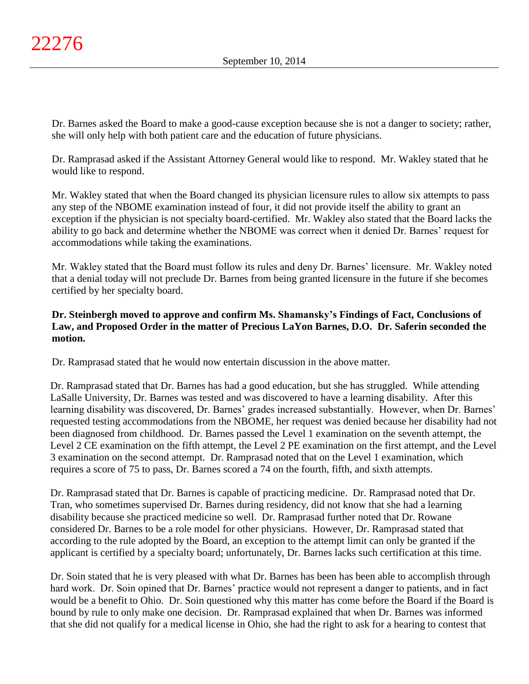Dr. Barnes asked the Board to make a good-cause exception because she is not a danger to society; rather, she will only help with both patient care and the education of future physicians.

Dr. Ramprasad asked if the Assistant Attorney General would like to respond. Mr. Wakley stated that he would like to respond.

Mr. Wakley stated that when the Board changed its physician licensure rules to allow six attempts to pass any step of the NBOME examination instead of four, it did not provide itself the ability to grant an exception if the physician is not specialty board-certified. Mr. Wakley also stated that the Board lacks the ability to go back and determine whether the NBOME was correct when it denied Dr. Barnes' request for accommodations while taking the examinations.

Mr. Wakley stated that the Board must follow its rules and deny Dr. Barnes' licensure. Mr. Wakley noted that a denial today will not preclude Dr. Barnes from being granted licensure in the future if she becomes certified by her specialty board.

# **Dr. Steinbergh moved to approve and confirm Ms. Shamansky's Findings of Fact, Conclusions of Law, and Proposed Order in the matter of Precious LaYon Barnes, D.O. Dr. Saferin seconded the motion.**

Dr. Ramprasad stated that he would now entertain discussion in the above matter.

Dr. Ramprasad stated that Dr. Barnes has had a good education, but she has struggled. While attending LaSalle University, Dr. Barnes was tested and was discovered to have a learning disability. After this learning disability was discovered, Dr. Barnes' grades increased substantially. However, when Dr. Barnes' requested testing accommodations from the NBOME, her request was denied because her disability had not been diagnosed from childhood. Dr. Barnes passed the Level 1 examination on the seventh attempt, the Level 2 CE examination on the fifth attempt, the Level 2 PE examination on the first attempt, and the Level 3 examination on the second attempt. Dr. Ramprasad noted that on the Level 1 examination, which requires a score of 75 to pass, Dr. Barnes scored a 74 on the fourth, fifth, and sixth attempts.

Dr. Ramprasad stated that Dr. Barnes is capable of practicing medicine. Dr. Ramprasad noted that Dr. Tran, who sometimes supervised Dr. Barnes during residency, did not know that she had a learning disability because she practiced medicine so well. Dr. Ramprasad further noted that Dr. Rowane considered Dr. Barnes to be a role model for other physicians. However, Dr. Ramprasad stated that according to the rule adopted by the Board, an exception to the attempt limit can only be granted if the applicant is certified by a specialty board; unfortunately, Dr. Barnes lacks such certification at this time.

Dr. Soin stated that he is very pleased with what Dr. Barnes has been has been able to accomplish through hard work. Dr. Soin opined that Dr. Barnes' practice would not represent a danger to patients, and in fact would be a benefit to Ohio. Dr. Soin questioned why this matter has come before the Board if the Board is bound by rule to only make one decision. Dr. Ramprasad explained that when Dr. Barnes was informed that she did not qualify for a medical license in Ohio, she had the right to ask for a hearing to contest that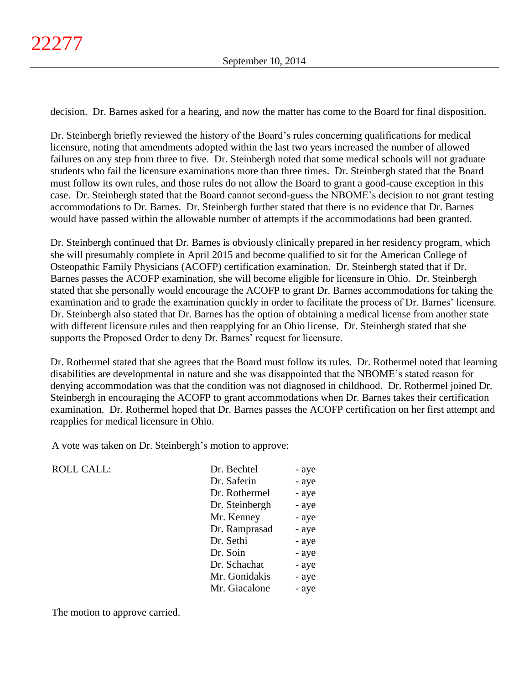decision. Dr. Barnes asked for a hearing, and now the matter has come to the Board for final disposition.

Dr. Steinbergh briefly reviewed the history of the Board's rules concerning qualifications for medical licensure, noting that amendments adopted within the last two years increased the number of allowed failures on any step from three to five. Dr. Steinbergh noted that some medical schools will not graduate students who fail the licensure examinations more than three times. Dr. Steinbergh stated that the Board must follow its own rules, and those rules do not allow the Board to grant a good-cause exception in this case. Dr. Steinbergh stated that the Board cannot second-guess the NBOME's decision to not grant testing accommodations to Dr. Barnes. Dr. Steinbergh further stated that there is no evidence that Dr. Barnes would have passed within the allowable number of attempts if the accommodations had been granted.

Dr. Steinbergh continued that Dr. Barnes is obviously clinically prepared in her residency program, which she will presumably complete in April 2015 and become qualified to sit for the American College of Osteopathic Family Physicians (ACOFP) certification examination. Dr. Steinbergh stated that if Dr. Barnes passes the ACOFP examination, she will become eligible for licensure in Ohio. Dr. Steinbergh stated that she personally would encourage the ACOFP to grant Dr. Barnes accommodations for taking the examination and to grade the examination quickly in order to facilitate the process of Dr. Barnes' licensure. Dr. Steinbergh also stated that Dr. Barnes has the option of obtaining a medical license from another state with different licensure rules and then reapplying for an Ohio license. Dr. Steinbergh stated that she supports the Proposed Order to deny Dr. Barnes' request for licensure.

Dr. Rothermel stated that she agrees that the Board must follow its rules. Dr. Rothermel noted that learning disabilities are developmental in nature and she was disappointed that the NBOME's stated reason for denying accommodation was that the condition was not diagnosed in childhood. Dr. Rothermel joined Dr. Steinbergh in encouraging the ACOFP to grant accommodations when Dr. Barnes takes their certification examination. Dr. Rothermel hoped that Dr. Barnes passes the ACOFP certification on her first attempt and reapplies for medical licensure in Ohio.

A vote was taken on Dr. Steinbergh's motion to approve:

ROLL CALL:

| Dr. Bechtel    | - aye |
|----------------|-------|
| Dr. Saferin    | - aye |
| Dr. Rothermel  | - aye |
| Dr. Steinbergh | - aye |
| Mr. Kenney     | - aye |
| Dr. Ramprasad  | - aye |
| Dr. Sethi      | - aye |
| Dr. Soin       | - aye |
| Dr. Schachat   | - aye |
| Mr. Gonidakis  | - aye |
| Mr. Giacalone  | - aye |
|                |       |

The motion to approve carried.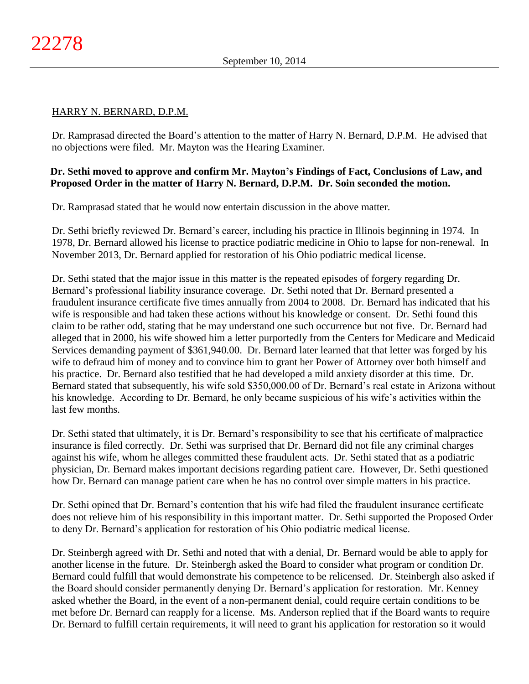### HARRY N. BERNARD, D.P.M.

Dr. Ramprasad directed the Board's attention to the matter of Harry N. Bernard, D.P.M. He advised that no objections were filed. Mr. Mayton was the Hearing Examiner.

# **Dr. Sethi moved to approve and confirm Mr. Mayton's Findings of Fact, Conclusions of Law, and Proposed Order in the matter of Harry N. Bernard, D.P.M. Dr. Soin seconded the motion.**

Dr. Ramprasad stated that he would now entertain discussion in the above matter.

Dr. Sethi briefly reviewed Dr. Bernard's career, including his practice in Illinois beginning in 1974. In 1978, Dr. Bernard allowed his license to practice podiatric medicine in Ohio to lapse for non-renewal. In November 2013, Dr. Bernard applied for restoration of his Ohio podiatric medical license.

Dr. Sethi stated that the major issue in this matter is the repeated episodes of forgery regarding Dr. Bernard's professional liability insurance coverage. Dr. Sethi noted that Dr. Bernard presented a fraudulent insurance certificate five times annually from 2004 to 2008. Dr. Bernard has indicated that his wife is responsible and had taken these actions without his knowledge or consent. Dr. Sethi found this claim to be rather odd, stating that he may understand one such occurrence but not five. Dr. Bernard had alleged that in 2000, his wife showed him a letter purportedly from the Centers for Medicare and Medicaid Services demanding payment of \$361,940.00. Dr. Bernard later learned that that letter was forged by his wife to defraud him of money and to convince him to grant her Power of Attorney over both himself and his practice. Dr. Bernard also testified that he had developed a mild anxiety disorder at this time. Dr. Bernard stated that subsequently, his wife sold \$350,000.00 of Dr. Bernard's real estate in Arizona without his knowledge. According to Dr. Bernard, he only became suspicious of his wife's activities within the last few months.

Dr. Sethi stated that ultimately, it is Dr. Bernard's responsibility to see that his certificate of malpractice insurance is filed correctly. Dr. Sethi was surprised that Dr. Bernard did not file any criminal charges against his wife, whom he alleges committed these fraudulent acts. Dr. Sethi stated that as a podiatric physician, Dr. Bernard makes important decisions regarding patient care. However, Dr. Sethi questioned how Dr. Bernard can manage patient care when he has no control over simple matters in his practice.

Dr. Sethi opined that Dr. Bernard's contention that his wife had filed the fraudulent insurance certificate does not relieve him of his responsibility in this important matter. Dr. Sethi supported the Proposed Order to deny Dr. Bernard's application for restoration of his Ohio podiatric medical license.

Dr. Steinbergh agreed with Dr. Sethi and noted that with a denial, Dr. Bernard would be able to apply for another license in the future. Dr. Steinbergh asked the Board to consider what program or condition Dr. Bernard could fulfill that would demonstrate his competence to be relicensed. Dr. Steinbergh also asked if the Board should consider permanently denying Dr. Bernard's application for restoration. Mr. Kenney asked whether the Board, in the event of a non-permanent denial, could require certain conditions to be met before Dr. Bernard can reapply for a license. Ms. Anderson replied that if the Board wants to require Dr. Bernard to fulfill certain requirements, it will need to grant his application for restoration so it would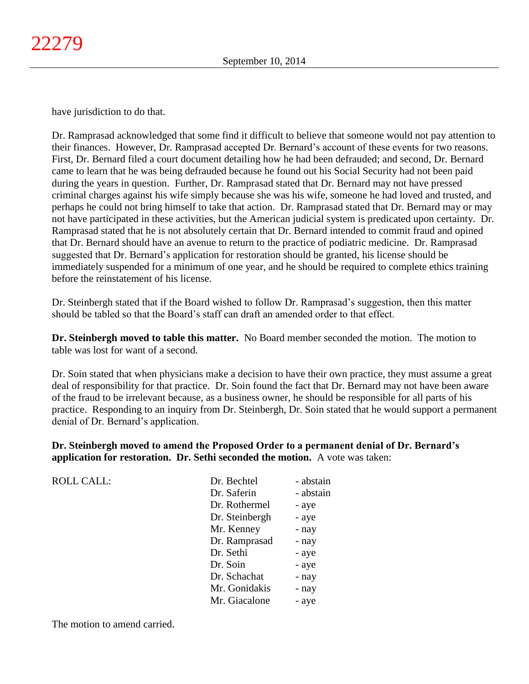have jurisdiction to do that.

Dr. Ramprasad acknowledged that some find it difficult to believe that someone would not pay attention to their finances. However, Dr. Ramprasad accepted Dr. Bernard's account of these events for two reasons. First, Dr. Bernard filed a court document detailing how he had been defrauded; and second, Dr. Bernard came to learn that he was being defrauded because he found out his Social Security had not been paid during the years in question. Further, Dr. Ramprasad stated that Dr. Bernard may not have pressed criminal charges against his wife simply because she was his wife, someone he had loved and trusted, and perhaps he could not bring himself to take that action. Dr. Ramprasad stated that Dr. Bernard may or may not have participated in these activities, but the American judicial system is predicated upon certainty. Dr. Ramprasad stated that he is not absolutely certain that Dr. Bernard intended to commit fraud and opined that Dr. Bernard should have an avenue to return to the practice of podiatric medicine. Dr. Ramprasad suggested that Dr. Bernard's application for restoration should be granted, his license should be immediately suspended for a minimum of one year, and he should be required to complete ethics training before the reinstatement of his license.

Dr. Steinbergh stated that if the Board wished to follow Dr. Ramprasad's suggestion, then this matter should be tabled so that the Board's staff can draft an amended order to that effect.

**Dr. Steinbergh moved to table this matter.** No Board member seconded the motion. The motion to table was lost for want of a second.

Dr. Soin stated that when physicians make a decision to have their own practice, they must assume a great deal of responsibility for that practice. Dr. Soin found the fact that Dr. Bernard may not have been aware of the fraud to be irrelevant because, as a business owner, he should be responsible for all parts of his practice. Responding to an inquiry from Dr. Steinbergh, Dr. Soin stated that he would support a permanent denial of Dr. Bernard's application.

**Dr. Steinbergh moved to amend the Proposed Order to a permanent denial of Dr. Bernard's application for restoration. Dr. Sethi seconded the motion.** A vote was taken:

| <b>ROLL CALL:</b> | Dr. Bechtel    | - abstain |
|-------------------|----------------|-----------|
|                   | Dr. Saferin    | - abstain |
|                   | Dr. Rothermel  | - aye     |
|                   | Dr. Steinbergh | - aye     |
|                   | Mr. Kenney     | - nay     |
|                   | Dr. Ramprasad  | - nay     |
|                   | Dr. Sethi      | - aye     |
|                   | Dr. Soin       | - aye     |
|                   | Dr. Schachat   | - nay     |
|                   | Mr. Gonidakis  | - nay     |
|                   | Mr. Giacalone  | - aye     |
|                   |                |           |

The motion to amend carried.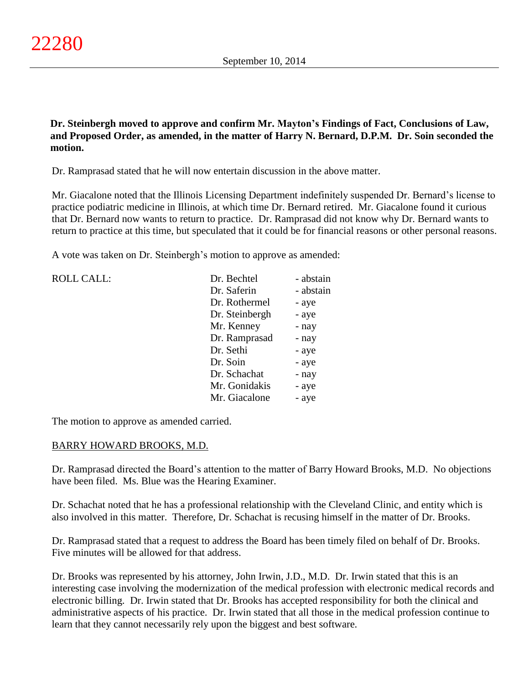**Dr. Steinbergh moved to approve and confirm Mr. Mayton's Findings of Fact, Conclusions of Law, and Proposed Order, as amended, in the matter of Harry N. Bernard, D.P.M. Dr. Soin seconded the motion.**

Dr. Ramprasad stated that he will now entertain discussion in the above matter.

Mr. Giacalone noted that the Illinois Licensing Department indefinitely suspended Dr. Bernard's license to practice podiatric medicine in Illinois, at which time Dr. Bernard retired. Mr. Giacalone found it curious that Dr. Bernard now wants to return to practice. Dr. Ramprasad did not know why Dr. Bernard wants to return to practice at this time, but speculated that it could be for financial reasons or other personal reasons.

A vote was taken on Dr. Steinbergh's motion to approve as amended:

| <b>ROLL CALL:</b> | Dr. Bechtel    | - abstain |
|-------------------|----------------|-----------|
|                   | Dr. Saferin    | - abstain |
|                   | Dr. Rothermel  | - aye     |
|                   | Dr. Steinbergh | - aye     |
|                   | Mr. Kenney     | - nay     |
|                   | Dr. Ramprasad  | - nay     |
|                   | Dr. Sethi      | - aye     |
|                   | Dr. Soin       | - aye     |
|                   | Dr. Schachat   | - nay     |
|                   | Mr. Gonidakis  | - aye     |
|                   | Mr. Giacalone  | - aye     |

The motion to approve as amended carried.

### BARRY HOWARD BROOKS, M.D.

Dr. Ramprasad directed the Board's attention to the matter of Barry Howard Brooks, M.D. No objections have been filed. Ms. Blue was the Hearing Examiner.

Dr. Schachat noted that he has a professional relationship with the Cleveland Clinic, and entity which is also involved in this matter. Therefore, Dr. Schachat is recusing himself in the matter of Dr. Brooks.

Dr. Ramprasad stated that a request to address the Board has been timely filed on behalf of Dr. Brooks. Five minutes will be allowed for that address.

Dr. Brooks was represented by his attorney, John Irwin, J.D., M.D. Dr. Irwin stated that this is an interesting case involving the modernization of the medical profession with electronic medical records and electronic billing. Dr. Irwin stated that Dr. Brooks has accepted responsibility for both the clinical and administrative aspects of his practice. Dr. Irwin stated that all those in the medical profession continue to learn that they cannot necessarily rely upon the biggest and best software.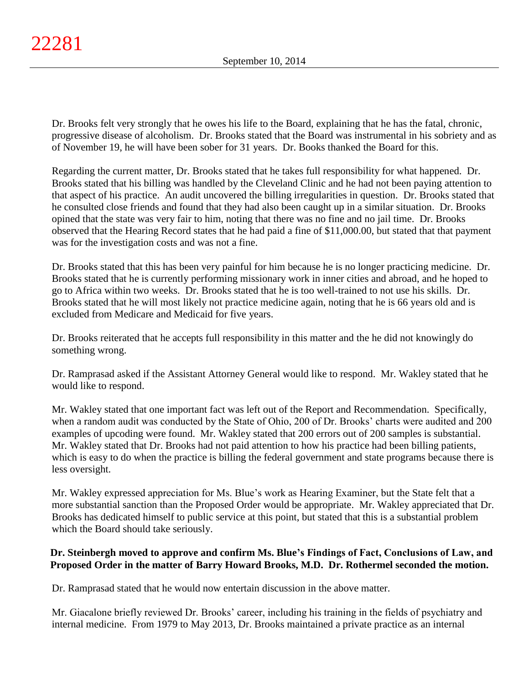Dr. Brooks felt very strongly that he owes his life to the Board, explaining that he has the fatal, chronic, progressive disease of alcoholism. Dr. Brooks stated that the Board was instrumental in his sobriety and as of November 19, he will have been sober for 31 years. Dr. Books thanked the Board for this.

Regarding the current matter, Dr. Brooks stated that he takes full responsibility for what happened. Dr. Brooks stated that his billing was handled by the Cleveland Clinic and he had not been paying attention to that aspect of his practice. An audit uncovered the billing irregularities in question. Dr. Brooks stated that he consulted close friends and found that they had also been caught up in a similar situation. Dr. Brooks opined that the state was very fair to him, noting that there was no fine and no jail time. Dr. Brooks observed that the Hearing Record states that he had paid a fine of \$11,000.00, but stated that that payment was for the investigation costs and was not a fine.

Dr. Brooks stated that this has been very painful for him because he is no longer practicing medicine. Dr. Brooks stated that he is currently performing missionary work in inner cities and abroad, and he hoped to go to Africa within two weeks. Dr. Brooks stated that he is too well-trained to not use his skills. Dr. Brooks stated that he will most likely not practice medicine again, noting that he is 66 years old and is excluded from Medicare and Medicaid for five years.

Dr. Brooks reiterated that he accepts full responsibility in this matter and the he did not knowingly do something wrong.

Dr. Ramprasad asked if the Assistant Attorney General would like to respond. Mr. Wakley stated that he would like to respond.

Mr. Wakley stated that one important fact was left out of the Report and Recommendation. Specifically, when a random audit was conducted by the State of Ohio, 200 of Dr. Brooks' charts were audited and 200 examples of upcoding were found. Mr. Wakley stated that 200 errors out of 200 samples is substantial. Mr. Wakley stated that Dr. Brooks had not paid attention to how his practice had been billing patients, which is easy to do when the practice is billing the federal government and state programs because there is less oversight.

Mr. Wakley expressed appreciation for Ms. Blue's work as Hearing Examiner, but the State felt that a more substantial sanction than the Proposed Order would be appropriate. Mr. Wakley appreciated that Dr. Brooks has dedicated himself to public service at this point, but stated that this is a substantial problem which the Board should take seriously.

# **Dr. Steinbergh moved to approve and confirm Ms. Blue's Findings of Fact, Conclusions of Law, and Proposed Order in the matter of Barry Howard Brooks, M.D. Dr. Rothermel seconded the motion.**

Dr. Ramprasad stated that he would now entertain discussion in the above matter.

Mr. Giacalone briefly reviewed Dr. Brooks' career, including his training in the fields of psychiatry and internal medicine. From 1979 to May 2013, Dr. Brooks maintained a private practice as an internal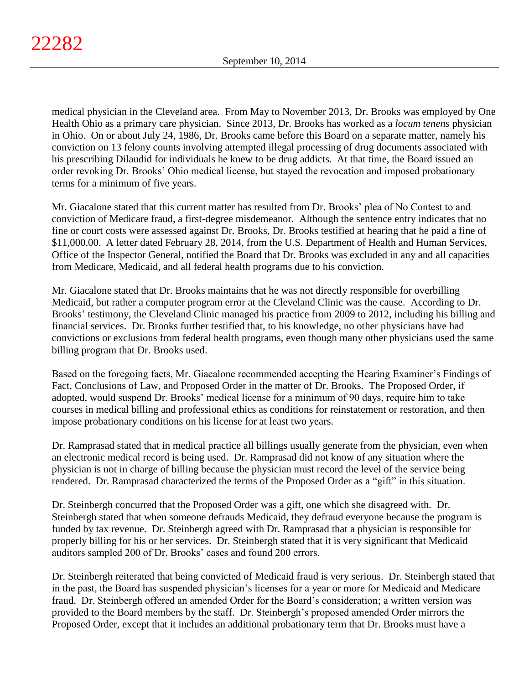medical physician in the Cleveland area. From May to November 2013, Dr. Brooks was employed by One Health Ohio as a primary care physician. Since 2013, Dr. Brooks has worked as a *locum tenens* physician in Ohio. On or about July 24, 1986, Dr. Brooks came before this Board on a separate matter, namely his conviction on 13 felony counts involving attempted illegal processing of drug documents associated with his prescribing Dilaudid for individuals he knew to be drug addicts. At that time, the Board issued an order revoking Dr. Brooks' Ohio medical license, but stayed the revocation and imposed probationary terms for a minimum of five years.

Mr. Giacalone stated that this current matter has resulted from Dr. Brooks' plea of No Contest to and conviction of Medicare fraud, a first-degree misdemeanor. Although the sentence entry indicates that no fine or court costs were assessed against Dr. Brooks, Dr. Brooks testified at hearing that he paid a fine of \$11,000.00. A letter dated February 28, 2014, from the U.S. Department of Health and Human Services, Office of the Inspector General, notified the Board that Dr. Brooks was excluded in any and all capacities from Medicare, Medicaid, and all federal health programs due to his conviction.

Mr. Giacalone stated that Dr. Brooks maintains that he was not directly responsible for overbilling Medicaid, but rather a computer program error at the Cleveland Clinic was the cause. According to Dr. Brooks' testimony, the Cleveland Clinic managed his practice from 2009 to 2012, including his billing and financial services. Dr. Brooks further testified that, to his knowledge, no other physicians have had convictions or exclusions from federal health programs, even though many other physicians used the same billing program that Dr. Brooks used.

Based on the foregoing facts, Mr. Giacalone recommended accepting the Hearing Examiner's Findings of Fact, Conclusions of Law, and Proposed Order in the matter of Dr. Brooks. The Proposed Order, if adopted, would suspend Dr. Brooks' medical license for a minimum of 90 days, require him to take courses in medical billing and professional ethics as conditions for reinstatement or restoration, and then impose probationary conditions on his license for at least two years.

Dr. Ramprasad stated that in medical practice all billings usually generate from the physician, even when an electronic medical record is being used. Dr. Ramprasad did not know of any situation where the physician is not in charge of billing because the physician must record the level of the service being rendered. Dr. Ramprasad characterized the terms of the Proposed Order as a "gift" in this situation.

Dr. Steinbergh concurred that the Proposed Order was a gift, one which she disagreed with. Dr. Steinbergh stated that when someone defrauds Medicaid, they defraud everyone because the program is funded by tax revenue. Dr. Steinbergh agreed with Dr. Ramprasad that a physician is responsible for properly billing for his or her services. Dr. Steinbergh stated that it is very significant that Medicaid auditors sampled 200 of Dr. Brooks' cases and found 200 errors.

Dr. Steinbergh reiterated that being convicted of Medicaid fraud is very serious. Dr. Steinbergh stated that in the past, the Board has suspended physician's licenses for a year or more for Medicaid and Medicare fraud. Dr. Steinbergh offered an amended Order for the Board's consideration; a written version was provided to the Board members by the staff. Dr. Steinbergh's proposed amended Order mirrors the Proposed Order, except that it includes an additional probationary term that Dr. Brooks must have a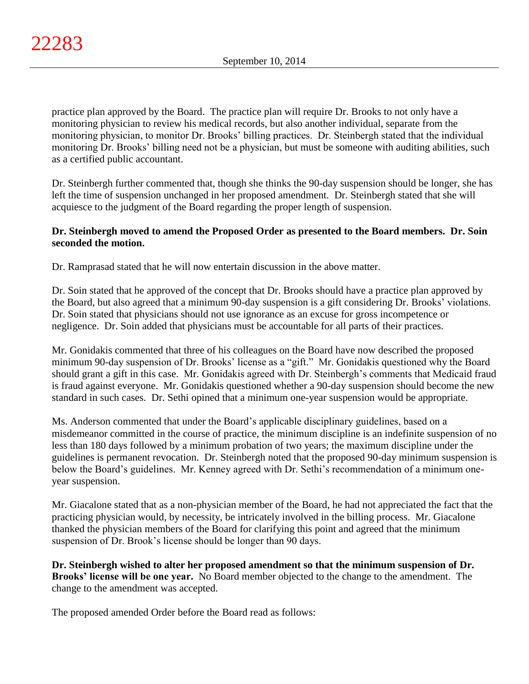practice plan approved by the Board. The practice plan will require Dr. Brooks to not only have a monitoring physician to review his medical records, but also another individual, separate from the monitoring physician, to monitor Dr. Brooks' billing practices. Dr. Steinbergh stated that the individual monitoring Dr. Brooks' billing need not be a physician, but must be someone with auditing abilities, such as a certified public accountant.

Dr. Steinbergh further commented that, though she thinks the 90-day suspension should be longer, she has left the time of suspension unchanged in her proposed amendment. Dr. Steinbergh stated that she will acquiesce to the judgment of the Board regarding the proper length of suspension.

# **Dr. Steinbergh moved to amend the Proposed Order as presented to the Board members. Dr. Soin seconded the motion.**

Dr. Ramprasad stated that he will now entertain discussion in the above matter.

Dr. Soin stated that he approved of the concept that Dr. Brooks should have a practice plan approved by the Board, but also agreed that a minimum 90-day suspension is a gift considering Dr. Brooks' violations. Dr. Soin stated that physicians should not use ignorance as an excuse for gross incompetence or negligence. Dr. Soin added that physicians must be accountable for all parts of their practices.

Mr. Gonidakis commented that three of his colleagues on the Board have now described the proposed minimum 90-day suspension of Dr. Brooks' license as a "gift." Mr. Gonidakis questioned why the Board should grant a gift in this case. Mr. Gonidakis agreed with Dr. Steinbergh's comments that Medicaid fraud is fraud against everyone. Mr. Gonidakis questioned whether a 90-day suspension should become the new standard in such cases. Dr. Sethi opined that a minimum one-year suspension would be appropriate.

Ms. Anderson commented that under the Board's applicable disciplinary guidelines, based on a misdemeanor committed in the course of practice, the minimum discipline is an indefinite suspension of no less than 180 days followed by a minimum probation of two years; the maximum discipline under the guidelines is permanent revocation. Dr. Steinbergh noted that the proposed 90-day minimum suspension is below the Board's guidelines. Mr. Kenney agreed with Dr. Sethi's recommendation of a minimum oneyear suspension.

Mr. Giacalone stated that as a non-physician member of the Board, he had not appreciated the fact that the practicing physician would, by necessity, be intricately involved in the billing process. Mr. Giacalone thanked the physician members of the Board for clarifying this point and agreed that the minimum suspension of Dr. Brook's license should be longer than 90 days.

**Dr. Steinbergh wished to alter her proposed amendment so that the minimum suspension of Dr. Brooks' license will be one year.** No Board member objected to the change to the amendment. The change to the amendment was accepted.

The proposed amended Order before the Board read as follows: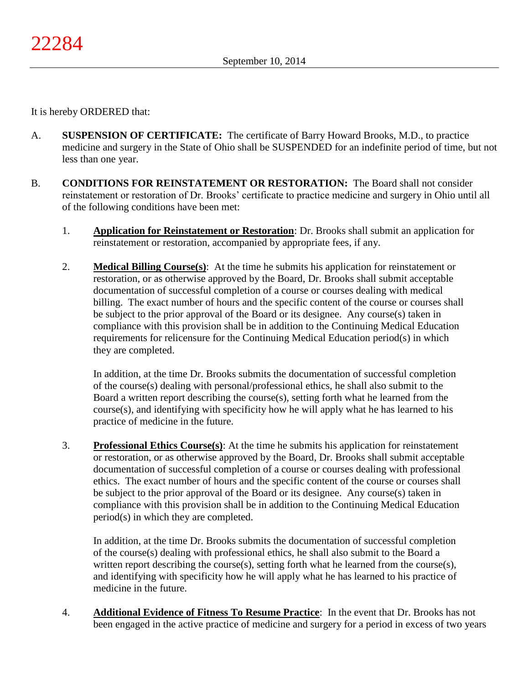It is hereby ORDERED that:

- A. **SUSPENSION OF CERTIFICATE:** The certificate of Barry Howard Brooks, M.D., to practice medicine and surgery in the State of Ohio shall be SUSPENDED for an indefinite period of time, but not less than one year.
- B. **CONDITIONS FOR REINSTATEMENT OR RESTORATION:** The Board shall not consider reinstatement or restoration of Dr. Brooks' certificate to practice medicine and surgery in Ohio until all of the following conditions have been met:
	- 1. **Application for Reinstatement or Restoration**: Dr. Brooks shall submit an application for reinstatement or restoration, accompanied by appropriate fees, if any.
	- 2. **Medical Billing Course(s)**: At the time he submits his application for reinstatement or restoration, or as otherwise approved by the Board, Dr. Brooks shall submit acceptable documentation of successful completion of a course or courses dealing with medical billing. The exact number of hours and the specific content of the course or courses shall be subject to the prior approval of the Board or its designee. Any course(s) taken in compliance with this provision shall be in addition to the Continuing Medical Education requirements for relicensure for the Continuing Medical Education period(s) in which they are completed.

In addition, at the time Dr. Brooks submits the documentation of successful completion of the course(s) dealing with personal/professional ethics, he shall also submit to the Board a written report describing the course(s), setting forth what he learned from the course(s), and identifying with specificity how he will apply what he has learned to his practice of medicine in the future.

3. **Professional Ethics Course(s)**: At the time he submits his application for reinstatement or restoration, or as otherwise approved by the Board, Dr. Brooks shall submit acceptable documentation of successful completion of a course or courses dealing with professional ethics. The exact number of hours and the specific content of the course or courses shall be subject to the prior approval of the Board or its designee. Any course(s) taken in compliance with this provision shall be in addition to the Continuing Medical Education period(s) in which they are completed.

In addition, at the time Dr. Brooks submits the documentation of successful completion of the course(s) dealing with professional ethics, he shall also submit to the Board a written report describing the course $(s)$ , setting forth what he learned from the course $(s)$ , and identifying with specificity how he will apply what he has learned to his practice of medicine in the future.

4. **Additional Evidence of Fitness To Resume Practice**: In the event that Dr. Brooks has not been engaged in the active practice of medicine and surgery for a period in excess of two years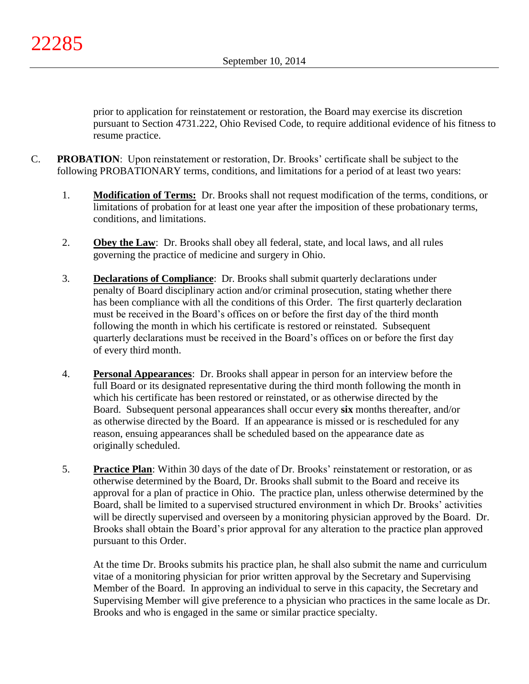prior to application for reinstatement or restoration, the Board may exercise its discretion pursuant to Section 4731.222, Ohio Revised Code, to require additional evidence of his fitness to resume practice.

- C. **PROBATION**: Upon reinstatement or restoration, Dr. Brooks' certificate shall be subject to the following PROBATIONARY terms, conditions, and limitations for a period of at least two years:
	- 1. **Modification of Terms:** Dr. Brooks shall not request modification of the terms, conditions, or limitations of probation for at least one year after the imposition of these probationary terms, conditions, and limitations.
	- 2. **Obey the Law**: Dr. Brooks shall obey all federal, state, and local laws, and all rules governing the practice of medicine and surgery in Ohio.
	- 3. **Declarations of Compliance**: Dr. Brooks shall submit quarterly declarations under penalty of Board disciplinary action and/or criminal prosecution, stating whether there has been compliance with all the conditions of this Order. The first quarterly declaration must be received in the Board's offices on or before the first day of the third month following the month in which his certificate is restored or reinstated. Subsequent quarterly declarations must be received in the Board's offices on or before the first day of every third month.
	- 4. **Personal Appearances**: Dr. Brooks shall appear in person for an interview before the full Board or its designated representative during the third month following the month in which his certificate has been restored or reinstated, or as otherwise directed by the Board. Subsequent personal appearances shall occur every **six** months thereafter, and/or as otherwise directed by the Board. If an appearance is missed or is rescheduled for any reason, ensuing appearances shall be scheduled based on the appearance date as originally scheduled.
	- 5. **Practice Plan**: Within 30 days of the date of Dr. Brooks' reinstatement or restoration, or as otherwise determined by the Board, Dr. Brooks shall submit to the Board and receive its approval for a plan of practice in Ohio. The practice plan, unless otherwise determined by the Board, shall be limited to a supervised structured environment in which Dr. Brooks' activities will be directly supervised and overseen by a monitoring physician approved by the Board. Dr. Brooks shall obtain the Board's prior approval for any alteration to the practice plan approved pursuant to this Order.

At the time Dr. Brooks submits his practice plan, he shall also submit the name and curriculum vitae of a monitoring physician for prior written approval by the Secretary and Supervising Member of the Board. In approving an individual to serve in this capacity, the Secretary and Supervising Member will give preference to a physician who practices in the same locale as Dr. Brooks and who is engaged in the same or similar practice specialty.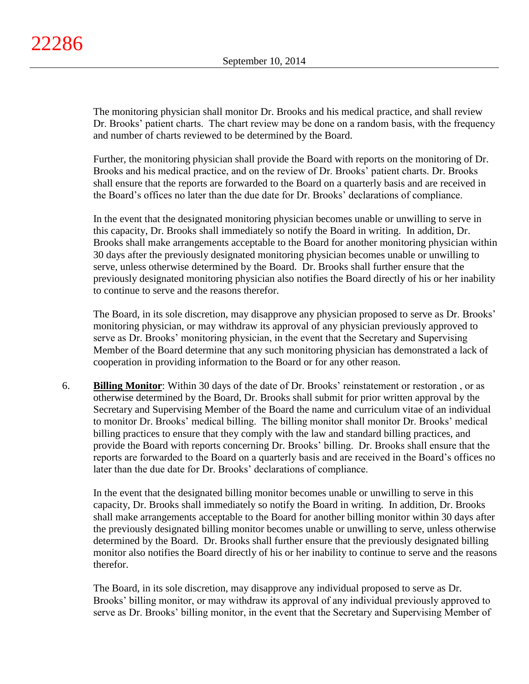The monitoring physician shall monitor Dr. Brooks and his medical practice, and shall review Dr. Brooks' patient charts. The chart review may be done on a random basis, with the frequency and number of charts reviewed to be determined by the Board.

Further, the monitoring physician shall provide the Board with reports on the monitoring of Dr. Brooks and his medical practice, and on the review of Dr. Brooks' patient charts. Dr. Brooks shall ensure that the reports are forwarded to the Board on a quarterly basis and are received in the Board's offices no later than the due date for Dr. Brooks' declarations of compliance.

In the event that the designated monitoring physician becomes unable or unwilling to serve in this capacity, Dr. Brooks shall immediately so notify the Board in writing. In addition, Dr. Brooks shall make arrangements acceptable to the Board for another monitoring physician within 30 days after the previously designated monitoring physician becomes unable or unwilling to serve, unless otherwise determined by the Board. Dr. Brooks shall further ensure that the previously designated monitoring physician also notifies the Board directly of his or her inability to continue to serve and the reasons therefor.

The Board, in its sole discretion, may disapprove any physician proposed to serve as Dr. Brooks' monitoring physician, or may withdraw its approval of any physician previously approved to serve as Dr. Brooks' monitoring physician, in the event that the Secretary and Supervising Member of the Board determine that any such monitoring physician has demonstrated a lack of cooperation in providing information to the Board or for any other reason.

6. **Billing Monitor**: Within 30 days of the date of Dr. Brooks' reinstatement or restoration , or as otherwise determined by the Board, Dr. Brooks shall submit for prior written approval by the Secretary and Supervising Member of the Board the name and curriculum vitae of an individual to monitor Dr. Brooks' medical billing. The billing monitor shall monitor Dr. Brooks' medical billing practices to ensure that they comply with the law and standard billing practices, and provide the Board with reports concerning Dr. Brooks' billing. Dr. Brooks shall ensure that the reports are forwarded to the Board on a quarterly basis and are received in the Board's offices no later than the due date for Dr. Brooks' declarations of compliance.

In the event that the designated billing monitor becomes unable or unwilling to serve in this capacity, Dr. Brooks shall immediately so notify the Board in writing. In addition, Dr. Brooks shall make arrangements acceptable to the Board for another billing monitor within 30 days after the previously designated billing monitor becomes unable or unwilling to serve, unless otherwise determined by the Board. Dr. Brooks shall further ensure that the previously designated billing monitor also notifies the Board directly of his or her inability to continue to serve and the reasons therefor.

The Board, in its sole discretion, may disapprove any individual proposed to serve as Dr. Brooks' billing monitor, or may withdraw its approval of any individual previously approved to serve as Dr. Brooks' billing monitor, in the event that the Secretary and Supervising Member of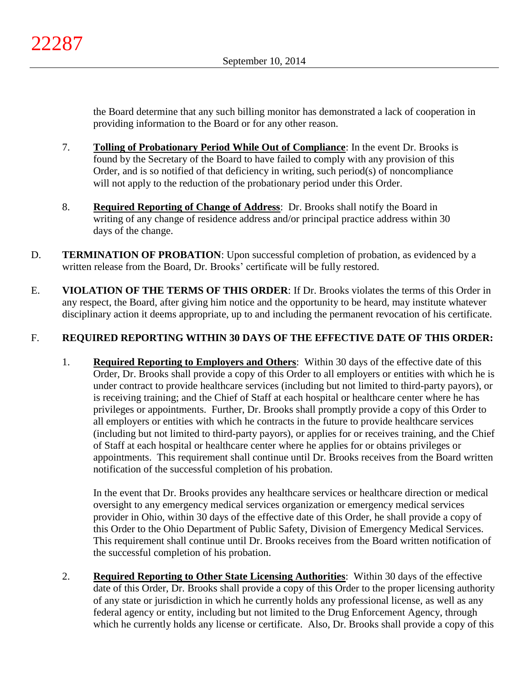the Board determine that any such billing monitor has demonstrated a lack of cooperation in providing information to the Board or for any other reason.

- 7. **Tolling of Probationary Period While Out of Compliance**: In the event Dr. Brooks is found by the Secretary of the Board to have failed to comply with any provision of this Order, and is so notified of that deficiency in writing, such period(s) of noncompliance will not apply to the reduction of the probationary period under this Order.
- 8. **Required Reporting of Change of Address**: Dr. Brooks shall notify the Board in writing of any change of residence address and/or principal practice address within 30 days of the change.
- D. **TERMINATION OF PROBATION**: Upon successful completion of probation, as evidenced by a written release from the Board, Dr. Brooks' certificate will be fully restored.
- E. **VIOLATION OF THE TERMS OF THIS ORDER**: If Dr. Brooks violates the terms of this Order in any respect, the Board, after giving him notice and the opportunity to be heard, may institute whatever disciplinary action it deems appropriate, up to and including the permanent revocation of his certificate.

# F. **REQUIRED REPORTING WITHIN 30 DAYS OF THE EFFECTIVE DATE OF THIS ORDER:**

1. **Required Reporting to Employers and Others**: Within 30 days of the effective date of this Order, Dr. Brooks shall provide a copy of this Order to all employers or entities with which he is under contract to provide healthcare services (including but not limited to third-party payors), or is receiving training; and the Chief of Staff at each hospital or healthcare center where he has privileges or appointments. Further, Dr. Brooks shall promptly provide a copy of this Order to all employers or entities with which he contracts in the future to provide healthcare services (including but not limited to third-party payors), or applies for or receives training, and the Chief of Staff at each hospital or healthcare center where he applies for or obtains privileges or appointments. This requirement shall continue until Dr. Brooks receives from the Board written notification of the successful completion of his probation.

In the event that Dr. Brooks provides any healthcare services or healthcare direction or medical oversight to any emergency medical services organization or emergency medical services provider in Ohio, within 30 days of the effective date of this Order, he shall provide a copy of this Order to the Ohio Department of Public Safety, Division of Emergency Medical Services. This requirement shall continue until Dr. Brooks receives from the Board written notification of the successful completion of his probation.

2. **Required Reporting to Other State Licensing Authorities**: Within 30 days of the effective date of this Order, Dr. Brooks shall provide a copy of this Order to the proper licensing authority of any state or jurisdiction in which he currently holds any professional license, as well as any federal agency or entity, including but not limited to the Drug Enforcement Agency, through which he currently holds any license or certificate. Also, Dr. Brooks shall provide a copy of this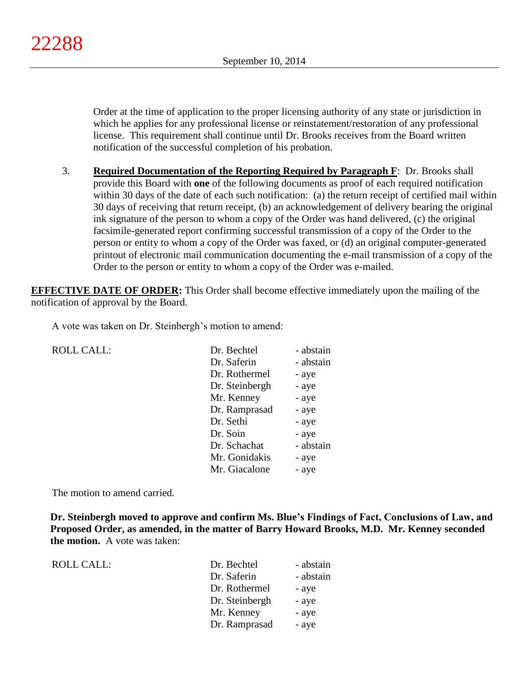Order at the time of application to the proper licensing authority of any state or jurisdiction in which he applies for any professional license or reinstatement/restoration of any professional license. This requirement shall continue until Dr. Brooks receives from the Board written notification of the successful completion of his probation.

3. **Required Documentation of the Reporting Required by Paragraph F**: Dr. Brooks shall provide this Board with **one** of the following documents as proof of each required notification within 30 days of the date of each such notification: (a) the return receipt of certified mail within 30 days of receiving that return receipt, (b) an acknowledgement of delivery bearing the original ink signature of the person to whom a copy of the Order was hand delivered, (c) the original facsimile-generated report confirming successful transmission of a copy of the Order to the person or entity to whom a copy of the Order was faxed, or (d) an original computer-generated printout of electronic mail communication documenting the e-mail transmission of a copy of the Order to the person or entity to whom a copy of the Order was e-mailed.

**EFFECTIVE DATE OF ORDER:** This Order shall become effective immediately upon the mailing of the notification of approval by the Board.

A vote was taken on Dr. Steinbergh's motion to amend:

| <b>ROLL CALL:</b> | Dr. Bechtel    | - abstain |
|-------------------|----------------|-----------|
|                   | Dr. Saferin    | - abstain |
|                   | Dr. Rothermel  | - aye     |
|                   | Dr. Steinbergh | - aye     |
|                   | Mr. Kenney     | - aye     |
|                   | Dr. Ramprasad  | - aye     |
|                   | Dr. Sethi      | - aye     |
|                   | Dr. Soin       | - aye     |
|                   | Dr. Schachat   | - abstain |
|                   | Mr. Gonidakis  | - aye     |
|                   | Mr. Giacalone  | - aye     |
|                   |                |           |

The motion to amend carried.

**Dr. Steinbergh moved to approve and confirm Ms. Blue's Findings of Fact, Conclusions of Law, and Proposed Order, as amended, in the matter of Barry Howard Brooks, M.D. Mr. Kenney seconded the motion.** A vote was taken:

| ROLL CALL: | Dr. Bechtel    | - abstain |
|------------|----------------|-----------|
|            | Dr. Saferin    | - abstain |
|            | Dr. Rothermel  | - aye     |
|            | Dr. Steinbergh | - aye     |
|            | Mr. Kenney     | - aye     |
|            | Dr. Ramprasad  | - aye     |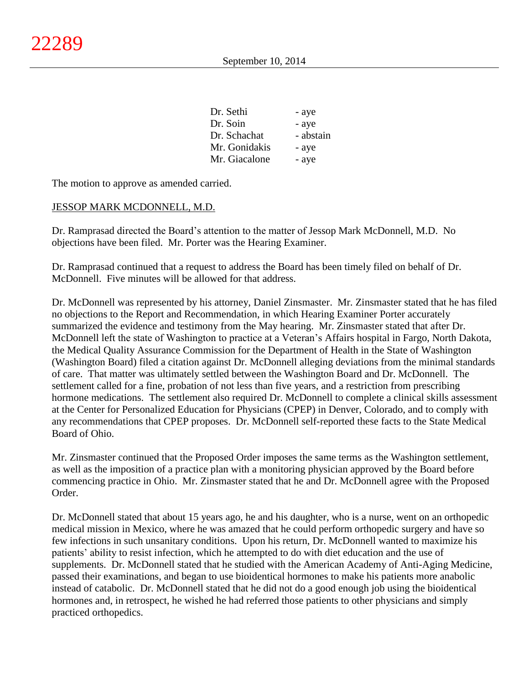| Dr. Sethi     | - aye     |
|---------------|-----------|
| Dr. Soin      | - aye     |
| Dr. Schachat  | - abstain |
| Mr. Gonidakis | - aye     |
| Mr. Giacalone | - aye     |
|               |           |

The motion to approve as amended carried.

#### JESSOP MARK MCDONNELL, M.D.

Dr. Ramprasad directed the Board's attention to the matter of Jessop Mark McDonnell, M.D. No objections have been filed. Mr. Porter was the Hearing Examiner.

Dr. Ramprasad continued that a request to address the Board has been timely filed on behalf of Dr. McDonnell. Five minutes will be allowed for that address.

Dr. McDonnell was represented by his attorney, Daniel Zinsmaster. Mr. Zinsmaster stated that he has filed no objections to the Report and Recommendation, in which Hearing Examiner Porter accurately summarized the evidence and testimony from the May hearing. Mr. Zinsmaster stated that after Dr. McDonnell left the state of Washington to practice at a Veteran's Affairs hospital in Fargo, North Dakota, the Medical Quality Assurance Commission for the Department of Health in the State of Washington (Washington Board) filed a citation against Dr. McDonnell alleging deviations from the minimal standards of care. That matter was ultimately settled between the Washington Board and Dr. McDonnell. The settlement called for a fine, probation of not less than five years, and a restriction from prescribing hormone medications. The settlement also required Dr. McDonnell to complete a clinical skills assessment at the Center for Personalized Education for Physicians (CPEP) in Denver, Colorado, and to comply with any recommendations that CPEP proposes. Dr. McDonnell self-reported these facts to the State Medical Board of Ohio.

Mr. Zinsmaster continued that the Proposed Order imposes the same terms as the Washington settlement, as well as the imposition of a practice plan with a monitoring physician approved by the Board before commencing practice in Ohio. Mr. Zinsmaster stated that he and Dr. McDonnell agree with the Proposed Order.

Dr. McDonnell stated that about 15 years ago, he and his daughter, who is a nurse, went on an orthopedic medical mission in Mexico, where he was amazed that he could perform orthopedic surgery and have so few infections in such unsanitary conditions. Upon his return, Dr. McDonnell wanted to maximize his patients' ability to resist infection, which he attempted to do with diet education and the use of supplements. Dr. McDonnell stated that he studied with the American Academy of Anti-Aging Medicine, passed their examinations, and began to use bioidentical hormones to make his patients more anabolic instead of catabolic. Dr. McDonnell stated that he did not do a good enough job using the bioidentical hormones and, in retrospect, he wished he had referred those patients to other physicians and simply practiced orthopedics.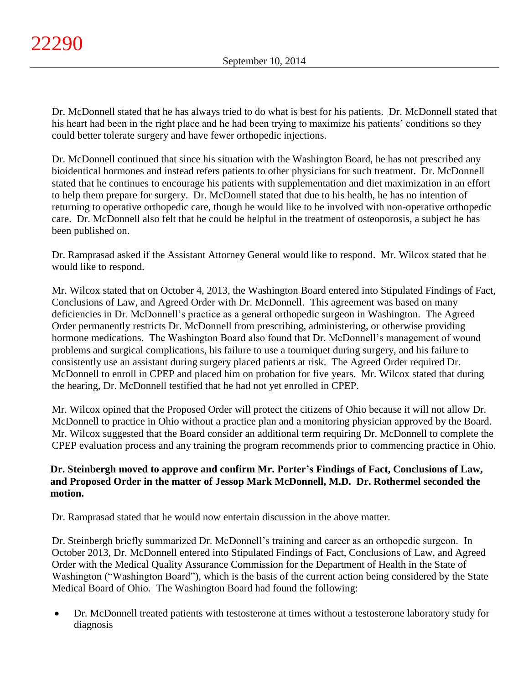Dr. McDonnell stated that he has always tried to do what is best for his patients. Dr. McDonnell stated that his heart had been in the right place and he had been trying to maximize his patients' conditions so they could better tolerate surgery and have fewer orthopedic injections.

Dr. McDonnell continued that since his situation with the Washington Board, he has not prescribed any bioidentical hormones and instead refers patients to other physicians for such treatment. Dr. McDonnell stated that he continues to encourage his patients with supplementation and diet maximization in an effort to help them prepare for surgery. Dr. McDonnell stated that due to his health, he has no intention of returning to operative orthopedic care, though he would like to be involved with non-operative orthopedic care. Dr. McDonnell also felt that he could be helpful in the treatment of osteoporosis, a subject he has been published on.

Dr. Ramprasad asked if the Assistant Attorney General would like to respond. Mr. Wilcox stated that he would like to respond.

Mr. Wilcox stated that on October 4, 2013, the Washington Board entered into Stipulated Findings of Fact, Conclusions of Law, and Agreed Order with Dr. McDonnell. This agreement was based on many deficiencies in Dr. McDonnell's practice as a general orthopedic surgeon in Washington. The Agreed Order permanently restricts Dr. McDonnell from prescribing, administering, or otherwise providing hormone medications. The Washington Board also found that Dr. McDonnell's management of wound problems and surgical complications, his failure to use a tourniquet during surgery, and his failure to consistently use an assistant during surgery placed patients at risk. The Agreed Order required Dr. McDonnell to enroll in CPEP and placed him on probation for five years. Mr. Wilcox stated that during the hearing, Dr. McDonnell testified that he had not yet enrolled in CPEP.

Mr. Wilcox opined that the Proposed Order will protect the citizens of Ohio because it will not allow Dr. McDonnell to practice in Ohio without a practice plan and a monitoring physician approved by the Board. Mr. Wilcox suggested that the Board consider an additional term requiring Dr. McDonnell to complete the CPEP evaluation process and any training the program recommends prior to commencing practice in Ohio.

# **Dr. Steinbergh moved to approve and confirm Mr. Porter's Findings of Fact, Conclusions of Law, and Proposed Order in the matter of Jessop Mark McDonnell, M.D. Dr. Rothermel seconded the motion.**

Dr. Ramprasad stated that he would now entertain discussion in the above matter.

Dr. Steinbergh briefly summarized Dr. McDonnell's training and career as an orthopedic surgeon. In October 2013, Dr. McDonnell entered into Stipulated Findings of Fact, Conclusions of Law, and Agreed Order with the Medical Quality Assurance Commission for the Department of Health in the State of Washington ("Washington Board"), which is the basis of the current action being considered by the State Medical Board of Ohio. The Washington Board had found the following:

 Dr. McDonnell treated patients with testosterone at times without a testosterone laboratory study for diagnosis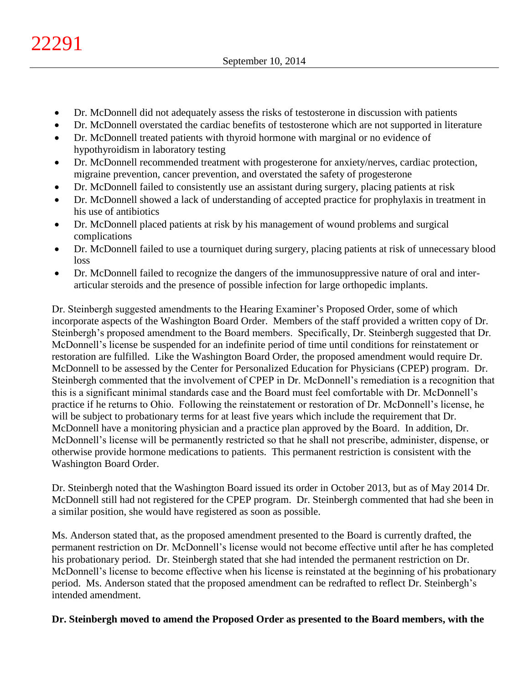- Dr. McDonnell did not adequately assess the risks of testosterone in discussion with patients
- Dr. McDonnell overstated the cardiac benefits of testosterone which are not supported in literature
- Dr. McDonnell treated patients with thyroid hormone with marginal or no evidence of hypothyroidism in laboratory testing
- Dr. McDonnell recommended treatment with progesterone for anxiety/nerves, cardiac protection, migraine prevention, cancer prevention, and overstated the safety of progesterone
- Dr. McDonnell failed to consistently use an assistant during surgery, placing patients at risk
- Dr. McDonnell showed a lack of understanding of accepted practice for prophylaxis in treatment in his use of antibiotics
- Dr. McDonnell placed patients at risk by his management of wound problems and surgical complications
- Dr. McDonnell failed to use a tourniquet during surgery, placing patients at risk of unnecessary blood loss
- Dr. McDonnell failed to recognize the dangers of the immunosuppressive nature of oral and interarticular steroids and the presence of possible infection for large orthopedic implants.

Dr. Steinbergh suggested amendments to the Hearing Examiner's Proposed Order, some of which incorporate aspects of the Washington Board Order. Members of the staff provided a written copy of Dr. Steinbergh's proposed amendment to the Board members. Specifically, Dr. Steinbergh suggested that Dr. McDonnell's license be suspended for an indefinite period of time until conditions for reinstatement or restoration are fulfilled. Like the Washington Board Order, the proposed amendment would require Dr. McDonnell to be assessed by the Center for Personalized Education for Physicians (CPEP) program. Dr. Steinbergh commented that the involvement of CPEP in Dr. McDonnell's remediation is a recognition that this is a significant minimal standards case and the Board must feel comfortable with Dr. McDonnell's practice if he returns to Ohio. Following the reinstatement or restoration of Dr. McDonnell's license, he will be subject to probationary terms for at least five years which include the requirement that Dr. McDonnell have a monitoring physician and a practice plan approved by the Board. In addition, Dr. McDonnell's license will be permanently restricted so that he shall not prescribe, administer, dispense, or otherwise provide hormone medications to patients. This permanent restriction is consistent with the Washington Board Order.

Dr. Steinbergh noted that the Washington Board issued its order in October 2013, but as of May 2014 Dr. McDonnell still had not registered for the CPEP program. Dr. Steinbergh commented that had she been in a similar position, she would have registered as soon as possible.

Ms. Anderson stated that, as the proposed amendment presented to the Board is currently drafted, the permanent restriction on Dr. McDonnell's license would not become effective until after he has completed his probationary period. Dr. Steinbergh stated that she had intended the permanent restriction on Dr. McDonnell's license to become effective when his license is reinstated at the beginning of his probationary period. Ms. Anderson stated that the proposed amendment can be redrafted to reflect Dr. Steinbergh's intended amendment.

# **Dr. Steinbergh moved to amend the Proposed Order as presented to the Board members, with the**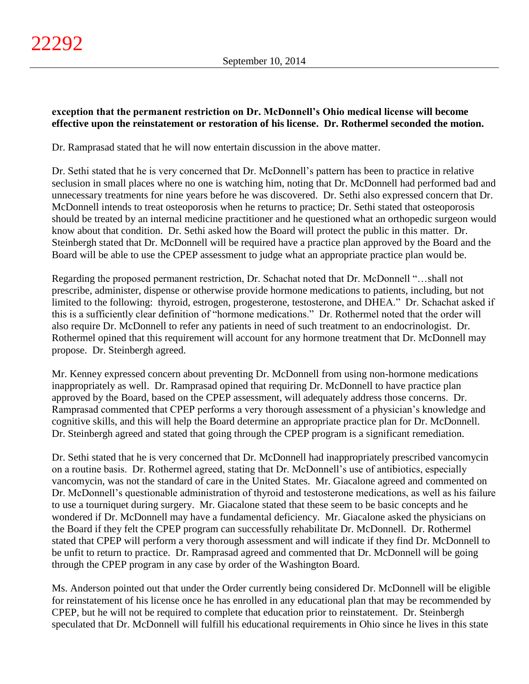# **exception that the permanent restriction on Dr. McDonnell's Ohio medical license will become effective upon the reinstatement or restoration of his license. Dr. Rothermel seconded the motion.**

Dr. Ramprasad stated that he will now entertain discussion in the above matter.

Dr. Sethi stated that he is very concerned that Dr. McDonnell's pattern has been to practice in relative seclusion in small places where no one is watching him, noting that Dr. McDonnell had performed bad and unnecessary treatments for nine years before he was discovered. Dr. Sethi also expressed concern that Dr. McDonnell intends to treat osteoporosis when he returns to practice; Dr. Sethi stated that osteoporosis should be treated by an internal medicine practitioner and he questioned what an orthopedic surgeon would know about that condition. Dr. Sethi asked how the Board will protect the public in this matter. Dr. Steinbergh stated that Dr. McDonnell will be required have a practice plan approved by the Board and the Board will be able to use the CPEP assessment to judge what an appropriate practice plan would be.

Regarding the proposed permanent restriction, Dr. Schachat noted that Dr. McDonnell "…shall not prescribe, administer, dispense or otherwise provide hormone medications to patients, including, but not limited to the following: thyroid, estrogen, progesterone, testosterone, and DHEA." Dr. Schachat asked if this is a sufficiently clear definition of "hormone medications." Dr. Rothermel noted that the order will also require Dr. McDonnell to refer any patients in need of such treatment to an endocrinologist. Dr. Rothermel opined that this requirement will account for any hormone treatment that Dr. McDonnell may propose. Dr. Steinbergh agreed.

Mr. Kenney expressed concern about preventing Dr. McDonnell from using non-hormone medications inappropriately as well. Dr. Ramprasad opined that requiring Dr. McDonnell to have practice plan approved by the Board, based on the CPEP assessment, will adequately address those concerns. Dr. Ramprasad commented that CPEP performs a very thorough assessment of a physician's knowledge and cognitive skills, and this will help the Board determine an appropriate practice plan for Dr. McDonnell. Dr. Steinbergh agreed and stated that going through the CPEP program is a significant remediation.

Dr. Sethi stated that he is very concerned that Dr. McDonnell had inappropriately prescribed vancomycin on a routine basis. Dr. Rothermel agreed, stating that Dr. McDonnell's use of antibiotics, especially vancomycin, was not the standard of care in the United States. Mr. Giacalone agreed and commented on Dr. McDonnell's questionable administration of thyroid and testosterone medications, as well as his failure to use a tourniquet during surgery. Mr. Giacalone stated that these seem to be basic concepts and he wondered if Dr. McDonnell may have a fundamental deficiency. Mr. Giacalone asked the physicians on the Board if they felt the CPEP program can successfully rehabilitate Dr. McDonnell. Dr. Rothermel stated that CPEP will perform a very thorough assessment and will indicate if they find Dr. McDonnell to be unfit to return to practice. Dr. Ramprasad agreed and commented that Dr. McDonnell will be going through the CPEP program in any case by order of the Washington Board.

Ms. Anderson pointed out that under the Order currently being considered Dr. McDonnell will be eligible for reinstatement of his license once he has enrolled in any educational plan that may be recommended by CPEP, but he will not be required to complete that education prior to reinstatement. Dr. Steinbergh speculated that Dr. McDonnell will fulfill his educational requirements in Ohio since he lives in this state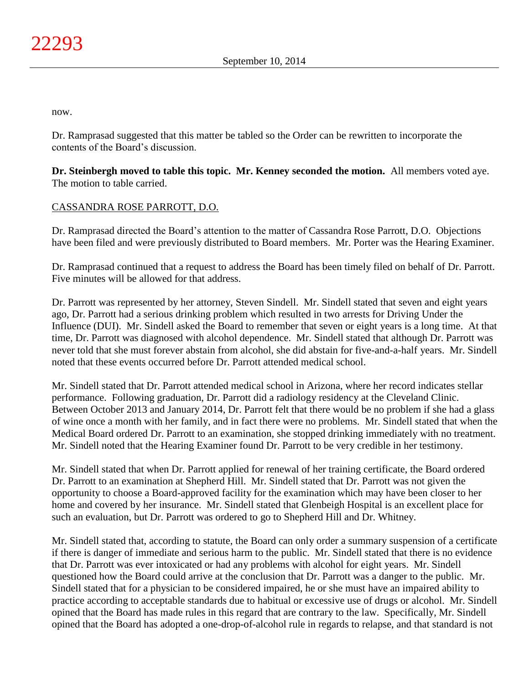now.

Dr. Ramprasad suggested that this matter be tabled so the Order can be rewritten to incorporate the contents of the Board's discussion.

**Dr. Steinbergh moved to table this topic. Mr. Kenney seconded the motion.** All members voted aye. The motion to table carried.

# CASSANDRA ROSE PARROTT, D.O.

Dr. Ramprasad directed the Board's attention to the matter of Cassandra Rose Parrott, D.O. Objections have been filed and were previously distributed to Board members. Mr. Porter was the Hearing Examiner.

Dr. Ramprasad continued that a request to address the Board has been timely filed on behalf of Dr. Parrott. Five minutes will be allowed for that address.

Dr. Parrott was represented by her attorney, Steven Sindell. Mr. Sindell stated that seven and eight years ago, Dr. Parrott had a serious drinking problem which resulted in two arrests for Driving Under the Influence (DUI). Mr. Sindell asked the Board to remember that seven or eight years is a long time. At that time, Dr. Parrott was diagnosed with alcohol dependence. Mr. Sindell stated that although Dr. Parrott was never told that she must forever abstain from alcohol, she did abstain for five-and-a-half years. Mr. Sindell noted that these events occurred before Dr. Parrott attended medical school.

Mr. Sindell stated that Dr. Parrott attended medical school in Arizona, where her record indicates stellar performance. Following graduation, Dr. Parrott did a radiology residency at the Cleveland Clinic. Between October 2013 and January 2014, Dr. Parrott felt that there would be no problem if she had a glass of wine once a month with her family, and in fact there were no problems. Mr. Sindell stated that when the Medical Board ordered Dr. Parrott to an examination, she stopped drinking immediately with no treatment. Mr. Sindell noted that the Hearing Examiner found Dr. Parrott to be very credible in her testimony.

Mr. Sindell stated that when Dr. Parrott applied for renewal of her training certificate, the Board ordered Dr. Parrott to an examination at Shepherd Hill. Mr. Sindell stated that Dr. Parrott was not given the opportunity to choose a Board-approved facility for the examination which may have been closer to her home and covered by her insurance. Mr. Sindell stated that Glenbeigh Hospital is an excellent place for such an evaluation, but Dr. Parrott was ordered to go to Shepherd Hill and Dr. Whitney.

Mr. Sindell stated that, according to statute, the Board can only order a summary suspension of a certificate if there is danger of immediate and serious harm to the public. Mr. Sindell stated that there is no evidence that Dr. Parrott was ever intoxicated or had any problems with alcohol for eight years. Mr. Sindell questioned how the Board could arrive at the conclusion that Dr. Parrott was a danger to the public. Mr. Sindell stated that for a physician to be considered impaired, he or she must have an impaired ability to practice according to acceptable standards due to habitual or excessive use of drugs or alcohol. Mr. Sindell opined that the Board has made rules in this regard that are contrary to the law. Specifically, Mr. Sindell opined that the Board has adopted a one-drop-of-alcohol rule in regards to relapse, and that standard is not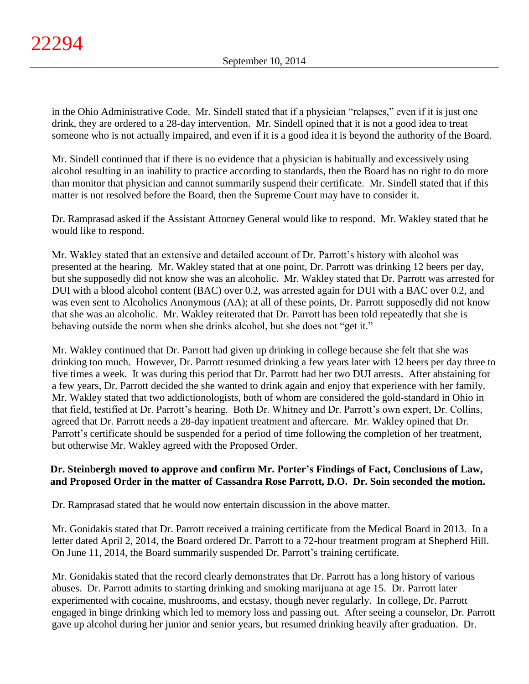in the Ohio Administrative Code. Mr. Sindell stated that if a physician "relapses," even if it is just one drink, they are ordered to a 28-day intervention. Mr. Sindell opined that it is not a good idea to treat someone who is not actually impaired, and even if it is a good idea it is beyond the authority of the Board.

Mr. Sindell continued that if there is no evidence that a physician is habitually and excessively using alcohol resulting in an inability to practice according to standards, then the Board has no right to do more than monitor that physician and cannot summarily suspend their certificate. Mr. Sindell stated that if this matter is not resolved before the Board, then the Supreme Court may have to consider it.

Dr. Ramprasad asked if the Assistant Attorney General would like to respond. Mr. Wakley stated that he would like to respond.

Mr. Wakley stated that an extensive and detailed account of Dr. Parrott's history with alcohol was presented at the hearing. Mr. Wakley stated that at one point, Dr. Parrott was drinking 12 beers per day, but she supposedly did not know she was an alcoholic. Mr. Wakley stated that Dr. Parrott was arrested for DUI with a blood alcohol content (BAC) over 0.2, was arrested again for DUI with a BAC over 0.2, and was even sent to Alcoholics Anonymous (AA); at all of these points, Dr. Parrott supposedly did not know that she was an alcoholic. Mr. Wakley reiterated that Dr. Parrott has been told repeatedly that she is behaving outside the norm when she drinks alcohol, but she does not "get it."

Mr. Wakley continued that Dr. Parrott had given up drinking in college because she felt that she was drinking too much. However, Dr. Parrott resumed drinking a few years later with 12 beers per day three to five times a week. It was during this period that Dr. Parrott had her two DUI arrests. After abstaining for a few years, Dr. Parrott decided the she wanted to drink again and enjoy that experience with her family. Mr. Wakley stated that two addictionologists, both of whom are considered the gold-standard in Ohio in that field, testified at Dr. Parrott's hearing. Both Dr. Whitney and Dr. Parrott's own expert, Dr. Collins, agreed that Dr. Parrott needs a 28-day inpatient treatment and aftercare. Mr. Wakley opined that Dr. Parrott's certificate should be suspended for a period of time following the completion of her treatment, but otherwise Mr. Wakley agreed with the Proposed Order.

# **Dr. Steinbergh moved to approve and confirm Mr. Porter's Findings of Fact, Conclusions of Law, and Proposed Order in the matter of Cassandra Rose Parrott, D.O. Dr. Soin seconded the motion.**

Dr. Ramprasad stated that he would now entertain discussion in the above matter.

Mr. Gonidakis stated that Dr. Parrott received a training certificate from the Medical Board in 2013. In a letter dated April 2, 2014, the Board ordered Dr. Parrott to a 72-hour treatment program at Shepherd Hill. On June 11, 2014, the Board summarily suspended Dr. Parrott's training certificate.

Mr. Gonidakis stated that the record clearly demonstrates that Dr. Parrott has a long history of various abuses. Dr. Parrott admits to starting drinking and smoking marijuana at age 15. Dr. Parrott later experimented with cocaine, mushrooms, and ecstasy, though never regularly. In college, Dr. Parrott engaged in binge drinking which led to memory loss and passing out. After seeing a counselor, Dr. Parrott gave up alcohol during her junior and senior years, but resumed drinking heavily after graduation. Dr.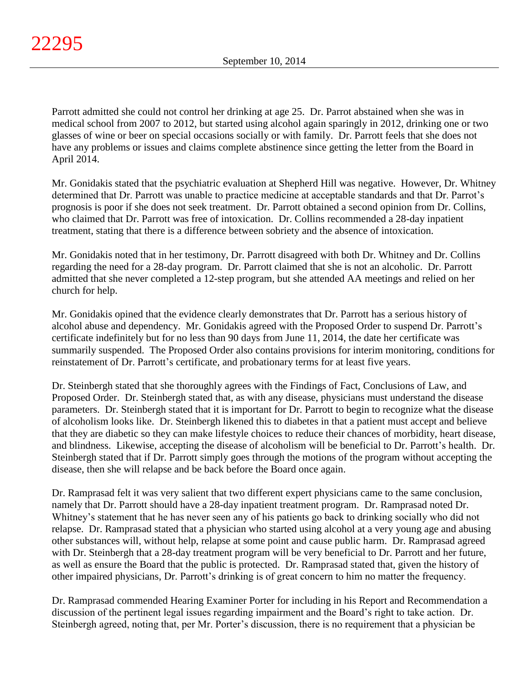Parrott admitted she could not control her drinking at age 25. Dr. Parrot abstained when she was in medical school from 2007 to 2012, but started using alcohol again sparingly in 2012, drinking one or two glasses of wine or beer on special occasions socially or with family. Dr. Parrott feels that she does not have any problems or issues and claims complete abstinence since getting the letter from the Board in April 2014.

Mr. Gonidakis stated that the psychiatric evaluation at Shepherd Hill was negative. However, Dr. Whitney determined that Dr. Parrott was unable to practice medicine at acceptable standards and that Dr. Parrot's prognosis is poor if she does not seek treatment. Dr. Parrott obtained a second opinion from Dr. Collins, who claimed that Dr. Parrott was free of intoxication. Dr. Collins recommended a 28-day inpatient treatment, stating that there is a difference between sobriety and the absence of intoxication.

Mr. Gonidakis noted that in her testimony, Dr. Parrott disagreed with both Dr. Whitney and Dr. Collins regarding the need for a 28-day program. Dr. Parrott claimed that she is not an alcoholic. Dr. Parrott admitted that she never completed a 12-step program, but she attended AA meetings and relied on her church for help.

Mr. Gonidakis opined that the evidence clearly demonstrates that Dr. Parrott has a serious history of alcohol abuse and dependency. Mr. Gonidakis agreed with the Proposed Order to suspend Dr. Parrott's certificate indefinitely but for no less than 90 days from June 11, 2014, the date her certificate was summarily suspended. The Proposed Order also contains provisions for interim monitoring, conditions for reinstatement of Dr. Parrott's certificate, and probationary terms for at least five years.

Dr. Steinbergh stated that she thoroughly agrees with the Findings of Fact, Conclusions of Law, and Proposed Order. Dr. Steinbergh stated that, as with any disease, physicians must understand the disease parameters. Dr. Steinbergh stated that it is important for Dr. Parrott to begin to recognize what the disease of alcoholism looks like. Dr. Steinbergh likened this to diabetes in that a patient must accept and believe that they are diabetic so they can make lifestyle choices to reduce their chances of morbidity, heart disease, and blindness. Likewise, accepting the disease of alcoholism will be beneficial to Dr. Parrott's health. Dr. Steinbergh stated that if Dr. Parrott simply goes through the motions of the program without accepting the disease, then she will relapse and be back before the Board once again.

Dr. Ramprasad felt it was very salient that two different expert physicians came to the same conclusion, namely that Dr. Parrott should have a 28-day inpatient treatment program. Dr. Ramprasad noted Dr. Whitney's statement that he has never seen any of his patients go back to drinking socially who did not relapse. Dr. Ramprasad stated that a physician who started using alcohol at a very young age and abusing other substances will, without help, relapse at some point and cause public harm. Dr. Ramprasad agreed with Dr. Steinbergh that a 28-day treatment program will be very beneficial to Dr. Parrott and her future, as well as ensure the Board that the public is protected. Dr. Ramprasad stated that, given the history of other impaired physicians, Dr. Parrott's drinking is of great concern to him no matter the frequency.

Dr. Ramprasad commended Hearing Examiner Porter for including in his Report and Recommendation a discussion of the pertinent legal issues regarding impairment and the Board's right to take action. Dr. Steinbergh agreed, noting that, per Mr. Porter's discussion, there is no requirement that a physician be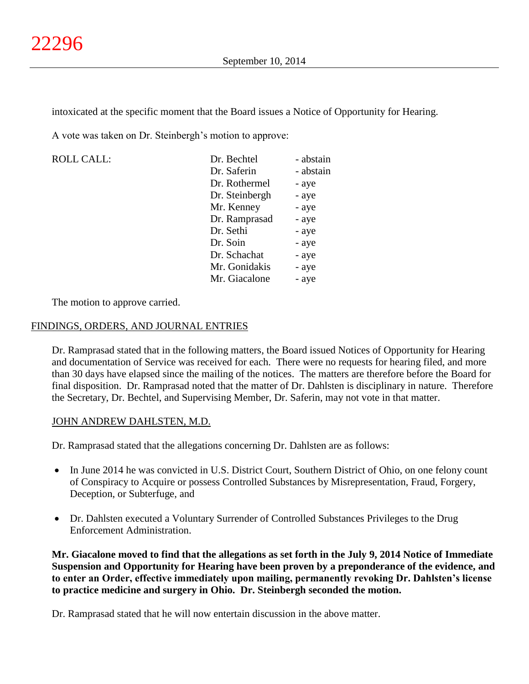intoxicated at the specific moment that the Board issues a Notice of Opportunity for Hearing.

A vote was taken on Dr. Steinbergh's motion to approve:

 $ROLL CALL$ :

| Dr. Bechtel    | - abstain |
|----------------|-----------|
| Dr. Saferin    | - abstain |
| Dr. Rothermel  | - aye     |
| Dr. Steinbergh | - aye     |
| Mr. Kenney     | - aye     |
| Dr. Ramprasad  | - aye     |
| Dr. Sethi      | - aye     |
| Dr. Soin       | - aye     |
| Dr. Schachat   | - aye     |
| Mr. Gonidakis  | - aye     |
| Mr. Giacalone  | - aye     |

The motion to approve carried.

#### FINDINGS, ORDERS, AND JOURNAL ENTRIES

Dr. Ramprasad stated that in the following matters, the Board issued Notices of Opportunity for Hearing and documentation of Service was received for each. There were no requests for hearing filed, and more than 30 days have elapsed since the mailing of the notices. The matters are therefore before the Board for final disposition. Dr. Ramprasad noted that the matter of Dr. Dahlsten is disciplinary in nature. Therefore the Secretary, Dr. Bechtel, and Supervising Member, Dr. Saferin, may not vote in that matter.

### JOHN ANDREW DAHLSTEN, M.D.

Dr. Ramprasad stated that the allegations concerning Dr. Dahlsten are as follows:

- In June 2014 he was convicted in U.S. District Court, Southern District of Ohio, on one felony count of Conspiracy to Acquire or possess Controlled Substances by Misrepresentation, Fraud, Forgery, Deception, or Subterfuge, and
- Dr. Dahlsten executed a Voluntary Surrender of Controlled Substances Privileges to the Drug Enforcement Administration.

**Mr. Giacalone moved to find that the allegations as set forth in the July 9, 2014 Notice of Immediate Suspension and Opportunity for Hearing have been proven by a preponderance of the evidence, and to enter an Order, effective immediately upon mailing, permanently revoking Dr. Dahlsten's license to practice medicine and surgery in Ohio. Dr. Steinbergh seconded the motion.**

Dr. Ramprasad stated that he will now entertain discussion in the above matter.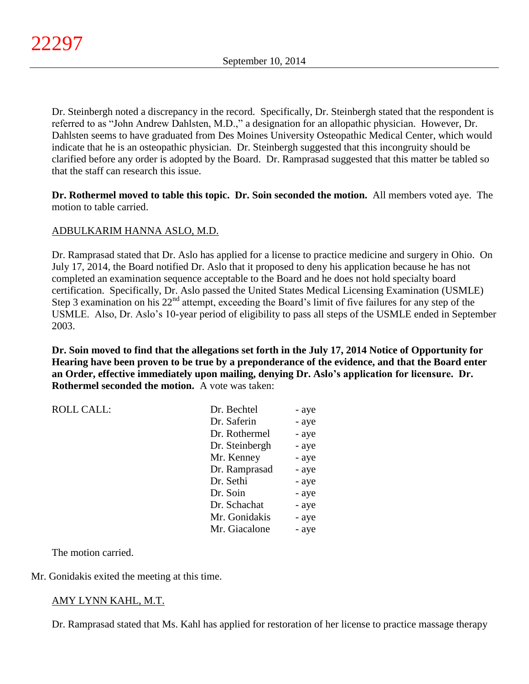Dr. Steinbergh noted a discrepancy in the record. Specifically, Dr. Steinbergh stated that the respondent is referred to as "John Andrew Dahlsten, M.D.," a designation for an allopathic physician. However, Dr. Dahlsten seems to have graduated from Des Moines University Osteopathic Medical Center, which would indicate that he is an osteopathic physician. Dr. Steinbergh suggested that this incongruity should be clarified before any order is adopted by the Board. Dr. Ramprasad suggested that this matter be tabled so that the staff can research this issue.

**Dr. Rothermel moved to table this topic. Dr. Soin seconded the motion.** All members voted aye. The motion to table carried.

# ADBULKARIM HANNA ASLO, M.D.

Dr. Ramprasad stated that Dr. Aslo has applied for a license to practice medicine and surgery in Ohio. On July 17, 2014, the Board notified Dr. Aslo that it proposed to deny his application because he has not completed an examination sequence acceptable to the Board and he does not hold specialty board certification. Specifically, Dr. Aslo passed the United States Medical Licensing Examination (USMLE) Step 3 examination on his  $22<sup>nd</sup>$  attempt, exceeding the Board's limit of five failures for any step of the USMLE. Also, Dr. Aslo's 10-year period of eligibility to pass all steps of the USMLE ended in September 2003.

**Dr. Soin moved to find that the allegations set forth in the July 17, 2014 Notice of Opportunity for Hearing have been proven to be true by a preponderance of the evidence, and that the Board enter an Order, effective immediately upon mailing, denying Dr. Aslo's application for licensure. Dr. Rothermel seconded the motion.** A vote was taken:

| <b>ROLL CALL:</b> | Dr. Bechtel    | - aye |
|-------------------|----------------|-------|
|                   | Dr. Saferin    | - aye |
|                   | Dr. Rothermel  | - aye |
|                   | Dr. Steinbergh | - aye |
|                   | Mr. Kenney     | - aye |
|                   | Dr. Ramprasad  | - aye |
|                   | Dr. Sethi      | - aye |
|                   | Dr. Soin       | - aye |
|                   | Dr. Schachat   | - aye |
|                   | Mr. Gonidakis  | - aye |
|                   | Mr. Giacalone  | - aye |

The motion carried.

Mr. Gonidakis exited the meeting at this time.

# AMY LYNN KAHL, M.T.

Dr. Ramprasad stated that Ms. Kahl has applied for restoration of her license to practice massage therapy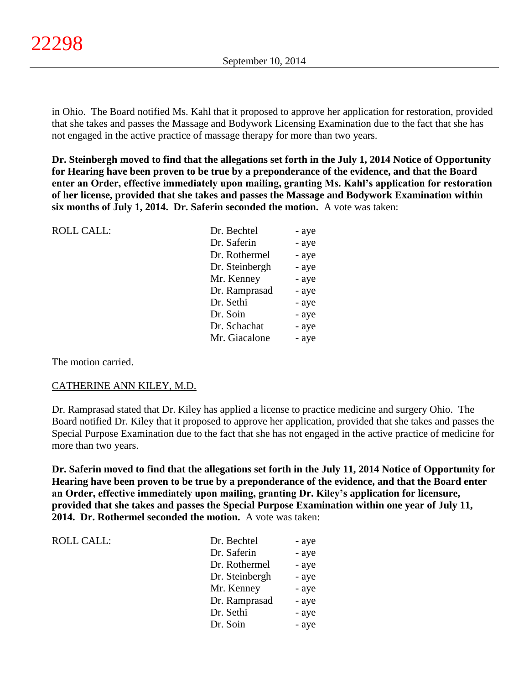in Ohio. The Board notified Ms. Kahl that it proposed to approve her application for restoration, provided that she takes and passes the Massage and Bodywork Licensing Examination due to the fact that she has not engaged in the active practice of massage therapy for more than two years.

**Dr. Steinbergh moved to find that the allegations set forth in the July 1, 2014 Notice of Opportunity for Hearing have been proven to be true by a preponderance of the evidence, and that the Board enter an Order, effective immediately upon mailing, granting Ms. Kahl's application for restoration of her license, provided that she takes and passes the Massage and Bodywork Examination within six months of July 1, 2014. Dr. Saferin seconded the motion.** A vote was taken:

| <b>ROLL CALL:</b> | Dr. Bechtel    | - aye |
|-------------------|----------------|-------|
|                   | Dr. Saferin    | - aye |
|                   | Dr. Rothermel  | - aye |
|                   | Dr. Steinbergh | - aye |
|                   | Mr. Kenney     | - aye |
|                   | Dr. Ramprasad  | - aye |
|                   | Dr. Sethi      | - aye |
|                   | Dr. Soin       | - aye |
|                   | Dr. Schachat   | - aye |
|                   | Mr. Giacalone  | - aye |
|                   |                |       |

The motion carried.

#### CATHERINE ANN KILEY, M.D.

Dr. Ramprasad stated that Dr. Kiley has applied a license to practice medicine and surgery Ohio. The Board notified Dr. Kiley that it proposed to approve her application, provided that she takes and passes the Special Purpose Examination due to the fact that she has not engaged in the active practice of medicine for more than two years.

**Dr. Saferin moved to find that the allegations set forth in the July 11, 2014 Notice of Opportunity for Hearing have been proven to be true by a preponderance of the evidence, and that the Board enter an Order, effective immediately upon mailing, granting Dr. Kiley's application for licensure, provided that she takes and passes the Special Purpose Examination within one year of July 11, 2014. Dr. Rothermel seconded the motion.** A vote was taken:

 $ROLL CALL$ :

| Dr. Bechtel    | - aye |
|----------------|-------|
| Dr. Saferin    | - aye |
| Dr. Rothermel  | - aye |
| Dr. Steinbergh | - aye |
| Mr. Kenney     | - aye |
| Dr. Ramprasad  | - aye |
| Dr. Sethi      | - aye |
| Dr. Soin       | - aye |
|                |       |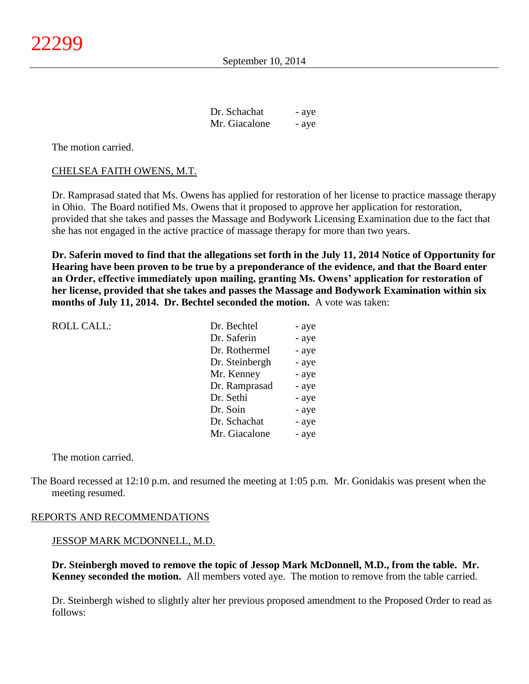| Dr. Schachat  | - aye |
|---------------|-------|
| Mr. Giacalone | - aye |

The motion carried.

#### CHELSEA FAITH OWENS, M.T.

Dr. Ramprasad stated that Ms. Owens has applied for restoration of her license to practice massage therapy in Ohio. The Board notified Ms. Owens that it proposed to approve her application for restoration, provided that she takes and passes the Massage and Bodywork Licensing Examination due to the fact that she has not engaged in the active practice of massage therapy for more than two years.

**Dr. Saferin moved to find that the allegations set forth in the July 11, 2014 Notice of Opportunity for Hearing have been proven to be true by a preponderance of the evidence, and that the Board enter an Order, effective immediately upon mailing, granting Ms. Owens' application for restoration of her license, provided that she takes and passes the Massage and Bodywork Examination within six months of July 11, 2014. Dr. Bechtel seconded the motion.** A vote was taken:

| Dr. Saferin<br>Dr. Rothermel<br>Dr. Steinbergh<br>Mr. Kenney<br>Dr. Ramprasad<br>Dr. Sethi<br>Dr. Soin<br>Dr. Schachat<br>Mr. Giacalone | <b>ROLL CALL:</b> | Dr. Bechtel | - aye |
|-----------------------------------------------------------------------------------------------------------------------------------------|-------------------|-------------|-------|
|                                                                                                                                         |                   |             | - aye |
|                                                                                                                                         |                   |             | - aye |
|                                                                                                                                         |                   |             | - aye |
|                                                                                                                                         |                   |             | - aye |
|                                                                                                                                         |                   |             | - aye |
|                                                                                                                                         |                   |             | - aye |
|                                                                                                                                         |                   |             | - aye |
|                                                                                                                                         |                   |             | - aye |
|                                                                                                                                         |                   |             | - aye |

The motion carried.

The Board recessed at 12:10 p.m. and resumed the meeting at 1:05 p.m. Mr. Gonidakis was present when the meeting resumed.

#### REPORTS AND RECOMMENDATIONS

#### JESSOP MARK MCDONNELL, M.D.

**Dr. Steinbergh moved to remove the topic of Jessop Mark McDonnell, M.D., from the table. Mr. Kenney seconded the motion.** All members voted aye. The motion to remove from the table carried.

Dr. Steinbergh wished to slightly alter her previous proposed amendment to the Proposed Order to read as follows: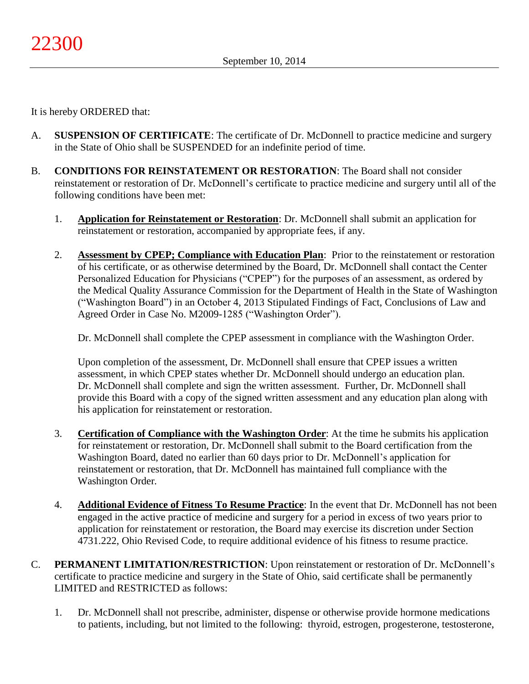It is hereby ORDERED that:

- A. **SUSPENSION OF CERTIFICATE**: The certificate of Dr. McDonnell to practice medicine and surgery in the State of Ohio shall be SUSPENDED for an indefinite period of time.
- B. **CONDITIONS FOR REINSTATEMENT OR RESTORATION**: The Board shall not consider reinstatement or restoration of Dr. McDonnell's certificate to practice medicine and surgery until all of the following conditions have been met:
	- 1. **Application for Reinstatement or Restoration**: Dr. McDonnell shall submit an application for reinstatement or restoration, accompanied by appropriate fees, if any.
	- 2. **Assessment by CPEP; Compliance with Education Plan**: Prior to the reinstatement or restoration of his certificate, or as otherwise determined by the Board, Dr. McDonnell shall contact the Center Personalized Education for Physicians ("CPEP") for the purposes of an assessment, as ordered by the Medical Quality Assurance Commission for the Department of Health in the State of Washington ("Washington Board") in an October 4, 2013 Stipulated Findings of Fact, Conclusions of Law and Agreed Order in Case No. M2009-1285 ("Washington Order").

Dr. McDonnell shall complete the CPEP assessment in compliance with the Washington Order.

Upon completion of the assessment, Dr. McDonnell shall ensure that CPEP issues a written assessment, in which CPEP states whether Dr. McDonnell should undergo an education plan. Dr. McDonnell shall complete and sign the written assessment. Further, Dr. McDonnell shall provide this Board with a copy of the signed written assessment and any education plan along with his application for reinstatement or restoration.

- 3. **Certification of Compliance with the Washington Order**: At the time he submits his application for reinstatement or restoration, Dr. McDonnell shall submit to the Board certification from the Washington Board, dated no earlier than 60 days prior to Dr. McDonnell's application for reinstatement or restoration, that Dr. McDonnell has maintained full compliance with the Washington Order*.*
- 4. **Additional Evidence of Fitness To Resume Practice**: In the event that Dr. McDonnell has not been engaged in the active practice of medicine and surgery for a period in excess of two years prior to application for reinstatement or restoration, the Board may exercise its discretion under Section 4731.222, Ohio Revised Code, to require additional evidence of his fitness to resume practice.
- C. **PERMANENT LIMITATION/RESTRICTION**: Upon reinstatement or restoration of Dr. McDonnell's certificate to practice medicine and surgery in the State of Ohio, said certificate shall be permanently LIMITED and RESTRICTED as follows:
	- 1. Dr. McDonnell shall not prescribe, administer, dispense or otherwise provide hormone medications to patients, including, but not limited to the following: thyroid, estrogen, progesterone, testosterone,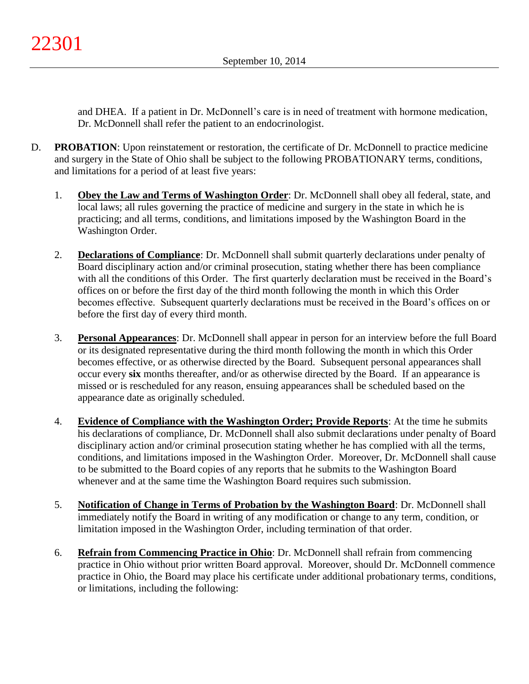and DHEA. If a patient in Dr. McDonnell's care is in need of treatment with hormone medication, Dr. McDonnell shall refer the patient to an endocrinologist.

- D. **PROBATION**: Upon reinstatement or restoration, the certificate of Dr. McDonnell to practice medicine and surgery in the State of Ohio shall be subject to the following PROBATIONARY terms, conditions, and limitations for a period of at least five years:
	- 1. **Obey the Law and Terms of Washington Order**: Dr. McDonnell shall obey all federal, state, and local laws; all rules governing the practice of medicine and surgery in the state in which he is practicing; and all terms, conditions, and limitations imposed by the Washington Board in the Washington Order.
	- 2. **Declarations of Compliance**: Dr. McDonnell shall submit quarterly declarations under penalty of Board disciplinary action and/or criminal prosecution, stating whether there has been compliance with all the conditions of this Order. The first quarterly declaration must be received in the Board's offices on or before the first day of the third month following the month in which this Order becomes effective. Subsequent quarterly declarations must be received in the Board's offices on or before the first day of every third month.
	- 3. **Personal Appearances**: Dr. McDonnell shall appear in person for an interview before the full Board or its designated representative during the third month following the month in which this Order becomes effective, or as otherwise directed by the Board. Subsequent personal appearances shall occur every **six** months thereafter, and/or as otherwise directed by the Board. If an appearance is missed or is rescheduled for any reason, ensuing appearances shall be scheduled based on the appearance date as originally scheduled.
	- 4. **Evidence of Compliance with the Washington Order; Provide Reports**: At the time he submits his declarations of compliance, Dr. McDonnell shall also submit declarations under penalty of Board disciplinary action and/or criminal prosecution stating whether he has complied with all the terms, conditions, and limitations imposed in the Washington Order. Moreover, Dr. McDonnell shall cause to be submitted to the Board copies of any reports that he submits to the Washington Board whenever and at the same time the Washington Board requires such submission.
	- 5. **Notification of Change in Terms of Probation by the Washington Board**: Dr. McDonnell shall immediately notify the Board in writing of any modification or change to any term, condition, or limitation imposed in the Washington Order, including termination of that order.
	- 6. **Refrain from Commencing Practice in Ohio**: Dr. McDonnell shall refrain from commencing practice in Ohio without prior written Board approval. Moreover, should Dr. McDonnell commence practice in Ohio, the Board may place his certificate under additional probationary terms, conditions, or limitations, including the following: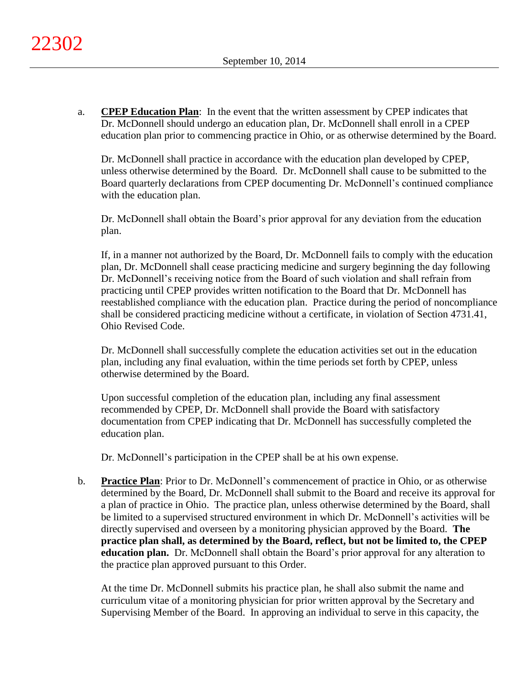a. **CPEP Education Plan**: In the event that the written assessment by CPEP indicates that Dr. McDonnell should undergo an education plan, Dr. McDonnell shall enroll in a CPEP education plan prior to commencing practice in Ohio, or as otherwise determined by the Board.

Dr. McDonnell shall practice in accordance with the education plan developed by CPEP, unless otherwise determined by the Board. Dr. McDonnell shall cause to be submitted to the Board quarterly declarations from CPEP documenting Dr. McDonnell's continued compliance with the education plan.

Dr. McDonnell shall obtain the Board's prior approval for any deviation from the education plan.

If, in a manner not authorized by the Board, Dr. McDonnell fails to comply with the education plan, Dr. McDonnell shall cease practicing medicine and surgery beginning the day following Dr. McDonnell's receiving notice from the Board of such violation and shall refrain from practicing until CPEP provides written notification to the Board that Dr. McDonnell has reestablished compliance with the education plan. Practice during the period of noncompliance shall be considered practicing medicine without a certificate, in violation of Section 4731.41, Ohio Revised Code.

Dr. McDonnell shall successfully complete the education activities set out in the education plan, including any final evaluation, within the time periods set forth by CPEP, unless otherwise determined by the Board.

Upon successful completion of the education plan, including any final assessment recommended by CPEP, Dr. McDonnell shall provide the Board with satisfactory documentation from CPEP indicating that Dr. McDonnell has successfully completed the education plan.

Dr. McDonnell's participation in the CPEP shall be at his own expense.

b. **Practice Plan**: Prior to Dr. McDonnell's commencement of practice in Ohio, or as otherwise determined by the Board, Dr. McDonnell shall submit to the Board and receive its approval for a plan of practice in Ohio. The practice plan, unless otherwise determined by the Board, shall be limited to a supervised structured environment in which Dr. McDonnell's activities will be directly supervised and overseen by a monitoring physician approved by the Board. **The practice plan shall, as determined by the Board, reflect, but not be limited to, the CPEP education plan.** Dr. McDonnell shall obtain the Board's prior approval for any alteration to the practice plan approved pursuant to this Order.

At the time Dr. McDonnell submits his practice plan, he shall also submit the name and curriculum vitae of a monitoring physician for prior written approval by the Secretary and Supervising Member of the Board. In approving an individual to serve in this capacity, the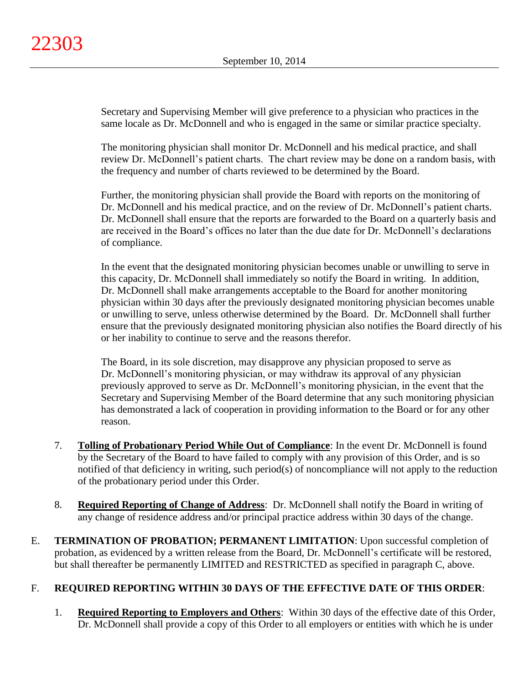Secretary and Supervising Member will give preference to a physician who practices in the same locale as Dr. McDonnell and who is engaged in the same or similar practice specialty.

The monitoring physician shall monitor Dr. McDonnell and his medical practice, and shall review Dr. McDonnell's patient charts. The chart review may be done on a random basis, with the frequency and number of charts reviewed to be determined by the Board.

Further, the monitoring physician shall provide the Board with reports on the monitoring of Dr. McDonnell and his medical practice, and on the review of Dr. McDonnell's patient charts. Dr. McDonnell shall ensure that the reports are forwarded to the Board on a quarterly basis and are received in the Board's offices no later than the due date for Dr. McDonnell's declarations of compliance.

In the event that the designated monitoring physician becomes unable or unwilling to serve in this capacity, Dr. McDonnell shall immediately so notify the Board in writing. In addition, Dr. McDonnell shall make arrangements acceptable to the Board for another monitoring physician within 30 days after the previously designated monitoring physician becomes unable or unwilling to serve, unless otherwise determined by the Board. Dr. McDonnell shall further ensure that the previously designated monitoring physician also notifies the Board directly of his or her inability to continue to serve and the reasons therefor.

The Board, in its sole discretion, may disapprove any physician proposed to serve as Dr. McDonnell's monitoring physician, or may withdraw its approval of any physician previously approved to serve as Dr. McDonnell's monitoring physician, in the event that the Secretary and Supervising Member of the Board determine that any such monitoring physician has demonstrated a lack of cooperation in providing information to the Board or for any other reason.

- 7. **Tolling of Probationary Period While Out of Compliance**: In the event Dr. McDonnell is found by the Secretary of the Board to have failed to comply with any provision of this Order, and is so notified of that deficiency in writing, such period(s) of noncompliance will not apply to the reduction of the probationary period under this Order.
- 8. **Required Reporting of Change of Address**: Dr. McDonnell shall notify the Board in writing of any change of residence address and/or principal practice address within 30 days of the change.
- E. **TERMINATION OF PROBATION; PERMANENT LIMITATION**: Upon successful completion of probation, as evidenced by a written release from the Board, Dr. McDonnell's certificate will be restored, but shall thereafter be permanently LIMITED and RESTRICTED as specified in paragraph C, above.

# F. **REQUIRED REPORTING WITHIN 30 DAYS OF THE EFFECTIVE DATE OF THIS ORDER**:

1. **Required Reporting to Employers and Others**: Within 30 days of the effective date of this Order, Dr. McDonnell shall provide a copy of this Order to all employers or entities with which he is under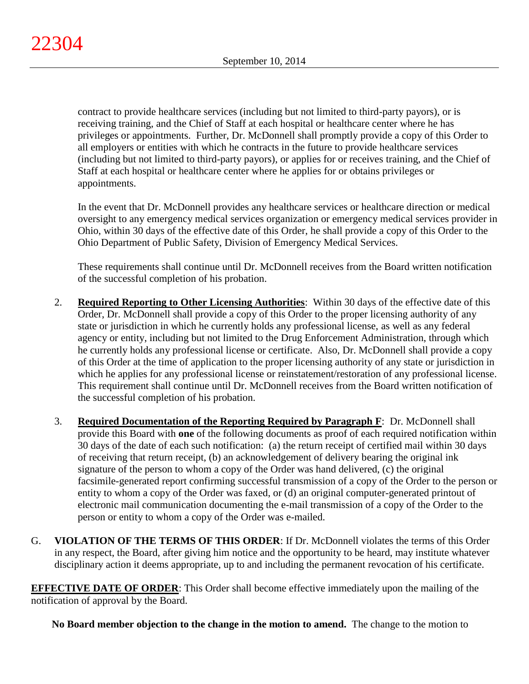contract to provide healthcare services (including but not limited to third-party payors), or is receiving training, and the Chief of Staff at each hospital or healthcare center where he has privileges or appointments. Further, Dr. McDonnell shall promptly provide a copy of this Order to all employers or entities with which he contracts in the future to provide healthcare services (including but not limited to third-party payors), or applies for or receives training, and the Chief of Staff at each hospital or healthcare center where he applies for or obtains privileges or appointments.

In the event that Dr. McDonnell provides any healthcare services or healthcare direction or medical oversight to any emergency medical services organization or emergency medical services provider in Ohio, within 30 days of the effective date of this Order, he shall provide a copy of this Order to the Ohio Department of Public Safety, Division of Emergency Medical Services.

These requirements shall continue until Dr. McDonnell receives from the Board written notification of the successful completion of his probation.

- 2. **Required Reporting to Other Licensing Authorities**: Within 30 days of the effective date of this Order, Dr. McDonnell shall provide a copy of this Order to the proper licensing authority of any state or jurisdiction in which he currently holds any professional license, as well as any federal agency or entity, including but not limited to the Drug Enforcement Administration, through which he currently holds any professional license or certificate. Also, Dr. McDonnell shall provide a copy of this Order at the time of application to the proper licensing authority of any state or jurisdiction in which he applies for any professional license or reinstatement/restoration of any professional license. This requirement shall continue until Dr. McDonnell receives from the Board written notification of the successful completion of his probation.
- 3. **Required Documentation of the Reporting Required by Paragraph F**: Dr. McDonnell shall provide this Board with **one** of the following documents as proof of each required notification within 30 days of the date of each such notification: (a) the return receipt of certified mail within 30 days of receiving that return receipt, (b) an acknowledgement of delivery bearing the original ink signature of the person to whom a copy of the Order was hand delivered, (c) the original facsimile-generated report confirming successful transmission of a copy of the Order to the person or entity to whom a copy of the Order was faxed, or (d) an original computer-generated printout of electronic mail communication documenting the e-mail transmission of a copy of the Order to the person or entity to whom a copy of the Order was e-mailed.
- G. **VIOLATION OF THE TERMS OF THIS ORDER**: If Dr. McDonnell violates the terms of this Order in any respect, the Board, after giving him notice and the opportunity to be heard, may institute whatever disciplinary action it deems appropriate, up to and including the permanent revocation of his certificate.

**EFFECTIVE DATE OF ORDER:** This Order shall become effective immediately upon the mailing of the notification of approval by the Board.

**No Board member objection to the change in the motion to amend.** The change to the motion to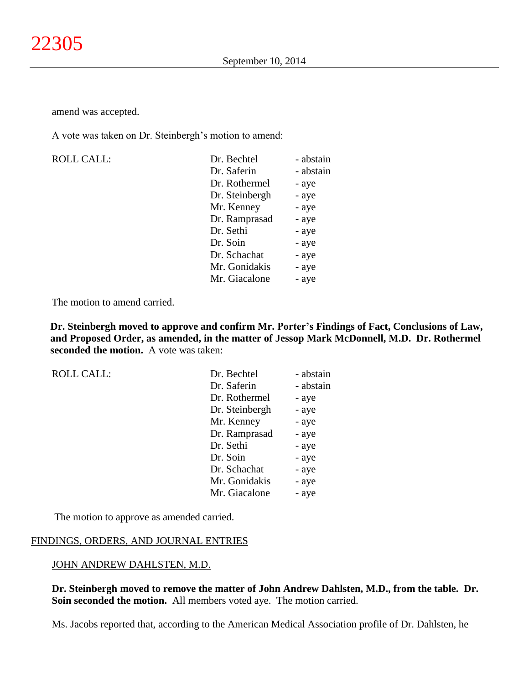amend was accepted.

A vote was taken on Dr. Steinbergh's motion to amend:

| <b>ROLL CALL:</b> | Dr. Bechtel    | - abstain |
|-------------------|----------------|-----------|
|                   | Dr. Saferin    | - abstain |
|                   | Dr. Rothermel  | - aye     |
|                   | Dr. Steinbergh | - aye     |
|                   | Mr. Kenney     | - aye     |
|                   | Dr. Ramprasad  | - aye     |
|                   | Dr. Sethi      | - aye     |
|                   | Dr. Soin       | - aye     |
|                   | Dr. Schachat   | - aye     |
|                   | Mr. Gonidakis  | - aye     |
|                   | Mr. Giacalone  | - aye     |

The motion to amend carried.

**Dr. Steinbergh moved to approve and confirm Mr. Porter's Findings of Fact, Conclusions of Law, and Proposed Order, as amended, in the matter of Jessop Mark McDonnell, M.D. Dr. Rothermel seconded the motion.** A vote was taken:

| <b>ROLL CALL:</b> |
|-------------------|
|                   |

| Dr. Bechtel    | - abstain |
|----------------|-----------|
| Dr. Saferin    | - abstain |
| Dr. Rothermel  | - aye     |
| Dr. Steinbergh | - aye     |
| Mr. Kenney     | - aye     |
| Dr. Ramprasad  | - aye     |
| Dr. Sethi      | - aye     |
| Dr. Soin       | - aye     |
| Dr. Schachat   | - aye     |
| Mr. Gonidakis  | - aye     |
| Mr. Giacalone  | - aye     |
|                |           |

The motion to approve as amended carried.

#### FINDINGS, ORDERS, AND JOURNAL ENTRIES

#### JOHN ANDREW DAHLSTEN, M.D.

**Dr. Steinbergh moved to remove the matter of John Andrew Dahlsten, M.D., from the table. Dr. Soin seconded the motion.** All members voted aye. The motion carried.

Ms. Jacobs reported that, according to the American Medical Association profile of Dr. Dahlsten, he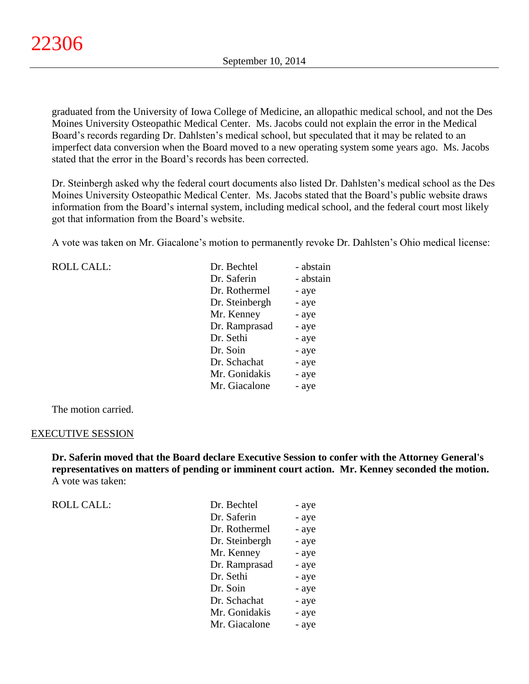graduated from the University of Iowa College of Medicine, an allopathic medical school, and not the Des Moines University Osteopathic Medical Center. Ms. Jacobs could not explain the error in the Medical Board's records regarding Dr. Dahlsten's medical school, but speculated that it may be related to an imperfect data conversion when the Board moved to a new operating system some years ago. Ms. Jacobs stated that the error in the Board's records has been corrected.

Dr. Steinbergh asked why the federal court documents also listed Dr. Dahlsten's medical school as the Des Moines University Osteopathic Medical Center. Ms. Jacobs stated that the Board's public website draws information from the Board's internal system, including medical school, and the federal court most likely got that information from the Board's website.

A vote was taken on Mr. Giacalone's motion to permanently revoke Dr. Dahlsten's Ohio medical license:

ROLL CALL:

| Dr. Bechtel    | - abstain |
|----------------|-----------|
| Dr. Saferin    | - abstain |
| Dr. Rothermel  | - aye     |
| Dr. Steinbergh | - aye     |
| Mr. Kenney     | - aye     |
| Dr. Ramprasad  | - aye     |
| Dr. Sethi      | - aye     |
| Dr. Soin       | - aye     |
| Dr. Schachat   | - aye     |
| Mr. Gonidakis  | - aye     |
| Mr. Giacalone  | - aye     |

The motion carried.

#### EXECUTIVE SESSION

**Dr. Saferin moved that the Board declare Executive Session to confer with the Attorney General's representatives on matters of pending or imminent court action. Mr. Kenney seconded the motion.** A vote was taken:

| <b>ROLL CALL:</b> | Dr. Bechtel    | - aye |
|-------------------|----------------|-------|
|                   | Dr. Saferin    | - aye |
|                   | Dr. Rothermel  | - aye |
|                   | Dr. Steinbergh | - aye |
|                   | Mr. Kenney     | - aye |
|                   | Dr. Ramprasad  | - aye |
|                   | Dr. Sethi      | - aye |
|                   | Dr. Soin       | - aye |
|                   | Dr. Schachat   | - aye |
|                   | Mr. Gonidakis  | - aye |
|                   | Mr. Giacalone  | - aye |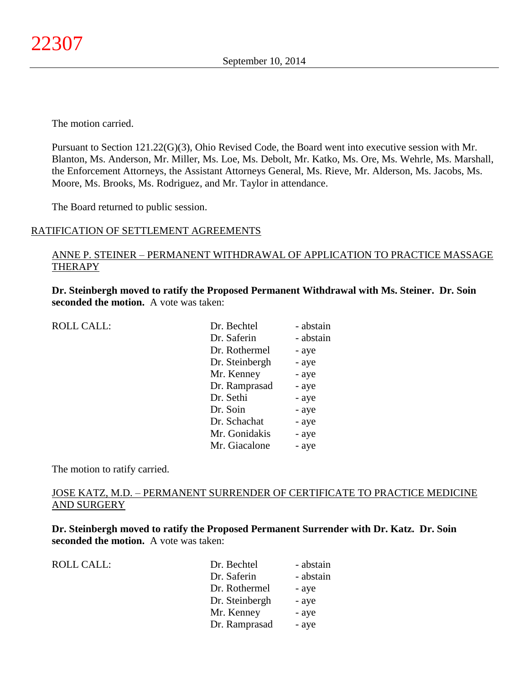The motion carried.

Pursuant to Section 121.22(G)(3), Ohio Revised Code, the Board went into executive session with Mr. Blanton, Ms. Anderson, Mr. Miller, Ms. Loe, Ms. Debolt, Mr. Katko, Ms. Ore, Ms. Wehrle, Ms. Marshall, the Enforcement Attorneys, the Assistant Attorneys General, Ms. Rieve, Mr. Alderson, Ms. Jacobs, Ms. Moore, Ms. Brooks, Ms. Rodriguez, and Mr. Taylor in attendance.

The Board returned to public session.

### RATIFICATION OF SETTLEMENT AGREEMENTS

# ANNE P. STEINER – PERMANENT WITHDRAWAL OF APPLICATION TO PRACTICE MASSAGE **THERAPY**

**Dr. Steinbergh moved to ratify the Proposed Permanent Withdrawal with Ms. Steiner. Dr. Soin seconded the motion.** A vote was taken:

| <b>ROLL CALL:</b> | Dr. Bechtel    | - abstain |
|-------------------|----------------|-----------|
|                   | Dr. Saferin    | - abstain |
|                   | Dr. Rothermel  | - aye     |
|                   | Dr. Steinbergh | - aye     |
|                   | Mr. Kenney     | - aye     |
|                   | Dr. Ramprasad  | - aye     |
|                   | Dr. Sethi      | - aye     |
|                   | Dr. Soin       | - aye     |
|                   | Dr. Schachat   | - aye     |
|                   | Mr. Gonidakis  | - aye     |
|                   | Mr. Giacalone  | - aye     |
|                   |                |           |

The motion to ratify carried.

# JOSE KATZ, M.D. – PERMANENT SURRENDER OF CERTIFICATE TO PRACTICE MEDICINE AND SURGERY

**Dr. Steinbergh moved to ratify the Proposed Permanent Surrender with Dr. Katz. Dr. Soin seconded the motion.** A vote was taken:

|  | <b>ROLL CALL:</b> |
|--|-------------------|
|--|-------------------|

| <b>ROLL CALL:</b> | Dr. Bechtel    | - abstain |
|-------------------|----------------|-----------|
|                   | Dr. Saferin    | - abstain |
|                   | Dr. Rothermel  | - aye     |
|                   | Dr. Steinbergh | - aye     |
|                   | Mr. Kenney     | - aye     |
|                   | Dr. Ramprasad  | - aye     |
|                   |                |           |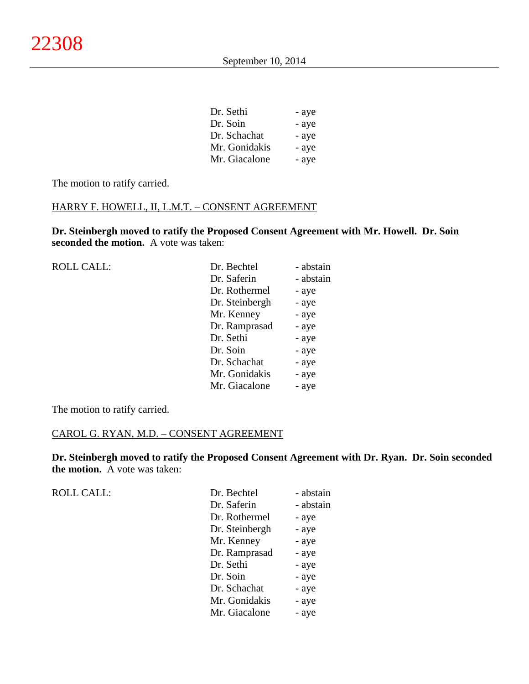| Dr. Sethi     | - aye |
|---------------|-------|
| Dr. Soin      | - aye |
| Dr. Schachat  | - aye |
| Mr. Gonidakis | - aye |
| Mr. Giacalone | - aye |

The motion to ratify carried.

# HARRY F. HOWELL, II, L.M.T. – CONSENT AGREEMENT

**Dr. Steinbergh moved to ratify the Proposed Consent Agreement with Mr. Howell. Dr. Soin seconded the motion.** A vote was taken:

| <b>ROLL CALL:</b> | Dr. Bechtel    | - abstain |
|-------------------|----------------|-----------|
|                   | Dr. Saferin    | - abstain |
|                   | Dr. Rothermel  | - aye     |
|                   | Dr. Steinbergh | - aye     |
|                   | Mr. Kenney     | - aye     |
|                   | Dr. Ramprasad  | - aye     |
|                   | Dr. Sethi      | - aye     |
|                   | Dr. Soin       | - aye     |
|                   | Dr. Schachat   | - aye     |
|                   | Mr. Gonidakis  | - aye     |
|                   | Mr. Giacalone  | - aye     |
|                   |                |           |

The motion to ratify carried.

# CAROL G. RYAN, M.D. – CONSENT AGREEMENT

**Dr. Steinbergh moved to ratify the Proposed Consent Agreement with Dr. Ryan. Dr. Soin seconded the motion.** A vote was taken:

ROLL CALL:

| Dr. Bechtel    | - abstain |
|----------------|-----------|
| Dr. Saferin    | - abstain |
| Dr. Rothermel  | - aye     |
| Dr. Steinbergh | - aye     |
| Mr. Kenney     | - aye     |
| Dr. Ramprasad  | - aye     |
| Dr. Sethi      | - aye     |
| Dr. Soin       | - aye     |
| Dr. Schachat   | - aye     |
| Mr. Gonidakis  | - aye     |
| Mr. Giacalone  | - aye     |
|                |           |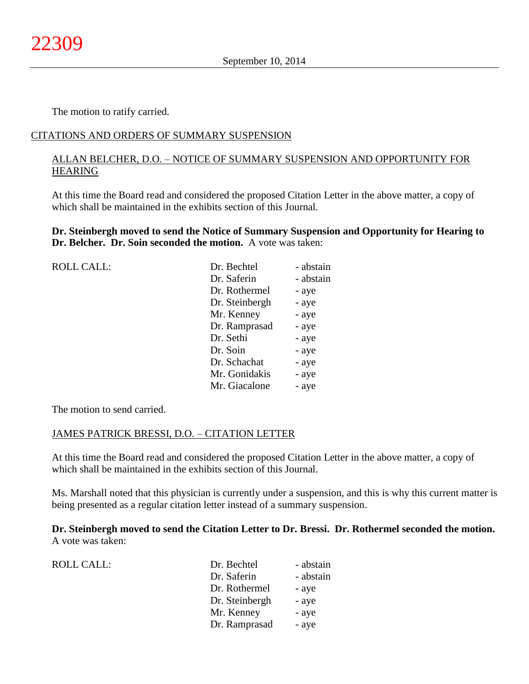The motion to ratify carried.

# CITATIONS AND ORDERS OF SUMMARY SUSPENSION

# ALLAN BELCHER, D.O. – NOTICE OF SUMMARY SUSPENSION AND OPPORTUNITY FOR HEARING

At this time the Board read and considered the proposed Citation Letter in the above matter, a copy of which shall be maintained in the exhibits section of this Journal.

**Dr. Steinbergh moved to send the Notice of Summary Suspension and Opportunity for Hearing to Dr. Belcher. Dr. Soin seconded the motion.** A vote was taken:

| <b>ROLL CALL:</b> | Dr. Bechtel    | - abstain |
|-------------------|----------------|-----------|
|                   | Dr. Saferin    | - abstain |
|                   | Dr. Rothermel  | - aye     |
|                   | Dr. Steinbergh | - aye     |
|                   | Mr. Kenney     | - aye     |
|                   | Dr. Ramprasad  | - aye     |
|                   | Dr. Sethi      | - aye     |
|                   | Dr. Soin       | - aye     |
|                   | Dr. Schachat   | - aye     |
|                   | Mr. Gonidakis  | - aye     |
|                   | Mr. Giacalone  | - aye     |
|                   |                |           |

The motion to send carried.

### JAMES PATRICK BRESSI, D.O. – CITATION LETTER

At this time the Board read and considered the proposed Citation Letter in the above matter, a copy of which shall be maintained in the exhibits section of this Journal.

Ms. Marshall noted that this physician is currently under a suspension, and this is why this current matter is being presented as a regular citation letter instead of a summary suspension.

**Dr. Steinbergh moved to send the Citation Letter to Dr. Bressi. Dr. Rothermel seconded the motion.** A vote was taken:

| <b>ROLL CALL:</b> |
|-------------------|
|-------------------|

| <b>ROLL CALL:</b> | Dr. Bechtel    | - abstain |
|-------------------|----------------|-----------|
|                   | Dr. Saferin    | - abstain |
|                   | Dr. Rothermel  | - aye     |
|                   | Dr. Steinbergh | - aye     |
|                   | Mr. Kenney     | - aye     |
|                   | Dr. Ramprasad  | - aye     |
|                   |                |           |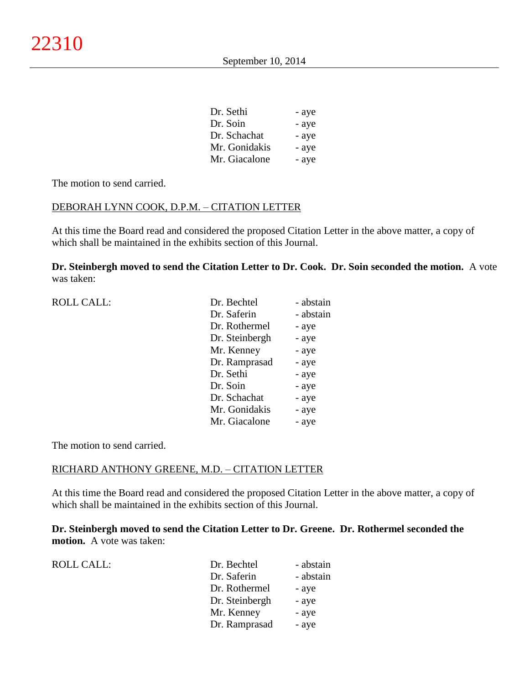| Dr. Sethi     | - aye |
|---------------|-------|
| Dr. Soin      | - aye |
| Dr. Schachat  | - aye |
| Mr. Gonidakis | - aye |
| Mr. Giacalone | - aye |

### DEBORAH LYNN COOK, D.P.M. – CITATION LETTER

At this time the Board read and considered the proposed Citation Letter in the above matter, a copy of which shall be maintained in the exhibits section of this Journal.

**Dr. Steinbergh moved to send the Citation Letter to Dr. Cook. Dr. Soin seconded the motion.** A vote was taken:

| <b>ROLL CALL:</b> | Dr. Bechtel    | - abstain |
|-------------------|----------------|-----------|
|                   | Dr. Saferin    | - abstain |
|                   | Dr. Rothermel  | - aye     |
|                   | Dr. Steinbergh | - aye     |
|                   | Mr. Kenney     | - aye     |
|                   | Dr. Ramprasad  | - aye     |
|                   | Dr. Sethi      | - aye     |
|                   | Dr. Soin       | - aye     |
|                   | Dr. Schachat   | - aye     |
|                   | Mr. Gonidakis  | - aye     |
|                   | Mr. Giacalone  | - aye     |
|                   |                |           |

The motion to send carried.

#### RICHARD ANTHONY GREENE, M.D. – CITATION LETTER

At this time the Board read and considered the proposed Citation Letter in the above matter, a copy of which shall be maintained in the exhibits section of this Journal.

**Dr. Steinbergh moved to send the Citation Letter to Dr. Greene. Dr. Rothermel seconded the motion.** A vote was taken:

| <b>ROLL CALL:</b> |  |
|-------------------|--|
|-------------------|--|

| <b>ROLL CALL:</b> | Dr. Bechtel    | - abstain |
|-------------------|----------------|-----------|
|                   | Dr. Saferin    | - abstain |
|                   | Dr. Rothermel  | - aye     |
|                   | Dr. Steinbergh | - aye     |
|                   | Mr. Kenney     | - aye     |
|                   | Dr. Ramprasad  | - aye     |
|                   |                |           |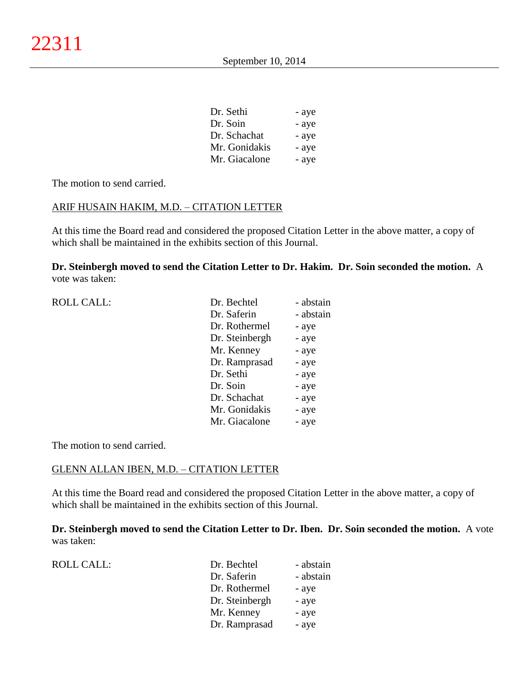| - aye |
|-------|
| - aye |
| - aye |
| - aye |
| - aye |
|       |

### ARIF HUSAIN HAKIM, M.D. – CITATION LETTER

At this time the Board read and considered the proposed Citation Letter in the above matter, a copy of which shall be maintained in the exhibits section of this Journal.

**Dr. Steinbergh moved to send the Citation Letter to Dr. Hakim. Dr. Soin seconded the motion.** A vote was taken:

| <b>ROLL CALL:</b> | Dr. Bechtel    | - abstain |
|-------------------|----------------|-----------|
|                   | Dr. Saferin    | - abstain |
|                   | Dr. Rothermel  | - aye     |
|                   | Dr. Steinbergh | - aye     |
|                   | Mr. Kenney     | - aye     |
|                   | Dr. Ramprasad  | - aye     |
|                   | Dr. Sethi      | - aye     |
|                   | Dr. Soin       | - aye     |
|                   | Dr. Schachat   | - aye     |
|                   | Mr. Gonidakis  | - aye     |
|                   | Mr. Giacalone  | - aye     |
|                   |                |           |

The motion to send carried.

#### GLENN ALLAN IBEN, M.D. – CITATION LETTER

At this time the Board read and considered the proposed Citation Letter in the above matter, a copy of which shall be maintained in the exhibits section of this Journal.

**Dr. Steinbergh moved to send the Citation Letter to Dr. Iben. Dr. Soin seconded the motion.** A vote was taken:

| <b>ROLL CALL:</b> | Dr. Bechtel    | - abstain |
|-------------------|----------------|-----------|
|                   | Dr. Saferin    | - abstain |
|                   | Dr. Rothermel  | - aye     |
|                   | Dr. Steinbergh | - aye     |
|                   | Mr. Kenney     | - aye     |
|                   | Dr. Ramprasad  | - aye     |
|                   |                |           |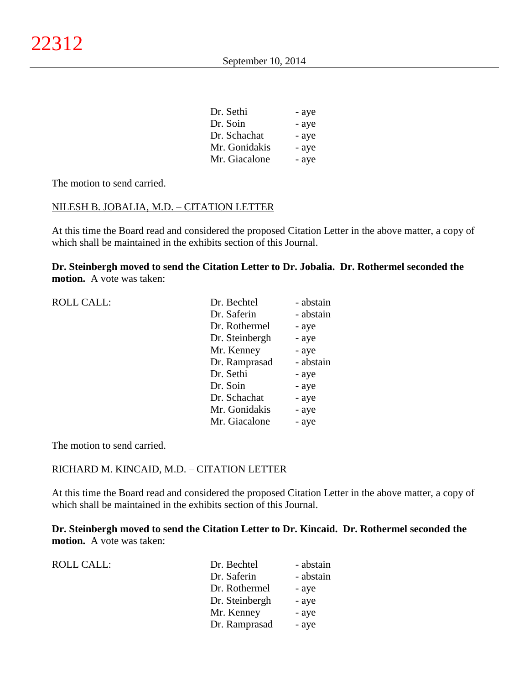| - aye |
|-------|
| - aye |
| - aye |
| - aye |
| - aye |
|       |

### NILESH B. JOBALIA, M.D. – CITATION LETTER

At this time the Board read and considered the proposed Citation Letter in the above matter, a copy of which shall be maintained in the exhibits section of this Journal.

**Dr. Steinbergh moved to send the Citation Letter to Dr. Jobalia. Dr. Rothermel seconded the motion.** A vote was taken:

| <b>ROLL CALL:</b> | Dr. Bechtel    | - abstain |
|-------------------|----------------|-----------|
|                   | Dr. Saferin    | - abstain |
|                   | Dr. Rothermel  | - aye     |
|                   | Dr. Steinbergh | - aye     |
|                   | Mr. Kenney     | - aye     |
|                   | Dr. Ramprasad  | - abstain |
|                   | Dr. Sethi      | - aye     |
|                   | Dr. Soin       | - aye     |
|                   | Dr. Schachat   | - aye     |
|                   | Mr. Gonidakis  | - aye     |
|                   | Mr. Giacalone  | - aye     |
|                   |                |           |

The motion to send carried.

#### RICHARD M. KINCAID, M.D. – CITATION LETTER

At this time the Board read and considered the proposed Citation Letter in the above matter, a copy of which shall be maintained in the exhibits section of this Journal.

**Dr. Steinbergh moved to send the Citation Letter to Dr. Kincaid. Dr. Rothermel seconded the motion.** A vote was taken:

| <b>ROLL CALL:</b> | Dr. Bechtel    | - abstain |
|-------------------|----------------|-----------|
|                   | Dr. Saferin    | - abstain |
|                   | Dr. Rothermel  | - aye     |
|                   | Dr. Steinbergh | - aye     |
|                   | Mr. Kenney     | - aye     |
|                   | Dr. Ramprasad  | - aye     |
|                   |                |           |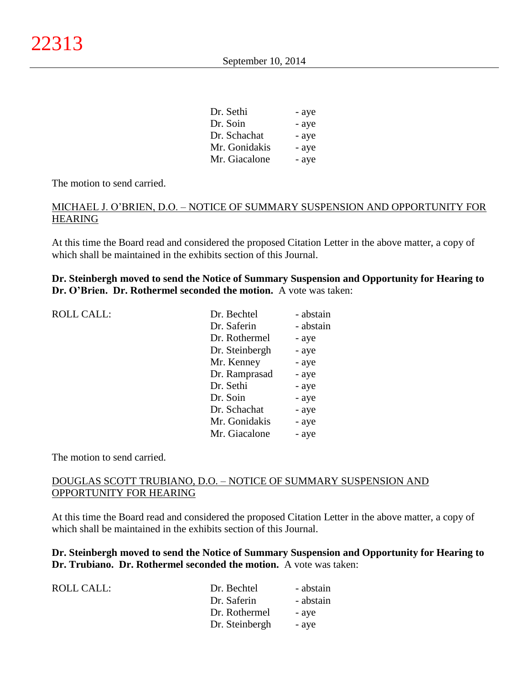| - aye |
|-------|
| - aye |
| - aye |
| - aye |
| - aye |
|       |

# MICHAEL J. O'BRIEN, D.O. – NOTICE OF SUMMARY SUSPENSION AND OPPORTUNITY FOR HEARING

At this time the Board read and considered the proposed Citation Letter in the above matter, a copy of which shall be maintained in the exhibits section of this Journal.

# **Dr. Steinbergh moved to send the Notice of Summary Suspension and Opportunity for Hearing to Dr. O'Brien. Dr. Rothermel seconded the motion.** A vote was taken:

| <b>ROLL CALL:</b> | Dr. Bechtel    | - abstain |
|-------------------|----------------|-----------|
|                   | Dr. Saferin    | - abstain |
|                   | Dr. Rothermel  | - aye     |
|                   | Dr. Steinbergh | - aye     |
|                   | Mr. Kenney     | - aye     |
|                   | Dr. Ramprasad  | - aye     |
|                   | Dr. Sethi      | - aye     |
|                   | Dr. Soin       | - aye     |
|                   | Dr. Schachat   | - aye     |
|                   | Mr. Gonidakis  | - aye     |
|                   | Mr. Giacalone  | - aye     |
|                   |                |           |

The motion to send carried.

# DOUGLAS SCOTT TRUBIANO, D.O. – NOTICE OF SUMMARY SUSPENSION AND OPPORTUNITY FOR HEARING

At this time the Board read and considered the proposed Citation Letter in the above matter, a copy of which shall be maintained in the exhibits section of this Journal.

# **Dr. Steinbergh moved to send the Notice of Summary Suspension and Opportunity for Hearing to Dr. Trubiano. Dr. Rothermel seconded the motion.** A vote was taken:

| Dr. Bechtel    | - abstain |
|----------------|-----------|
| Dr. Saferin    | - abstain |
| Dr. Rothermel  | - aye     |
| Dr. Steinbergh | - ave     |
|                |           |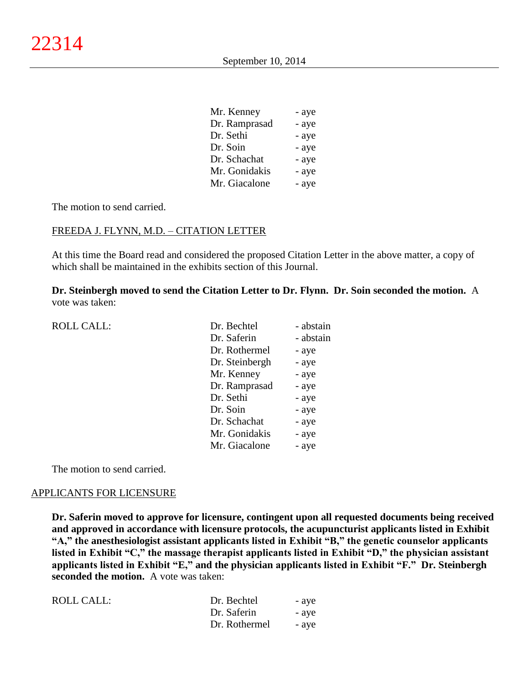| Mr. Kenney    | - aye |
|---------------|-------|
| Dr. Ramprasad | - aye |
| Dr. Sethi     | - aye |
| Dr. Soin      | - aye |
| Dr. Schachat  | - aye |
| Mr. Gonidakis | - aye |
| Mr. Giacalone | - aye |

#### FREEDA J. FLYNN, M.D. – CITATION LETTER

At this time the Board read and considered the proposed Citation Letter in the above matter, a copy of which shall be maintained in the exhibits section of this Journal.

**Dr. Steinbergh moved to send the Citation Letter to Dr. Flynn. Dr. Soin seconded the motion.** A vote was taken:

| <b>ROLL CALL:</b> | Dr. Bechtel    | - abstain |
|-------------------|----------------|-----------|
|                   | Dr. Saferin    | - abstain |
|                   | Dr. Rothermel  | - aye     |
|                   | Dr. Steinbergh | - aye     |
|                   | Mr. Kenney     | - aye     |
|                   | Dr. Ramprasad  | - aye     |
|                   | Dr. Sethi      | - aye     |
|                   | Dr. Soin       | - aye     |
|                   | Dr. Schachat   | - aye     |
|                   | Mr. Gonidakis  | - aye     |
|                   | Mr. Giacalone  | - aye     |
|                   |                |           |

The motion to send carried.

#### APPLICANTS FOR LICENSURE

**Dr. Saferin moved to approve for licensure, contingent upon all requested documents being received and approved in accordance with licensure protocols, the acupuncturist applicants listed in Exhibit "A," the anesthesiologist assistant applicants listed in Exhibit "B," the genetic counselor applicants listed in Exhibit "C," the massage therapist applicants listed in Exhibit "D," the physician assistant applicants listed in Exhibit "E," and the physician applicants listed in Exhibit "F." Dr. Steinbergh seconded the motion.** A vote was taken:

| ROLL CALL: | Dr. Bechtel   | - aye |
|------------|---------------|-------|
|            | Dr. Saferin   | - aye |
|            | Dr. Rothermel | - aye |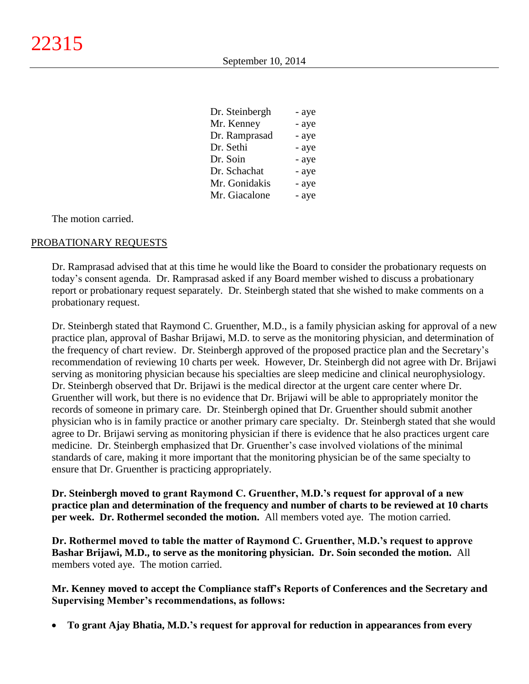| Dr. Steinbergh | - aye |
|----------------|-------|
| Mr. Kenney     | - aye |
| Dr. Ramprasad  | - aye |
| Dr. Sethi      | - aye |
| Dr. Soin       | - aye |
| Dr. Schachat   | - aye |
| Mr. Gonidakis  | - aye |
| Mr. Giacalone  | - aye |

The motion carried.

### PROBATIONARY REQUESTS

Dr. Ramprasad advised that at this time he would like the Board to consider the probationary requests on today's consent agenda. Dr. Ramprasad asked if any Board member wished to discuss a probationary report or probationary request separately. Dr. Steinbergh stated that she wished to make comments on a probationary request.

Dr. Steinbergh stated that Raymond C. Gruenther, M.D., is a family physician asking for approval of a new practice plan, approval of Bashar Brijawi, M.D. to serve as the monitoring physician, and determination of the frequency of chart review. Dr. Steinbergh approved of the proposed practice plan and the Secretary's recommendation of reviewing 10 charts per week. However, Dr. Steinbergh did not agree with Dr. Brijawi serving as monitoring physician because his specialties are sleep medicine and clinical neurophysiology. Dr. Steinbergh observed that Dr. Brijawi is the medical director at the urgent care center where Dr. Gruenther will work, but there is no evidence that Dr. Brijawi will be able to appropriately monitor the records of someone in primary care. Dr. Steinbergh opined that Dr. Gruenther should submit another physician who is in family practice or another primary care specialty. Dr. Steinbergh stated that she would agree to Dr. Brijawi serving as monitoring physician if there is evidence that he also practices urgent care medicine. Dr. Steinbergh emphasized that Dr. Gruenther's case involved violations of the minimal standards of care, making it more important that the monitoring physician be of the same specialty to ensure that Dr. Gruenther is practicing appropriately.

**Dr. Steinbergh moved to grant Raymond C. Gruenther, M.D.'s request for approval of a new practice plan and determination of the frequency and number of charts to be reviewed at 10 charts per week. Dr. Rothermel seconded the motion.** All members voted aye. The motion carried.

**Dr. Rothermel moved to table the matter of Raymond C. Gruenther, M.D.'s request to approve Bashar Brijawi, M.D., to serve as the monitoring physician. Dr. Soin seconded the motion.** All members voted aye. The motion carried.

**Mr. Kenney moved to accept the Compliance staff's Reports of Conferences and the Secretary and Supervising Member's recommendations, as follows:**

**To grant Ajay Bhatia, M.D.'s request for approval for reduction in appearances from every**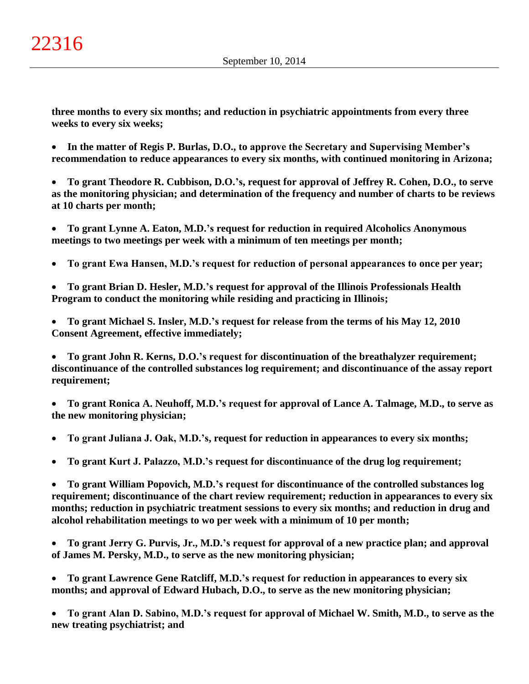**three months to every six months; and reduction in psychiatric appointments from every three weeks to every six weeks;**

 **In the matter of Regis P. Burlas, D.O., to approve the Secretary and Supervising Member's recommendation to reduce appearances to every six months, with continued monitoring in Arizona;**

 **To grant Theodore R. Cubbison, D.O.'s, request for approval of Jeffrey R. Cohen, D.O., to serve as the monitoring physician; and determination of the frequency and number of charts to be reviews at 10 charts per month;**

 **To grant Lynne A. Eaton, M.D.'s request for reduction in required Alcoholics Anonymous meetings to two meetings per week with a minimum of ten meetings per month;**

**To grant Ewa Hansen, M.D.'s request for reduction of personal appearances to once per year;**

 **To grant Brian D. Hesler, M.D.'s request for approval of the Illinois Professionals Health Program to conduct the monitoring while residing and practicing in Illinois;**

 **To grant Michael S. Insler, M.D.'s request for release from the terms of his May 12, 2010 Consent Agreement, effective immediately;**

 **To grant John R. Kerns, D.O.'s request for discontinuation of the breathalyzer requirement; discontinuance of the controlled substances log requirement; and discontinuance of the assay report requirement;**

 **To grant Ronica A. Neuhoff, M.D.'s request for approval of Lance A. Talmage, M.D., to serve as the new monitoring physician;**

**To grant Juliana J. Oak, M.D.'s, request for reduction in appearances to every six months;**

**To grant Kurt J. Palazzo, M.D.'s request for discontinuance of the drug log requirement;**

 **To grant William Popovich, M.D.'s request for discontinuance of the controlled substances log requirement; discontinuance of the chart review requirement; reduction in appearances to every six months; reduction in psychiatric treatment sessions to every six months; and reduction in drug and alcohol rehabilitation meetings to wo per week with a minimum of 10 per month;**

 **To grant Jerry G. Purvis, Jr., M.D.'s request for approval of a new practice plan; and approval of James M. Persky, M.D., to serve as the new monitoring physician;**

 **To grant Lawrence Gene Ratcliff, M.D.'s request for reduction in appearances to every six months; and approval of Edward Hubach, D.O., to serve as the new monitoring physician;**

 **To grant Alan D. Sabino, M.D.'s request for approval of Michael W. Smith, M.D., to serve as the new treating psychiatrist; and**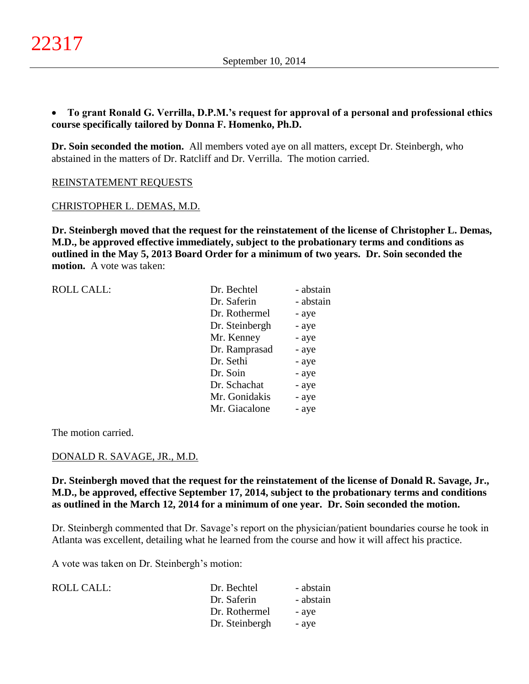# **To grant Ronald G. Verrilla, D.P.M.'s request for approval of a personal and professional ethics course specifically tailored by Donna F. Homenko, Ph.D.**

**Dr. Soin seconded the motion.** All members voted aye on all matters, except Dr. Steinbergh, who abstained in the matters of Dr. Ratcliff and Dr. Verrilla. The motion carried.

REINSTATEMENT REQUESTS

#### CHRISTOPHER L. DEMAS, M.D.

**Dr. Steinbergh moved that the request for the reinstatement of the license of Christopher L. Demas, M.D., be approved effective immediately, subject to the probationary terms and conditions as outlined in the May 5, 2013 Board Order for a minimum of two years. Dr. Soin seconded the motion.** A vote was taken:

| <b>ROLL CALL:</b> | Dr. Bechtel    | - abstain |
|-------------------|----------------|-----------|
|                   | Dr. Saferin    | - abstain |
|                   | Dr. Rothermel  | - aye     |
|                   | Dr. Steinbergh | - aye     |
|                   | Mr. Kenney     | - aye     |
|                   | Dr. Ramprasad  | - aye     |
|                   | Dr. Sethi      | - aye     |
|                   | Dr. Soin       | - aye     |
|                   | Dr. Schachat   | - aye     |
|                   | Mr. Gonidakis  | - aye     |
|                   | Mr. Giacalone  | - aye     |
|                   |                |           |

The motion carried.

### DONALD R. SAVAGE, JR., M.D.

**Dr. Steinbergh moved that the request for the reinstatement of the license of Donald R. Savage, Jr., M.D., be approved, effective September 17, 2014, subject to the probationary terms and conditions as outlined in the March 12, 2014 for a minimum of one year. Dr. Soin seconded the motion.**

Dr. Steinbergh commented that Dr. Savage's report on the physician/patient boundaries course he took in Atlanta was excellent, detailing what he learned from the course and how it will affect his practice.

A vote was taken on Dr. Steinbergh's motion:

| ROLL CALL: | Dr. Bechtel    | - abstain |
|------------|----------------|-----------|
|            | Dr. Saferin    | - abstain |
|            | Dr. Rothermel  | - ave     |
|            | Dr. Steinbergh | - aye     |
|            |                |           |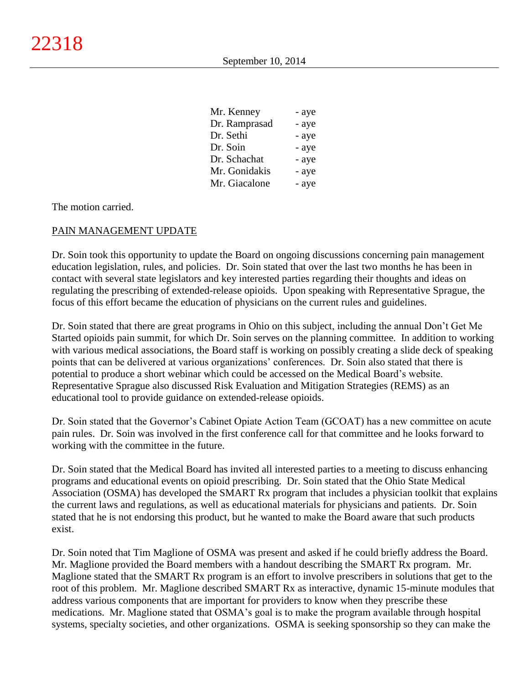| Mr. Kenney    | - aye |
|---------------|-------|
| Dr. Ramprasad | - aye |
| Dr. Sethi     | - aye |
| Dr. Soin      | - aye |
| Dr. Schachat  | - aye |
| Mr. Gonidakis | - aye |
| Mr. Giacalone | - aye |

The motion carried.

### PAIN MANAGEMENT UPDATE

Dr. Soin took this opportunity to update the Board on ongoing discussions concerning pain management education legislation, rules, and policies. Dr. Soin stated that over the last two months he has been in contact with several state legislators and key interested parties regarding their thoughts and ideas on regulating the prescribing of extended-release opioids. Upon speaking with Representative Sprague, the focus of this effort became the education of physicians on the current rules and guidelines.

Dr. Soin stated that there are great programs in Ohio on this subject, including the annual Don't Get Me Started opioids pain summit, for which Dr. Soin serves on the planning committee. In addition to working with various medical associations, the Board staff is working on possibly creating a slide deck of speaking points that can be delivered at various organizations' conferences. Dr. Soin also stated that there is potential to produce a short webinar which could be accessed on the Medical Board's website. Representative Sprague also discussed Risk Evaluation and Mitigation Strategies (REMS) as an educational tool to provide guidance on extended-release opioids.

Dr. Soin stated that the Governor's Cabinet Opiate Action Team (GCOAT) has a new committee on acute pain rules. Dr. Soin was involved in the first conference call for that committee and he looks forward to working with the committee in the future.

Dr. Soin stated that the Medical Board has invited all interested parties to a meeting to discuss enhancing programs and educational events on opioid prescribing. Dr. Soin stated that the Ohio State Medical Association (OSMA) has developed the SMART Rx program that includes a physician toolkit that explains the current laws and regulations, as well as educational materials for physicians and patients. Dr. Soin stated that he is not endorsing this product, but he wanted to make the Board aware that such products exist.

Dr. Soin noted that Tim Maglione of OSMA was present and asked if he could briefly address the Board. Mr. Maglione provided the Board members with a handout describing the SMART Rx program. Mr. Maglione stated that the SMART Rx program is an effort to involve prescribers in solutions that get to the root of this problem. Mr. Maglione described SMART Rx as interactive, dynamic 15-minute modules that address various components that are important for providers to know when they prescribe these medications. Mr. Maglione stated that OSMA's goal is to make the program available through hospital systems, specialty societies, and other organizations. OSMA is seeking sponsorship so they can make the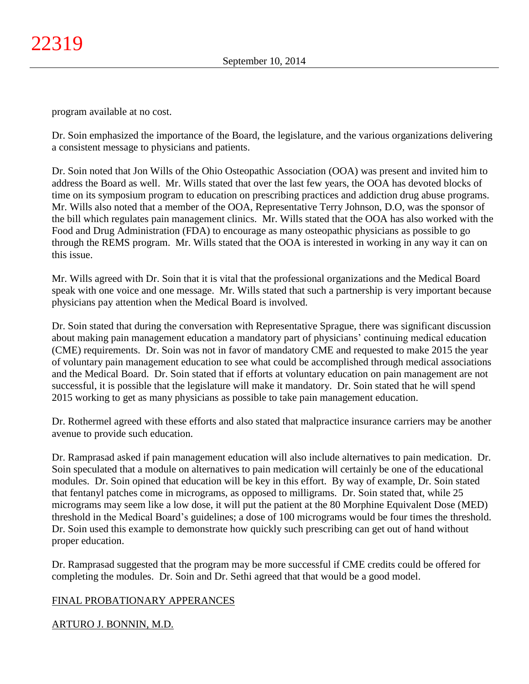program available at no cost.

Dr. Soin emphasized the importance of the Board, the legislature, and the various organizations delivering a consistent message to physicians and patients.

Dr. Soin noted that Jon Wills of the Ohio Osteopathic Association (OOA) was present and invited him to address the Board as well. Mr. Wills stated that over the last few years, the OOA has devoted blocks of time on its symposium program to education on prescribing practices and addiction drug abuse programs. Mr. Wills also noted that a member of the OOA, Representative Terry Johnson, D.O, was the sponsor of the bill which regulates pain management clinics. Mr. Wills stated that the OOA has also worked with the Food and Drug Administration (FDA) to encourage as many osteopathic physicians as possible to go through the REMS program. Mr. Wills stated that the OOA is interested in working in any way it can on this issue.

Mr. Wills agreed with Dr. Soin that it is vital that the professional organizations and the Medical Board speak with one voice and one message. Mr. Wills stated that such a partnership is very important because physicians pay attention when the Medical Board is involved.

Dr. Soin stated that during the conversation with Representative Sprague, there was significant discussion about making pain management education a mandatory part of physicians' continuing medical education (CME) requirements. Dr. Soin was not in favor of mandatory CME and requested to make 2015 the year of voluntary pain management education to see what could be accomplished through medical associations and the Medical Board. Dr. Soin stated that if efforts at voluntary education on pain management are not successful, it is possible that the legislature will make it mandatory. Dr. Soin stated that he will spend 2015 working to get as many physicians as possible to take pain management education.

Dr. Rothermel agreed with these efforts and also stated that malpractice insurance carriers may be another avenue to provide such education.

Dr. Ramprasad asked if pain management education will also include alternatives to pain medication. Dr. Soin speculated that a module on alternatives to pain medication will certainly be one of the educational modules. Dr. Soin opined that education will be key in this effort. By way of example, Dr. Soin stated that fentanyl patches come in micrograms, as opposed to milligrams. Dr. Soin stated that, while 25 micrograms may seem like a low dose, it will put the patient at the 80 Morphine Equivalent Dose (MED) threshold in the Medical Board's guidelines; a dose of 100 micrograms would be four times the threshold. Dr. Soin used this example to demonstrate how quickly such prescribing can get out of hand without proper education.

Dr. Ramprasad suggested that the program may be more successful if CME credits could be offered for completing the modules. Dr. Soin and Dr. Sethi agreed that that would be a good model.

# FINAL PROBATIONARY APPERANCES

# ARTURO J. BONNIN, M.D.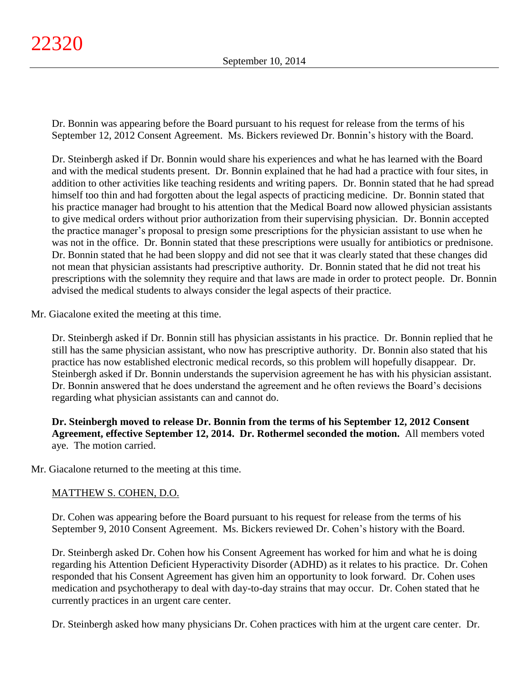Dr. Bonnin was appearing before the Board pursuant to his request for release from the terms of his September 12, 2012 Consent Agreement. Ms. Bickers reviewed Dr. Bonnin's history with the Board.

Dr. Steinbergh asked if Dr. Bonnin would share his experiences and what he has learned with the Board and with the medical students present. Dr. Bonnin explained that he had had a practice with four sites, in addition to other activities like teaching residents and writing papers. Dr. Bonnin stated that he had spread himself too thin and had forgotten about the legal aspects of practicing medicine. Dr. Bonnin stated that his practice manager had brought to his attention that the Medical Board now allowed physician assistants to give medical orders without prior authorization from their supervising physician. Dr. Bonnin accepted the practice manager's proposal to presign some prescriptions for the physician assistant to use when he was not in the office. Dr. Bonnin stated that these prescriptions were usually for antibiotics or prednisone. Dr. Bonnin stated that he had been sloppy and did not see that it was clearly stated that these changes did not mean that physician assistants had prescriptive authority. Dr. Bonnin stated that he did not treat his prescriptions with the solemnity they require and that laws are made in order to protect people. Dr. Bonnin advised the medical students to always consider the legal aspects of their practice.

Mr. Giacalone exited the meeting at this time.

Dr. Steinbergh asked if Dr. Bonnin still has physician assistants in his practice. Dr. Bonnin replied that he still has the same physician assistant, who now has prescriptive authority. Dr. Bonnin also stated that his practice has now established electronic medical records, so this problem will hopefully disappear. Dr. Steinbergh asked if Dr. Bonnin understands the supervision agreement he has with his physician assistant. Dr. Bonnin answered that he does understand the agreement and he often reviews the Board's decisions regarding what physician assistants can and cannot do.

**Dr. Steinbergh moved to release Dr. Bonnin from the terms of his September 12, 2012 Consent Agreement, effective September 12, 2014. Dr. Rothermel seconded the motion.** All members voted aye. The motion carried.

Mr. Giacalone returned to the meeting at this time.

# MATTHEW S. COHEN, D.O.

Dr. Cohen was appearing before the Board pursuant to his request for release from the terms of his September 9, 2010 Consent Agreement. Ms. Bickers reviewed Dr. Cohen's history with the Board.

Dr. Steinbergh asked Dr. Cohen how his Consent Agreement has worked for him and what he is doing regarding his Attention Deficient Hyperactivity Disorder (ADHD) as it relates to his practice. Dr. Cohen responded that his Consent Agreement has given him an opportunity to look forward. Dr. Cohen uses medication and psychotherapy to deal with day-to-day strains that may occur. Dr. Cohen stated that he currently practices in an urgent care center.

Dr. Steinbergh asked how many physicians Dr. Cohen practices with him at the urgent care center. Dr.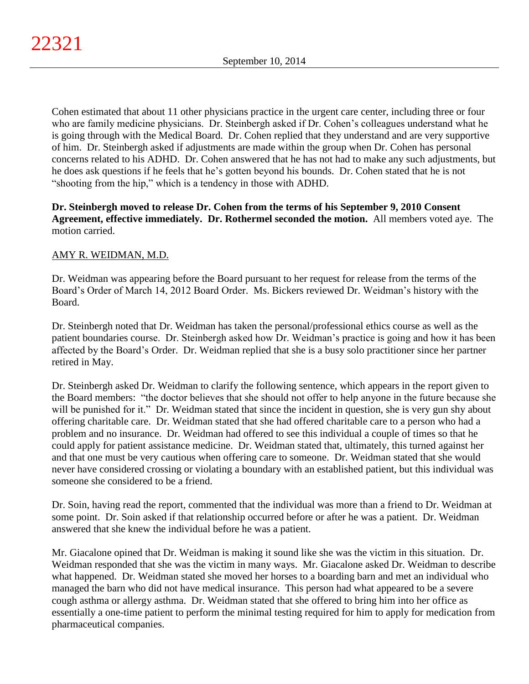Cohen estimated that about 11 other physicians practice in the urgent care center, including three or four who are family medicine physicians. Dr. Steinbergh asked if Dr. Cohen's colleagues understand what he is going through with the Medical Board. Dr. Cohen replied that they understand and are very supportive of him. Dr. Steinbergh asked if adjustments are made within the group when Dr. Cohen has personal concerns related to his ADHD. Dr. Cohen answered that he has not had to make any such adjustments, but he does ask questions if he feels that he's gotten beyond his bounds. Dr. Cohen stated that he is not "shooting from the hip," which is a tendency in those with ADHD.

**Dr. Steinbergh moved to release Dr. Cohen from the terms of his September 9, 2010 Consent Agreement, effective immediately. Dr. Rothermel seconded the motion.** All members voted aye. The motion carried.

# AMY R. WEIDMAN, M.D.

Dr. Weidman was appearing before the Board pursuant to her request for release from the terms of the Board's Order of March 14, 2012 Board Order. Ms. Bickers reviewed Dr. Weidman's history with the Board.

Dr. Steinbergh noted that Dr. Weidman has taken the personal/professional ethics course as well as the patient boundaries course. Dr. Steinbergh asked how Dr. Weidman's practice is going and how it has been affected by the Board's Order. Dr. Weidman replied that she is a busy solo practitioner since her partner retired in May.

Dr. Steinbergh asked Dr. Weidman to clarify the following sentence, which appears in the report given to the Board members: "the doctor believes that she should not offer to help anyone in the future because she will be punished for it." Dr. Weidman stated that since the incident in question, she is very gun shy about offering charitable care. Dr. Weidman stated that she had offered charitable care to a person who had a problem and no insurance. Dr. Weidman had offered to see this individual a couple of times so that he could apply for patient assistance medicine. Dr. Weidman stated that, ultimately, this turned against her and that one must be very cautious when offering care to someone. Dr. Weidman stated that she would never have considered crossing or violating a boundary with an established patient, but this individual was someone she considered to be a friend.

Dr. Soin, having read the report, commented that the individual was more than a friend to Dr. Weidman at some point. Dr. Soin asked if that relationship occurred before or after he was a patient. Dr. Weidman answered that she knew the individual before he was a patient.

Mr. Giacalone opined that Dr. Weidman is making it sound like she was the victim in this situation. Dr. Weidman responded that she was the victim in many ways. Mr. Giacalone asked Dr. Weidman to describe what happened. Dr. Weidman stated she moved her horses to a boarding barn and met an individual who managed the barn who did not have medical insurance. This person had what appeared to be a severe cough asthma or allergy asthma. Dr. Weidman stated that she offered to bring him into her office as essentially a one-time patient to perform the minimal testing required for him to apply for medication from pharmaceutical companies.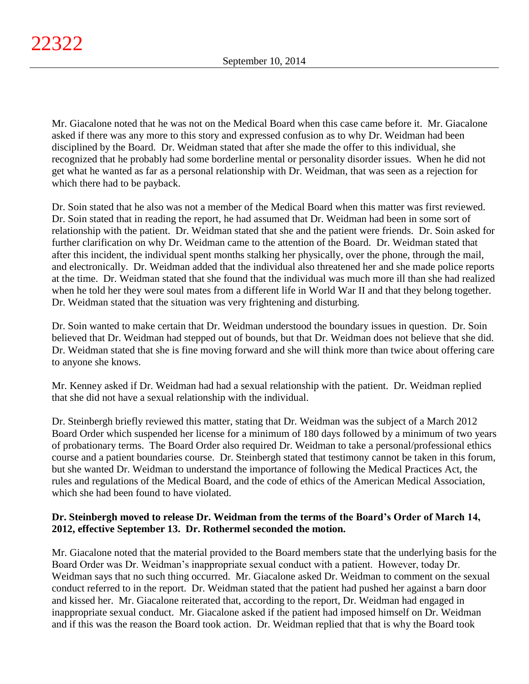Mr. Giacalone noted that he was not on the Medical Board when this case came before it. Mr. Giacalone asked if there was any more to this story and expressed confusion as to why Dr. Weidman had been disciplined by the Board. Dr. Weidman stated that after she made the offer to this individual, she recognized that he probably had some borderline mental or personality disorder issues. When he did not get what he wanted as far as a personal relationship with Dr. Weidman, that was seen as a rejection for which there had to be payback.

Dr. Soin stated that he also was not a member of the Medical Board when this matter was first reviewed. Dr. Soin stated that in reading the report, he had assumed that Dr. Weidman had been in some sort of relationship with the patient. Dr. Weidman stated that she and the patient were friends. Dr. Soin asked for further clarification on why Dr. Weidman came to the attention of the Board. Dr. Weidman stated that after this incident, the individual spent months stalking her physically, over the phone, through the mail, and electronically. Dr. Weidman added that the individual also threatened her and she made police reports at the time. Dr. Weidman stated that she found that the individual was much more ill than she had realized when he told her they were soul mates from a different life in World War II and that they belong together. Dr. Weidman stated that the situation was very frightening and disturbing.

Dr. Soin wanted to make certain that Dr. Weidman understood the boundary issues in question. Dr. Soin believed that Dr. Weidman had stepped out of bounds, but that Dr. Weidman does not believe that she did. Dr. Weidman stated that she is fine moving forward and she will think more than twice about offering care to anyone she knows.

Mr. Kenney asked if Dr. Weidman had had a sexual relationship with the patient. Dr. Weidman replied that she did not have a sexual relationship with the individual.

Dr. Steinbergh briefly reviewed this matter, stating that Dr. Weidman was the subject of a March 2012 Board Order which suspended her license for a minimum of 180 days followed by a minimum of two years of probationary terms. The Board Order also required Dr. Weidman to take a personal/professional ethics course and a patient boundaries course. Dr. Steinbergh stated that testimony cannot be taken in this forum, but she wanted Dr. Weidman to understand the importance of following the Medical Practices Act, the rules and regulations of the Medical Board, and the code of ethics of the American Medical Association, which she had been found to have violated.

# **Dr. Steinbergh moved to release Dr. Weidman from the terms of the Board's Order of March 14, 2012, effective September 13. Dr. Rothermel seconded the motion.**

Mr. Giacalone noted that the material provided to the Board members state that the underlying basis for the Board Order was Dr. Weidman's inappropriate sexual conduct with a patient. However, today Dr. Weidman says that no such thing occurred. Mr. Giacalone asked Dr. Weidman to comment on the sexual conduct referred to in the report. Dr. Weidman stated that the patient had pushed her against a barn door and kissed her. Mr. Giacalone reiterated that, according to the report, Dr. Weidman had engaged in inappropriate sexual conduct. Mr. Giacalone asked if the patient had imposed himself on Dr. Weidman and if this was the reason the Board took action. Dr. Weidman replied that that is why the Board took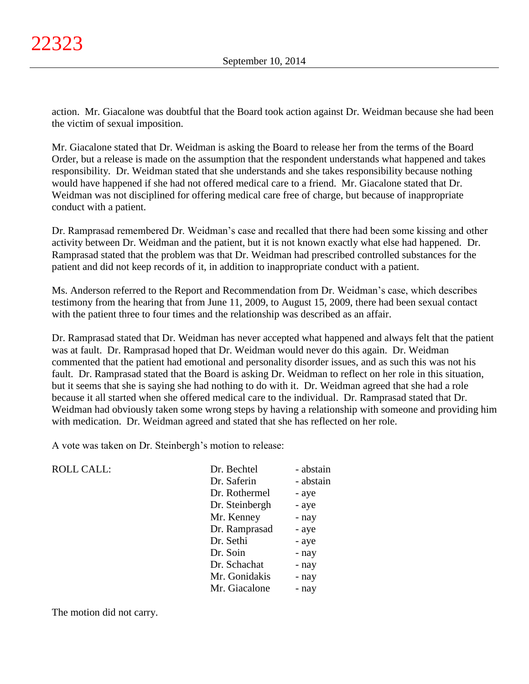action. Mr. Giacalone was doubtful that the Board took action against Dr. Weidman because she had been the victim of sexual imposition.

Mr. Giacalone stated that Dr. Weidman is asking the Board to release her from the terms of the Board Order, but a release is made on the assumption that the respondent understands what happened and takes responsibility. Dr. Weidman stated that she understands and she takes responsibility because nothing would have happened if she had not offered medical care to a friend. Mr. Giacalone stated that Dr. Weidman was not disciplined for offering medical care free of charge, but because of inappropriate conduct with a patient.

Dr. Ramprasad remembered Dr. Weidman's case and recalled that there had been some kissing and other activity between Dr. Weidman and the patient, but it is not known exactly what else had happened. Dr. Ramprasad stated that the problem was that Dr. Weidman had prescribed controlled substances for the patient and did not keep records of it, in addition to inappropriate conduct with a patient.

Ms. Anderson referred to the Report and Recommendation from Dr. Weidman's case, which describes testimony from the hearing that from June 11, 2009, to August 15, 2009, there had been sexual contact with the patient three to four times and the relationship was described as an affair.

Dr. Ramprasad stated that Dr. Weidman has never accepted what happened and always felt that the patient was at fault. Dr. Ramprasad hoped that Dr. Weidman would never do this again. Dr. Weidman commented that the patient had emotional and personality disorder issues, and as such this was not his fault. Dr. Ramprasad stated that the Board is asking Dr. Weidman to reflect on her role in this situation, but it seems that she is saying she had nothing to do with it. Dr. Weidman agreed that she had a role because it all started when she offered medical care to the individual. Dr. Ramprasad stated that Dr. Weidman had obviously taken some wrong steps by having a relationship with someone and providing him with medication. Dr. Weidman agreed and stated that she has reflected on her role.

A vote was taken on Dr. Steinbergh's motion to release:

ROLL CALL:

| Dr. Bechtel    | - abstain |
|----------------|-----------|
| Dr. Saferin    | - abstain |
| Dr. Rothermel  | - aye     |
| Dr. Steinbergh | - aye     |
| Mr. Kenney     | - nay     |
| Dr. Ramprasad  | - aye     |
| Dr. Sethi      | - aye     |
| Dr. Soin       | - nay     |
| Dr. Schachat   | - nay     |
| Mr. Gonidakis  | - nay     |
| Mr. Giacalone  | - nay     |
|                |           |

The motion did not carry.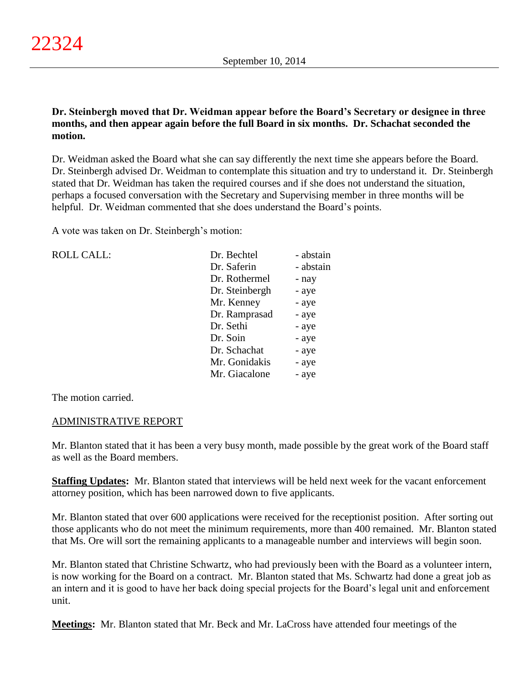**Dr. Steinbergh moved that Dr. Weidman appear before the Board's Secretary or designee in three months, and then appear again before the full Board in six months. Dr. Schachat seconded the motion.**

Dr. Weidman asked the Board what she can say differently the next time she appears before the Board. Dr. Steinbergh advised Dr. Weidman to contemplate this situation and try to understand it. Dr. Steinbergh stated that Dr. Weidman has taken the required courses and if she does not understand the situation, perhaps a focused conversation with the Secretary and Supervising member in three months will be helpful. Dr. Weidman commented that she does understand the Board's points.

A vote was taken on Dr. Steinbergh's motion:

| <b>ROLL CALL:</b> | Dr. Bechtel    | - abstain |
|-------------------|----------------|-----------|
|                   | Dr. Saferin    | - abstain |
|                   | Dr. Rothermel  | - nay     |
|                   | Dr. Steinbergh | - aye     |
|                   | Mr. Kenney     | - aye     |
|                   | Dr. Ramprasad  | - aye     |
|                   | Dr. Sethi      | - aye     |
|                   | Dr. Soin       | - aye     |
|                   | Dr. Schachat   | - aye     |
|                   | Mr. Gonidakis  | - aye     |
|                   | Mr. Giacalone  | - aye     |
|                   |                |           |

The motion carried.

# ADMINISTRATIVE REPORT

Mr. Blanton stated that it has been a very busy month, made possible by the great work of the Board staff as well as the Board members.

**Staffing Updates:** Mr. Blanton stated that interviews will be held next week for the vacant enforcement attorney position, which has been narrowed down to five applicants.

Mr. Blanton stated that over 600 applications were received for the receptionist position. After sorting out those applicants who do not meet the minimum requirements, more than 400 remained. Mr. Blanton stated that Ms. Ore will sort the remaining applicants to a manageable number and interviews will begin soon.

Mr. Blanton stated that Christine Schwartz, who had previously been with the Board as a volunteer intern, is now working for the Board on a contract. Mr. Blanton stated that Ms. Schwartz had done a great job as an intern and it is good to have her back doing special projects for the Board's legal unit and enforcement unit.

**Meetings:** Mr. Blanton stated that Mr. Beck and Mr. LaCross have attended four meetings of the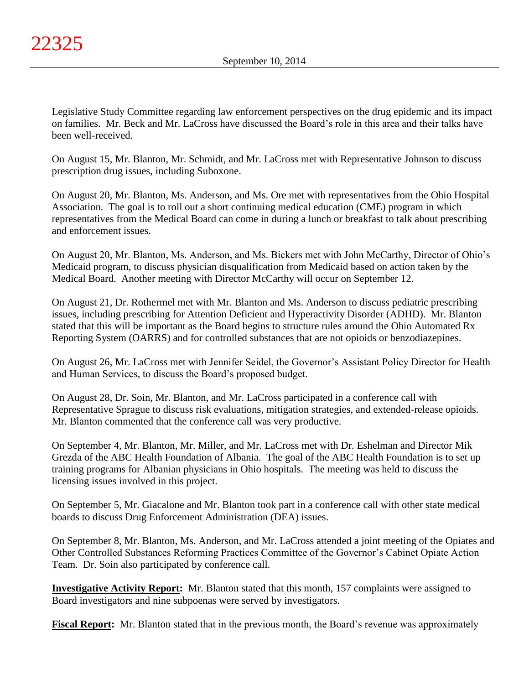Legislative Study Committee regarding law enforcement perspectives on the drug epidemic and its impact on families. Mr. Beck and Mr. LaCross have discussed the Board's role in this area and their talks have been well-received.

On August 15, Mr. Blanton, Mr. Schmidt, and Mr. LaCross met with Representative Johnson to discuss prescription drug issues, including Suboxone.

On August 20, Mr. Blanton, Ms. Anderson, and Ms. Ore met with representatives from the Ohio Hospital Association. The goal is to roll out a short continuing medical education (CME) program in which representatives from the Medical Board can come in during a lunch or breakfast to talk about prescribing and enforcement issues.

On August 20, Mr. Blanton, Ms. Anderson, and Ms. Bickers met with John McCarthy, Director of Ohio's Medicaid program, to discuss physician disqualification from Medicaid based on action taken by the Medical Board. Another meeting with Director McCarthy will occur on September 12.

On August 21, Dr. Rothermel met with Mr. Blanton and Ms. Anderson to discuss pediatric prescribing issues, including prescribing for Attention Deficient and Hyperactivity Disorder (ADHD). Mr. Blanton stated that this will be important as the Board begins to structure rules around the Ohio Automated Rx Reporting System (OARRS) and for controlled substances that are not opioids or benzodiazepines.

On August 26, Mr. LaCross met with Jennifer Seidel, the Governor's Assistant Policy Director for Health and Human Services, to discuss the Board's proposed budget.

On August 28, Dr. Soin, Mr. Blanton, and Mr. LaCross participated in a conference call with Representative Sprague to discuss risk evaluations, mitigation strategies, and extended-release opioids. Mr. Blanton commented that the conference call was very productive.

On September 4, Mr. Blanton, Mr. Miller, and Mr. LaCross met with Dr. Eshelman and Director Mik Grezda of the ABC Health Foundation of Albania. The goal of the ABC Health Foundation is to set up training programs for Albanian physicians in Ohio hospitals. The meeting was held to discuss the licensing issues involved in this project.

On September 5, Mr. Giacalone and Mr. Blanton took part in a conference call with other state medical boards to discuss Drug Enforcement Administration (DEA) issues.

On September 8, Mr. Blanton, Ms. Anderson, and Mr. LaCross attended a joint meeting of the Opiates and Other Controlled Substances Reforming Practices Committee of the Governor's Cabinet Opiate Action Team. Dr. Soin also participated by conference call.

**Investigative Activity Report:** Mr. Blanton stated that this month, 157 complaints were assigned to Board investigators and nine subpoenas were served by investigators.

**Fiscal Report:** Mr. Blanton stated that in the previous month, the Board's revenue was approximately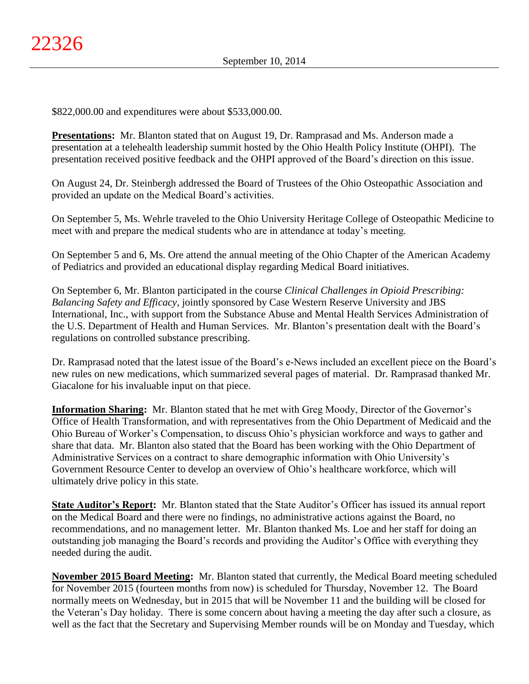\$822,000.00 and expenditures were about \$533,000.00.

**Presentations:** Mr. Blanton stated that on August 19, Dr. Ramprasad and Ms. Anderson made a presentation at a telehealth leadership summit hosted by the Ohio Health Policy Institute (OHPI). The presentation received positive feedback and the OHPI approved of the Board's direction on this issue.

On August 24, Dr. Steinbergh addressed the Board of Trustees of the Ohio Osteopathic Association and provided an update on the Medical Board's activities.

On September 5, Ms. Wehrle traveled to the Ohio University Heritage College of Osteopathic Medicine to meet with and prepare the medical students who are in attendance at today's meeting.

On September 5 and 6, Ms. Ore attend the annual meeting of the Ohio Chapter of the American Academy of Pediatrics and provided an educational display regarding Medical Board initiatives.

On September 6, Mr. Blanton participated in the course *Clinical Challenges in Opioid Prescribing: Balancing Safety and Efficacy*, jointly sponsored by Case Western Reserve University and JBS International, Inc., with support from the Substance Abuse and Mental Health Services Administration of the U.S. Department of Health and Human Services. Mr. Blanton's presentation dealt with the Board's regulations on controlled substance prescribing.

Dr. Ramprasad noted that the latest issue of the Board's e-News included an excellent piece on the Board's new rules on new medications, which summarized several pages of material. Dr. Ramprasad thanked Mr. Giacalone for his invaluable input on that piece.

**Information Sharing:** Mr. Blanton stated that he met with Greg Moody, Director of the Governor's Office of Health Transformation, and with representatives from the Ohio Department of Medicaid and the Ohio Bureau of Worker's Compensation, to discuss Ohio's physician workforce and ways to gather and share that data. Mr. Blanton also stated that the Board has been working with the Ohio Department of Administrative Services on a contract to share demographic information with Ohio University's Government Resource Center to develop an overview of Ohio's healthcare workforce, which will ultimately drive policy in this state.

**State Auditor's Report:** Mr. Blanton stated that the State Auditor's Officer has issued its annual report on the Medical Board and there were no findings, no administrative actions against the Board, no recommendations, and no management letter. Mr. Blanton thanked Ms. Loe and her staff for doing an outstanding job managing the Board's records and providing the Auditor's Office with everything they needed during the audit.

**November 2015 Board Meeting:** Mr. Blanton stated that currently, the Medical Board meeting scheduled for November 2015 (fourteen months from now) is scheduled for Thursday, November 12. The Board normally meets on Wednesday, but in 2015 that will be November 11 and the building will be closed for the Veteran's Day holiday. There is some concern about having a meeting the day after such a closure, as well as the fact that the Secretary and Supervising Member rounds will be on Monday and Tuesday, which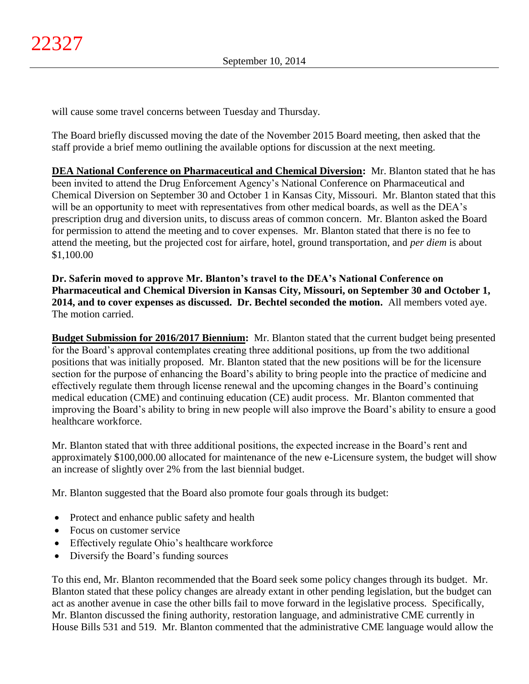will cause some travel concerns between Tuesday and Thursday.

The Board briefly discussed moving the date of the November 2015 Board meeting, then asked that the staff provide a brief memo outlining the available options for discussion at the next meeting.

**DEA National Conference on Pharmaceutical and Chemical Diversion:** Mr. Blanton stated that he has been invited to attend the Drug Enforcement Agency's National Conference on Pharmaceutical and Chemical Diversion on September 30 and October 1 in Kansas City, Missouri. Mr. Blanton stated that this will be an opportunity to meet with representatives from other medical boards, as well as the DEA's prescription drug and diversion units, to discuss areas of common concern. Mr. Blanton asked the Board for permission to attend the meeting and to cover expenses. Mr. Blanton stated that there is no fee to attend the meeting, but the projected cost for airfare, hotel, ground transportation, and *per diem* is about \$1,100.00

**Dr. Saferin moved to approve Mr. Blanton's travel to the DEA's National Conference on Pharmaceutical and Chemical Diversion in Kansas City, Missouri, on September 30 and October 1, 2014, and to cover expenses as discussed. Dr. Bechtel seconded the motion.** All members voted aye. The motion carried.

**Budget Submission for 2016/2017 Biennium:** Mr. Blanton stated that the current budget being presented for the Board's approval contemplates creating three additional positions, up from the two additional positions that was initially proposed. Mr. Blanton stated that the new positions will be for the licensure section for the purpose of enhancing the Board's ability to bring people into the practice of medicine and effectively regulate them through license renewal and the upcoming changes in the Board's continuing medical education (CME) and continuing education (CE) audit process. Mr. Blanton commented that improving the Board's ability to bring in new people will also improve the Board's ability to ensure a good healthcare workforce.

Mr. Blanton stated that with three additional positions, the expected increase in the Board's rent and approximately \$100,000.00 allocated for maintenance of the new e-Licensure system, the budget will show an increase of slightly over 2% from the last biennial budget.

Mr. Blanton suggested that the Board also promote four goals through its budget:

- Protect and enhance public safety and health
- Focus on customer service
- Effectively regulate Ohio's healthcare workforce
- Diversify the Board's funding sources

To this end, Mr. Blanton recommended that the Board seek some policy changes through its budget. Mr. Blanton stated that these policy changes are already extant in other pending legislation, but the budget can act as another avenue in case the other bills fail to move forward in the legislative process. Specifically, Mr. Blanton discussed the fining authority, restoration language, and administrative CME currently in House Bills 531 and 519. Mr. Blanton commented that the administrative CME language would allow the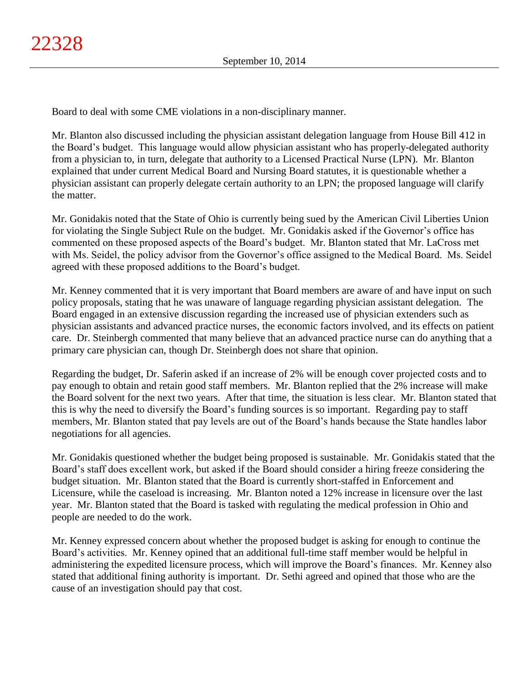Board to deal with some CME violations in a non-disciplinary manner.

Mr. Blanton also discussed including the physician assistant delegation language from House Bill 412 in the Board's budget. This language would allow physician assistant who has properly-delegated authority from a physician to, in turn, delegate that authority to a Licensed Practical Nurse (LPN). Mr. Blanton explained that under current Medical Board and Nursing Board statutes, it is questionable whether a physician assistant can properly delegate certain authority to an LPN; the proposed language will clarify the matter.

Mr. Gonidakis noted that the State of Ohio is currently being sued by the American Civil Liberties Union for violating the Single Subject Rule on the budget. Mr. Gonidakis asked if the Governor's office has commented on these proposed aspects of the Board's budget. Mr. Blanton stated that Mr. LaCross met with Ms. Seidel, the policy advisor from the Governor's office assigned to the Medical Board. Ms. Seidel agreed with these proposed additions to the Board's budget.

Mr. Kenney commented that it is very important that Board members are aware of and have input on such policy proposals, stating that he was unaware of language regarding physician assistant delegation. The Board engaged in an extensive discussion regarding the increased use of physician extenders such as physician assistants and advanced practice nurses, the economic factors involved, and its effects on patient care. Dr. Steinbergh commented that many believe that an advanced practice nurse can do anything that a primary care physician can, though Dr. Steinbergh does not share that opinion.

Regarding the budget, Dr. Saferin asked if an increase of 2% will be enough cover projected costs and to pay enough to obtain and retain good staff members. Mr. Blanton replied that the 2% increase will make the Board solvent for the next two years. After that time, the situation is less clear. Mr. Blanton stated that this is why the need to diversify the Board's funding sources is so important. Regarding pay to staff members, Mr. Blanton stated that pay levels are out of the Board's hands because the State handles labor negotiations for all agencies.

Mr. Gonidakis questioned whether the budget being proposed is sustainable. Mr. Gonidakis stated that the Board's staff does excellent work, but asked if the Board should consider a hiring freeze considering the budget situation. Mr. Blanton stated that the Board is currently short-staffed in Enforcement and Licensure, while the caseload is increasing. Mr. Blanton noted a 12% increase in licensure over the last year. Mr. Blanton stated that the Board is tasked with regulating the medical profession in Ohio and people are needed to do the work.

Mr. Kenney expressed concern about whether the proposed budget is asking for enough to continue the Board's activities. Mr. Kenney opined that an additional full-time staff member would be helpful in administering the expedited licensure process, which will improve the Board's finances. Mr. Kenney also stated that additional fining authority is important. Dr. Sethi agreed and opined that those who are the cause of an investigation should pay that cost.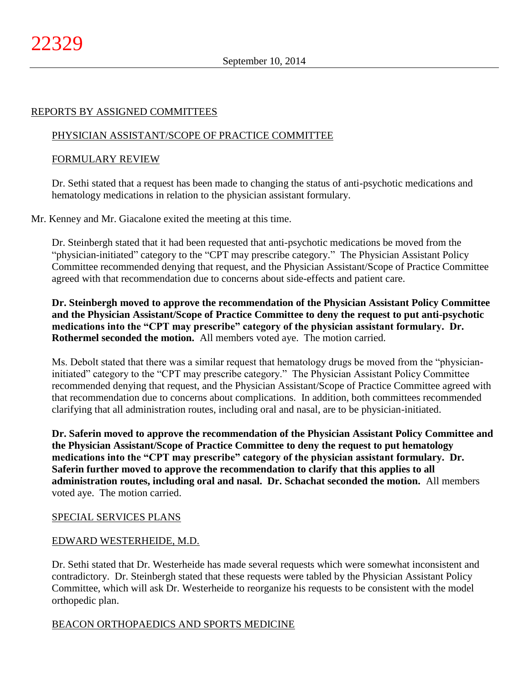### REPORTS BY ASSIGNED COMMITTEES

# PHYSICIAN ASSISTANT/SCOPE OF PRACTICE COMMITTEE

# FORMULARY REVIEW

Dr. Sethi stated that a request has been made to changing the status of anti-psychotic medications and hematology medications in relation to the physician assistant formulary.

Mr. Kenney and Mr. Giacalone exited the meeting at this time.

Dr. Steinbergh stated that it had been requested that anti-psychotic medications be moved from the "physician-initiated" category to the "CPT may prescribe category." The Physician Assistant Policy Committee recommended denying that request, and the Physician Assistant/Scope of Practice Committee agreed with that recommendation due to concerns about side-effects and patient care.

**Dr. Steinbergh moved to approve the recommendation of the Physician Assistant Policy Committee and the Physician Assistant/Scope of Practice Committee to deny the request to put anti-psychotic medications into the "CPT may prescribe" category of the physician assistant formulary. Dr. Rothermel seconded the motion.** All members voted aye. The motion carried.

Ms. Debolt stated that there was a similar request that hematology drugs be moved from the "physicianinitiated" category to the "CPT may prescribe category." The Physician Assistant Policy Committee recommended denying that request, and the Physician Assistant/Scope of Practice Committee agreed with that recommendation due to concerns about complications. In addition, both committees recommended clarifying that all administration routes, including oral and nasal, are to be physician-initiated.

**Dr. Saferin moved to approve the recommendation of the Physician Assistant Policy Committee and the Physician Assistant/Scope of Practice Committee to deny the request to put hematology medications into the "CPT may prescribe" category of the physician assistant formulary. Dr. Saferin further moved to approve the recommendation to clarify that this applies to all administration routes, including oral and nasal. Dr. Schachat seconded the motion.** All members voted aye. The motion carried.

# SPECIAL SERVICES PLANS

### EDWARD WESTERHEIDE, M.D.

Dr. Sethi stated that Dr. Westerheide has made several requests which were somewhat inconsistent and contradictory. Dr. Steinbergh stated that these requests were tabled by the Physician Assistant Policy Committee, which will ask Dr. Westerheide to reorganize his requests to be consistent with the model orthopedic plan.

### BEACON ORTHOPAEDICS AND SPORTS MEDICINE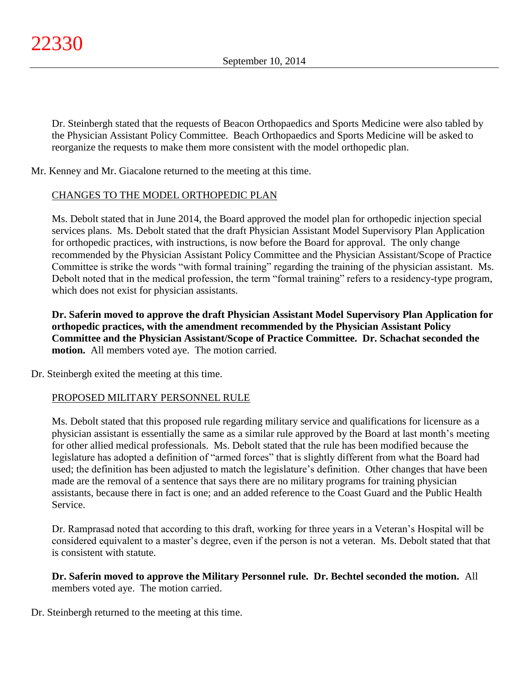Dr. Steinbergh stated that the requests of Beacon Orthopaedics and Sports Medicine were also tabled by the Physician Assistant Policy Committee. Beach Orthopaedics and Sports Medicine will be asked to reorganize the requests to make them more consistent with the model orthopedic plan.

Mr. Kenney and Mr. Giacalone returned to the meeting at this time.

# CHANGES TO THE MODEL ORTHOPEDIC PLAN

Ms. Debolt stated that in June 2014, the Board approved the model plan for orthopedic injection special services plans. Ms. Debolt stated that the draft Physician Assistant Model Supervisory Plan Application for orthopedic practices, with instructions, is now before the Board for approval. The only change recommended by the Physician Assistant Policy Committee and the Physician Assistant/Scope of Practice Committee is strike the words "with formal training" regarding the training of the physician assistant. Ms. Debolt noted that in the medical profession, the term "formal training" refers to a residency-type program, which does not exist for physician assistants.

**Dr. Saferin moved to approve the draft Physician Assistant Model Supervisory Plan Application for orthopedic practices, with the amendment recommended by the Physician Assistant Policy Committee and the Physician Assistant/Scope of Practice Committee. Dr. Schachat seconded the motion.** All members voted aye. The motion carried.

Dr. Steinbergh exited the meeting at this time.

# PROPOSED MILITARY PERSONNEL RULE

Ms. Debolt stated that this proposed rule regarding military service and qualifications for licensure as a physician assistant is essentially the same as a similar rule approved by the Board at last month's meeting for other allied medical professionals. Ms. Debolt stated that the rule has been modified because the legislature has adopted a definition of "armed forces" that is slightly different from what the Board had used; the definition has been adjusted to match the legislature's definition. Other changes that have been made are the removal of a sentence that says there are no military programs for training physician assistants, because there in fact is one; and an added reference to the Coast Guard and the Public Health Service.

Dr. Ramprasad noted that according to this draft, working for three years in a Veteran's Hospital will be considered equivalent to a master's degree, even if the person is not a veteran. Ms. Debolt stated that that is consistent with statute.

**Dr. Saferin moved to approve the Military Personnel rule. Dr. Bechtel seconded the motion.** All members voted aye. The motion carried.

Dr. Steinbergh returned to the meeting at this time.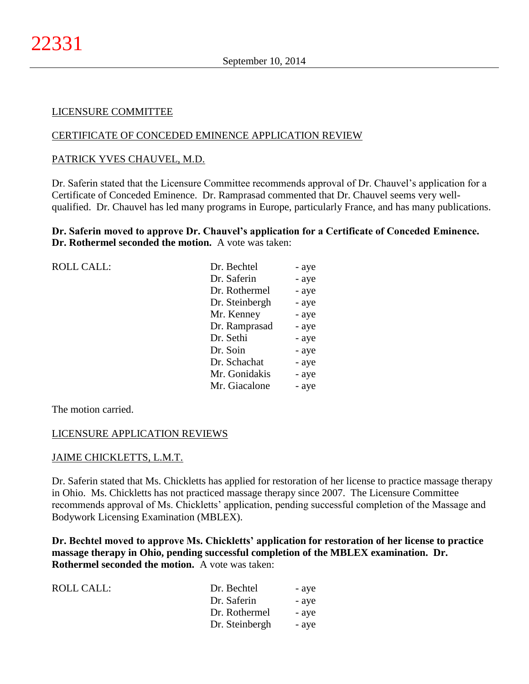#### LICENSURE COMMITTEE

#### CERTIFICATE OF CONCEDED EMINENCE APPLICATION REVIEW

#### PATRICK YVES CHAUVEL, M.D.

Dr. Saferin stated that the Licensure Committee recommends approval of Dr. Chauvel's application for a Certificate of Conceded Eminence. Dr. Ramprasad commented that Dr. Chauvel seems very wellqualified. Dr. Chauvel has led many programs in Europe, particularly France, and has many publications.

### **Dr. Saferin moved to approve Dr. Chauvel's application for a Certificate of Conceded Eminence. Dr. Rothermel seconded the motion.** A vote was taken:

| <b>ROLL CALL:</b> | Dr. Bechtel    | - aye |
|-------------------|----------------|-------|
|                   | Dr. Saferin    | - aye |
|                   | Dr. Rothermel  | - aye |
|                   | Dr. Steinbergh | - aye |
|                   | Mr. Kenney     | - aye |
|                   | Dr. Ramprasad  | - aye |
|                   | Dr. Sethi      | - aye |
|                   | Dr. Soin       | - aye |
|                   | Dr. Schachat   | - aye |
|                   | Mr. Gonidakis  | - aye |
|                   | Mr. Giacalone  | - aye |
|                   |                |       |

The motion carried.

#### LICENSURE APPLICATION REVIEWS

#### JAIME CHICKLETTS, L.M.T.

Dr. Saferin stated that Ms. Chickletts has applied for restoration of her license to practice massage therapy in Ohio. Ms. Chickletts has not practiced massage therapy since 2007. The Licensure Committee recommends approval of Ms. Chickletts' application, pending successful completion of the Massage and Bodywork Licensing Examination (MBLEX).

**Dr. Bechtel moved to approve Ms. Chickletts' application for restoration of her license to practice massage therapy in Ohio, pending successful completion of the MBLEX examination. Dr. Rothermel seconded the motion.** A vote was taken:

| ROLL CALL: | Dr. Bechtel    | - aye |
|------------|----------------|-------|
|            | Dr. Saferin    | - aye |
|            | Dr. Rothermel  | - aye |
|            | Dr. Steinbergh | - aye |
|            |                |       |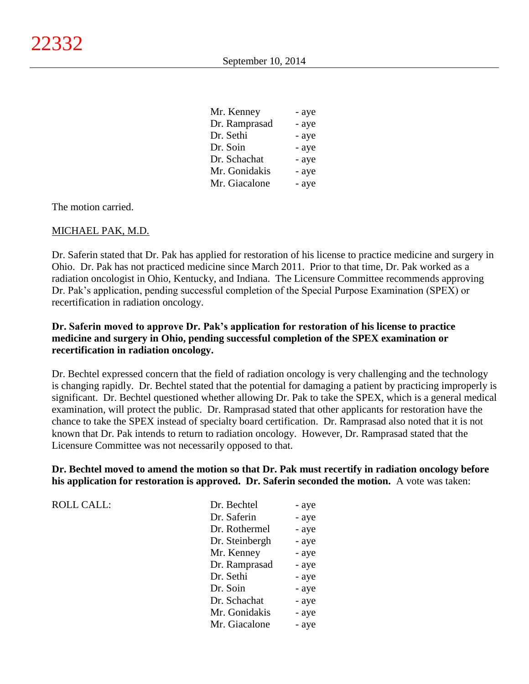| Mr. Kenney    | - aye |
|---------------|-------|
| Dr. Ramprasad | - aye |
| Dr. Sethi     | - aye |
| Dr. Soin      | - aye |
| Dr. Schachat  | - aye |
| Mr. Gonidakis | - aye |
| Mr. Giacalone | - aye |

The motion carried.

### MICHAEL PAK, M.D.

Dr. Saferin stated that Dr. Pak has applied for restoration of his license to practice medicine and surgery in Ohio. Dr. Pak has not practiced medicine since March 2011. Prior to that time, Dr. Pak worked as a radiation oncologist in Ohio, Kentucky, and Indiana. The Licensure Committee recommends approving Dr. Pak's application, pending successful completion of the Special Purpose Examination (SPEX) or recertification in radiation oncology.

# **Dr. Saferin moved to approve Dr. Pak's application for restoration of his license to practice medicine and surgery in Ohio, pending successful completion of the SPEX examination or recertification in radiation oncology.**

Dr. Bechtel expressed concern that the field of radiation oncology is very challenging and the technology is changing rapidly. Dr. Bechtel stated that the potential for damaging a patient by practicing improperly is significant. Dr. Bechtel questioned whether allowing Dr. Pak to take the SPEX, which is a general medical examination, will protect the public. Dr. Ramprasad stated that other applicants for restoration have the chance to take the SPEX instead of specialty board certification. Dr. Ramprasad also noted that it is not known that Dr. Pak intends to return to radiation oncology. However, Dr. Ramprasad stated that the Licensure Committee was not necessarily opposed to that.

**Dr. Bechtel moved to amend the motion so that Dr. Pak must recertify in radiation oncology before his application for restoration is approved. Dr. Saferin seconded the motion.** A vote was taken:

| <b>ROLL CALL:</b> | Dr. Bechtel    | - aye |
|-------------------|----------------|-------|
|                   | Dr. Saferin    | - aye |
|                   | Dr. Rothermel  | - aye |
|                   | Dr. Steinbergh | - aye |
|                   | Mr. Kenney     | - aye |
|                   | Dr. Ramprasad  | - aye |
|                   | Dr. Sethi      | - aye |
|                   | Dr. Soin       | - aye |
|                   | Dr. Schachat   | - aye |
|                   | Mr. Gonidakis  | - aye |
|                   | Mr. Giacalone  | - aye |
|                   |                |       |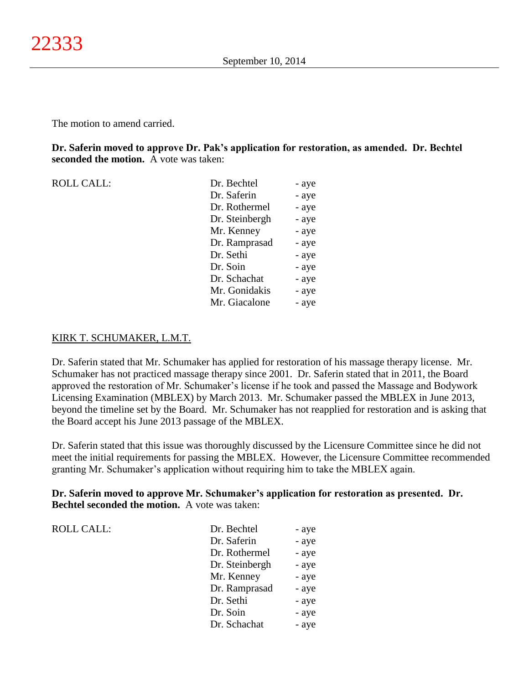**Dr. Saferin moved to approve Dr. Pak's application for restoration, as amended. Dr. Bechtel seconded the motion.** A vote was taken:

ROLL CALL: Dr. Bechtel - aye Dr. Saferin - aye Dr. Rothermel - aye Dr. Steinbergh - aye Mr. Kenney - aye Dr. Ramprasad - aye Dr. Sethi - aye Dr. Soin - aye Dr. Schachat - aye Mr. Gonidakis - aye Mr. Giacalone - aye

# KIRK T. SCHUMAKER, L.M.T.

Dr. Saferin stated that Mr. Schumaker has applied for restoration of his massage therapy license. Mr. Schumaker has not practiced massage therapy since 2001. Dr. Saferin stated that in 2011, the Board approved the restoration of Mr. Schumaker's license if he took and passed the Massage and Bodywork Licensing Examination (MBLEX) by March 2013. Mr. Schumaker passed the MBLEX in June 2013, beyond the timeline set by the Board. Mr. Schumaker has not reapplied for restoration and is asking that the Board accept his June 2013 passage of the MBLEX.

Dr. Saferin stated that this issue was thoroughly discussed by the Licensure Committee since he did not meet the initial requirements for passing the MBLEX. However, the Licensure Committee recommended granting Mr. Schumaker's application without requiring him to take the MBLEX again.

**Dr. Saferin moved to approve Mr. Schumaker's application for restoration as presented. Dr. Bechtel seconded the motion.** A vote was taken:

| <b>ROLL CALL:</b> | Dr. Bechtel    | - aye |
|-------------------|----------------|-------|
|                   | Dr. Saferin    | - aye |
|                   | Dr. Rothermel  | - aye |
|                   | Dr. Steinbergh | - aye |
|                   | Mr. Kenney     | - aye |
|                   | Dr. Ramprasad  | - aye |
|                   | Dr. Sethi      | - aye |
|                   | Dr. Soin       | - aye |
|                   | Dr. Schachat   | - aye |
|                   |                |       |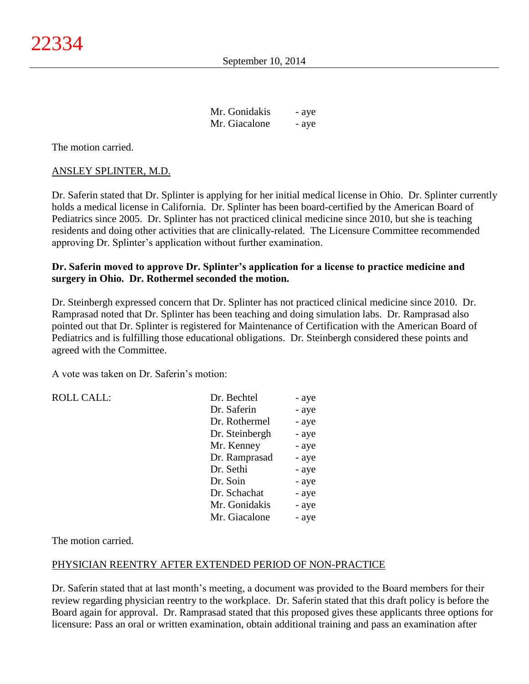| Mr. Gonidakis | - aye |
|---------------|-------|
| Mr. Giacalone | - aye |

The motion carried.

#### ANSLEY SPLINTER, M.D.

Dr. Saferin stated that Dr. Splinter is applying for her initial medical license in Ohio. Dr. Splinter currently holds a medical license in California. Dr. Splinter has been board-certified by the American Board of Pediatrics since 2005. Dr. Splinter has not practiced clinical medicine since 2010, but she is teaching residents and doing other activities that are clinically-related. The Licensure Committee recommended approving Dr. Splinter's application without further examination.

# **Dr. Saferin moved to approve Dr. Splinter's application for a license to practice medicine and surgery in Ohio. Dr. Rothermel seconded the motion.**

Dr. Steinbergh expressed concern that Dr. Splinter has not practiced clinical medicine since 2010. Dr. Ramprasad noted that Dr. Splinter has been teaching and doing simulation labs. Dr. Ramprasad also pointed out that Dr. Splinter is registered for Maintenance of Certification with the American Board of Pediatrics and is fulfilling those educational obligations. Dr. Steinbergh considered these points and agreed with the Committee.

A vote was taken on Dr. Saferin's motion:

| <b>ROLL CALL:</b> | Dr. Bechtel    | - aye |
|-------------------|----------------|-------|
|                   | Dr. Saferin    | - aye |
|                   | Dr. Rothermel  | - aye |
|                   | Dr. Steinbergh | - aye |
|                   | Mr. Kenney     | - aye |
|                   | Dr. Ramprasad  | - aye |
|                   | Dr. Sethi      | - aye |
|                   | Dr. Soin       | - aye |
|                   | Dr. Schachat   | - aye |
|                   | Mr. Gonidakis  | - aye |
|                   | Mr. Giacalone  | - aye |

The motion carried.

### PHYSICIAN REENTRY AFTER EXTENDED PERIOD OF NON-PRACTICE

Dr. Saferin stated that at last month's meeting, a document was provided to the Board members for their review regarding physician reentry to the workplace. Dr. Saferin stated that this draft policy is before the Board again for approval. Dr. Ramprasad stated that this proposed gives these applicants three options for licensure: Pass an oral or written examination, obtain additional training and pass an examination after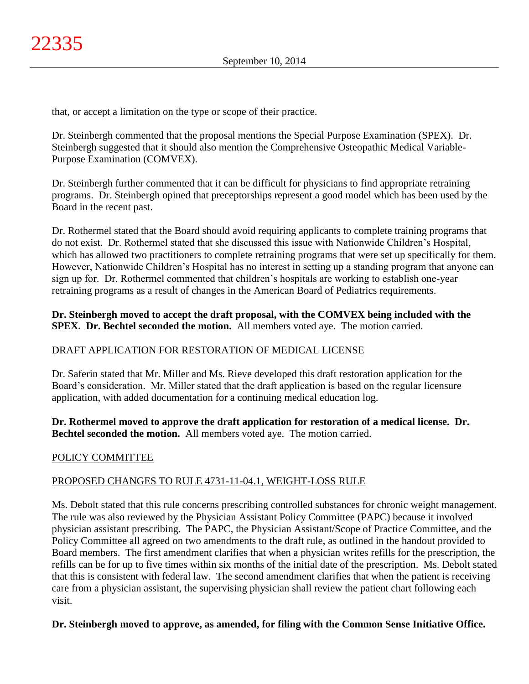that, or accept a limitation on the type or scope of their practice.

Dr. Steinbergh commented that the proposal mentions the Special Purpose Examination (SPEX). Dr. Steinbergh suggested that it should also mention the Comprehensive Osteopathic Medical Variable-Purpose Examination (COMVEX).

Dr. Steinbergh further commented that it can be difficult for physicians to find appropriate retraining programs. Dr. Steinbergh opined that preceptorships represent a good model which has been used by the Board in the recent past.

Dr. Rothermel stated that the Board should avoid requiring applicants to complete training programs that do not exist. Dr. Rothermel stated that she discussed this issue with Nationwide Children's Hospital, which has allowed two practitioners to complete retraining programs that were set up specifically for them. However, Nationwide Children's Hospital has no interest in setting up a standing program that anyone can sign up for. Dr. Rothermel commented that children's hospitals are working to establish one-year retraining programs as a result of changes in the American Board of Pediatrics requirements.

# **Dr. Steinbergh moved to accept the draft proposal, with the COMVEX being included with the SPEX. Dr. Bechtel seconded the motion.** All members voted aye. The motion carried.

# DRAFT APPLICATION FOR RESTORATION OF MEDICAL LICENSE

Dr. Saferin stated that Mr. Miller and Ms. Rieve developed this draft restoration application for the Board's consideration. Mr. Miller stated that the draft application is based on the regular licensure application, with added documentation for a continuing medical education log.

**Dr. Rothermel moved to approve the draft application for restoration of a medical license. Dr. Bechtel seconded the motion.** All members voted aye. The motion carried.

# POLICY COMMITTEE

# PROPOSED CHANGES TO RULE 4731-11-04.1, WEIGHT-LOSS RULE

Ms. Debolt stated that this rule concerns prescribing controlled substances for chronic weight management. The rule was also reviewed by the Physician Assistant Policy Committee (PAPC) because it involved physician assistant prescribing. The PAPC, the Physician Assistant/Scope of Practice Committee, and the Policy Committee all agreed on two amendments to the draft rule, as outlined in the handout provided to Board members. The first amendment clarifies that when a physician writes refills for the prescription, the refills can be for up to five times within six months of the initial date of the prescription. Ms. Debolt stated that this is consistent with federal law. The second amendment clarifies that when the patient is receiving care from a physician assistant, the supervising physician shall review the patient chart following each visit.

### **Dr. Steinbergh moved to approve, as amended, for filing with the Common Sense Initiative Office.**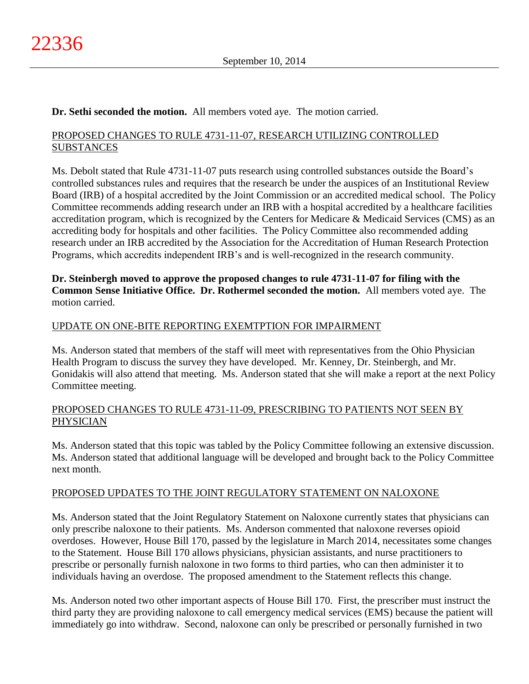# **Dr. Sethi seconded the motion.** All members voted aye. The motion carried.

# PROPOSED CHANGES TO RULE 4731-11-07, RESEARCH UTILIZING CONTROLLED **SUBSTANCES**

Ms. Debolt stated that Rule 4731-11-07 puts research using controlled substances outside the Board's controlled substances rules and requires that the research be under the auspices of an Institutional Review Board (IRB) of a hospital accredited by the Joint Commission or an accredited medical school. The Policy Committee recommends adding research under an IRB with a hospital accredited by a healthcare facilities accreditation program, which is recognized by the Centers for Medicare & Medicaid Services (CMS) as an accrediting body for hospitals and other facilities. The Policy Committee also recommended adding research under an IRB accredited by the Association for the Accreditation of Human Research Protection Programs, which accredits independent IRB's and is well-recognized in the research community.

**Dr. Steinbergh moved to approve the proposed changes to rule 4731-11-07 for filing with the Common Sense Initiative Office. Dr. Rothermel seconded the motion.** All members voted aye. The motion carried.

# UPDATE ON ONE-BITE REPORTING EXEMTPTION FOR IMPAIRMENT

Ms. Anderson stated that members of the staff will meet with representatives from the Ohio Physician Health Program to discuss the survey they have developed. Mr. Kenney, Dr. Steinbergh, and Mr. Gonidakis will also attend that meeting. Ms. Anderson stated that she will make a report at the next Policy Committee meeting.

### PROPOSED CHANGES TO RULE 4731-11-09, PRESCRIBING TO PATIENTS NOT SEEN BY PHYSICIAN

Ms. Anderson stated that this topic was tabled by the Policy Committee following an extensive discussion. Ms. Anderson stated that additional language will be developed and brought back to the Policy Committee next month.

### PROPOSED UPDATES TO THE JOINT REGULATORY STATEMENT ON NALOXONE

Ms. Anderson stated that the Joint Regulatory Statement on Naloxone currently states that physicians can only prescribe naloxone to their patients. Ms. Anderson commented that naloxone reverses opioid overdoses. However, House Bill 170, passed by the legislature in March 2014, necessitates some changes to the Statement. House Bill 170 allows physicians, physician assistants, and nurse practitioners to prescribe or personally furnish naloxone in two forms to third parties, who can then administer it to individuals having an overdose. The proposed amendment to the Statement reflects this change.

Ms. Anderson noted two other important aspects of House Bill 170. First, the prescriber must instruct the third party they are providing naloxone to call emergency medical services (EMS) because the patient will immediately go into withdraw. Second, naloxone can only be prescribed or personally furnished in two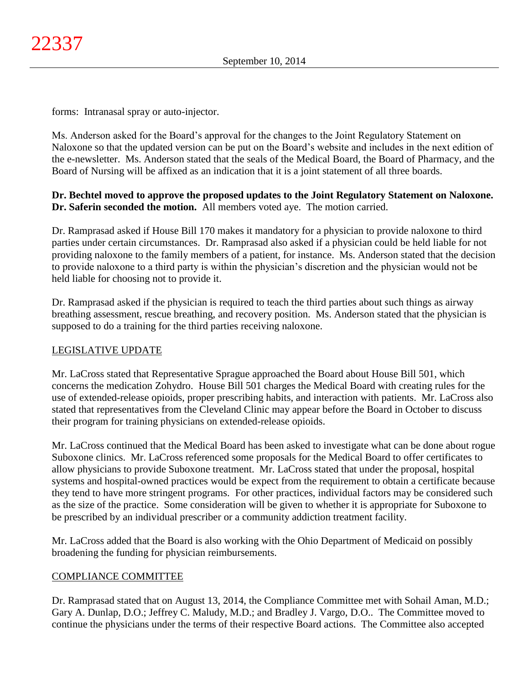forms: Intranasal spray or auto-injector.

Ms. Anderson asked for the Board's approval for the changes to the Joint Regulatory Statement on Naloxone so that the updated version can be put on the Board's website and includes in the next edition of the e-newsletter. Ms. Anderson stated that the seals of the Medical Board, the Board of Pharmacy, and the Board of Nursing will be affixed as an indication that it is a joint statement of all three boards.

# **Dr. Bechtel moved to approve the proposed updates to the Joint Regulatory Statement on Naloxone. Dr. Saferin seconded the motion.** All members voted aye. The motion carried.

Dr. Ramprasad asked if House Bill 170 makes it mandatory for a physician to provide naloxone to third parties under certain circumstances. Dr. Ramprasad also asked if a physician could be held liable for not providing naloxone to the family members of a patient, for instance. Ms. Anderson stated that the decision to provide naloxone to a third party is within the physician's discretion and the physician would not be held liable for choosing not to provide it.

Dr. Ramprasad asked if the physician is required to teach the third parties about such things as airway breathing assessment, rescue breathing, and recovery position. Ms. Anderson stated that the physician is supposed to do a training for the third parties receiving naloxone.

# LEGISLATIVE UPDATE

Mr. LaCross stated that Representative Sprague approached the Board about House Bill 501, which concerns the medication Zohydro. House Bill 501 charges the Medical Board with creating rules for the use of extended-release opioids, proper prescribing habits, and interaction with patients. Mr. LaCross also stated that representatives from the Cleveland Clinic may appear before the Board in October to discuss their program for training physicians on extended-release opioids.

Mr. LaCross continued that the Medical Board has been asked to investigate what can be done about rogue Suboxone clinics. Mr. LaCross referenced some proposals for the Medical Board to offer certificates to allow physicians to provide Suboxone treatment. Mr. LaCross stated that under the proposal, hospital systems and hospital-owned practices would be expect from the requirement to obtain a certificate because they tend to have more stringent programs. For other practices, individual factors may be considered such as the size of the practice. Some consideration will be given to whether it is appropriate for Suboxone to be prescribed by an individual prescriber or a community addiction treatment facility.

Mr. LaCross added that the Board is also working with the Ohio Department of Medicaid on possibly broadening the funding for physician reimbursements.

# COMPLIANCE COMMITTEE

Dr. Ramprasad stated that on August 13, 2014, the Compliance Committee met with Sohail Aman, M.D.; Gary A. Dunlap, D.O.; Jeffrey C. Maludy, M.D.; and Bradley J. Vargo, D.O.. The Committee moved to continue the physicians under the terms of their respective Board actions. The Committee also accepted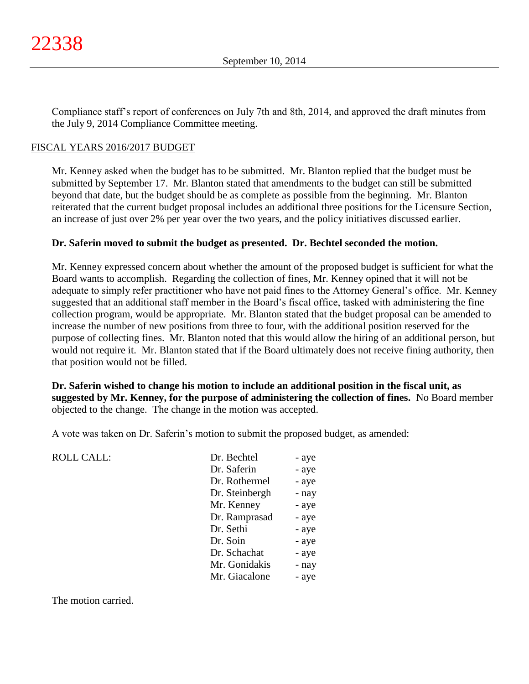Compliance staff's report of conferences on July 7th and 8th, 2014, and approved the draft minutes from the July 9, 2014 Compliance Committee meeting.

### FISCAL YEARS 2016/2017 BUDGET

Mr. Kenney asked when the budget has to be submitted. Mr. Blanton replied that the budget must be submitted by September 17. Mr. Blanton stated that amendments to the budget can still be submitted beyond that date, but the budget should be as complete as possible from the beginning. Mr. Blanton reiterated that the current budget proposal includes an additional three positions for the Licensure Section, an increase of just over 2% per year over the two years, and the policy initiatives discussed earlier.

#### **Dr. Saferin moved to submit the budget as presented. Dr. Bechtel seconded the motion.**

Mr. Kenney expressed concern about whether the amount of the proposed budget is sufficient for what the Board wants to accomplish. Regarding the collection of fines, Mr. Kenney opined that it will not be adequate to simply refer practitioner who have not paid fines to the Attorney General's office. Mr. Kenney suggested that an additional staff member in the Board's fiscal office, tasked with administering the fine collection program, would be appropriate. Mr. Blanton stated that the budget proposal can be amended to increase the number of new positions from three to four, with the additional position reserved for the purpose of collecting fines. Mr. Blanton noted that this would allow the hiring of an additional person, but would not require it. Mr. Blanton stated that if the Board ultimately does not receive fining authority, then that position would not be filled.

**Dr. Saferin wished to change his motion to include an additional position in the fiscal unit, as suggested by Mr. Kenney, for the purpose of administering the collection of fines.** No Board member objected to the change. The change in the motion was accepted.

A vote was taken on Dr. Saferin's motion to submit the proposed budget, as amended:

ROLL CALL:

| Dr. Bechtel    | - aye |
|----------------|-------|
| Dr. Saferin    | - aye |
| Dr. Rothermel  | - aye |
| Dr. Steinbergh | - nay |
| Mr. Kenney     | - aye |
| Dr. Ramprasad  | - aye |
| Dr. Sethi      | - aye |
| Dr. Soin       | - aye |
| Dr. Schachat   | - aye |
| Mr. Gonidakis  | - nay |
| Mr. Giacalone  | - aye |

The motion carried.